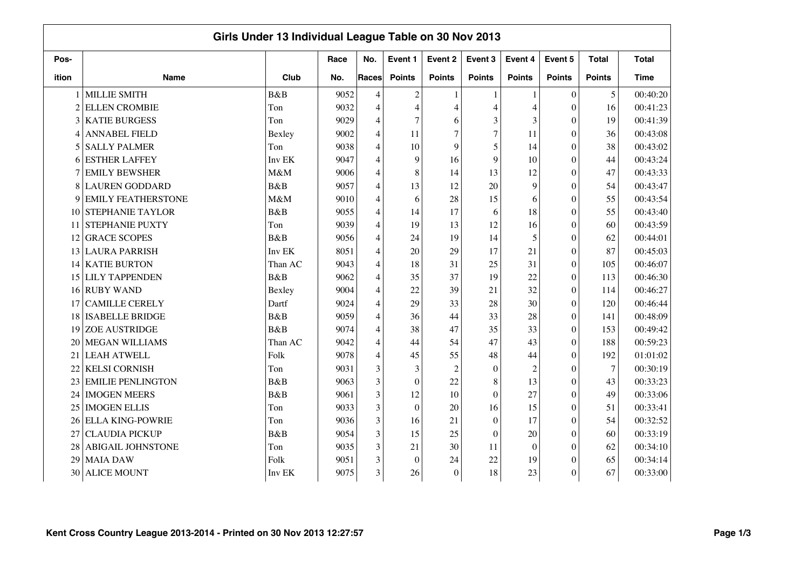|                | Girls Under 13 Individual League Table on 30 Nov 2013 |             |      |                |                  |                |                |                  |                |              |              |  |  |
|----------------|-------------------------------------------------------|-------------|------|----------------|------------------|----------------|----------------|------------------|----------------|--------------|--------------|--|--|
| Pos-           |                                                       |             | Race | No.            | Event 1          | Event 2        | Event 3        | Event 4          | Event 5        | <b>Total</b> | <b>Total</b> |  |  |
| ition          | <b>Name</b>                                           | Club        | No.  | Races          | <b>Points</b>    | <b>Points</b>  | <b>Points</b>  | <b>Points</b>    | <b>Points</b>  | Points       | <b>Time</b>  |  |  |
|                | <b>MILLIE SMITH</b>                                   | B&B         | 9052 | $\overline{4}$ | $\overline{c}$   |                |                | $\mathbf{1}$     | $\Omega$       | 5            | 00:40:20     |  |  |
| $\overline{c}$ | <b>ELLEN CROMBIE</b>                                  | Ton         | 9032 | $\overline{4}$ | $\overline{4}$   | $\overline{4}$ | Δ              | 4                | $\Omega$       | 16           | 00:41:23     |  |  |
| 3              | <b>KATIE BURGESS</b>                                  | Ton         | 9029 | 4              | $\overline{7}$   | 6              | 3              | 3                | $\Omega$       | 19           | 00:41:39     |  |  |
| 4              | <b>ANNABEL FIELD</b>                                  | Bexley      | 9002 | 4              | 11               | $\overline{7}$ | $\overline{7}$ | 11               | $\overline{0}$ | 36           | 00:43:08     |  |  |
| 5              | <b>SALLY PALMER</b>                                   | Ton         | 9038 | 4              | 10               | 9              | 5              | 14               | $\overline{0}$ | 38           | 00:43:02     |  |  |
| 6              | <b>ESTHER LAFFEY</b>                                  | Inv EK      | 9047 | 4              | 9                | 16             | 9              | 10               | $\theta$       | 44           | 00:43:24     |  |  |
|                | <b>EMILY BEWSHER</b>                                  | M&M         | 9006 | 4              | 8                | 14             | 13             | 12               | $\theta$       | 47           | 00:43:33     |  |  |
| 8              | <b>LAUREN GODDARD</b>                                 | B&B         | 9057 | 4              | 13               | 12             | 20             | 9                | $\theta$       | 54           | 00:43:47     |  |  |
| 9              | <b>EMILY FEATHERSTONE</b>                             | M&M         | 9010 | 4              | 6                | 28             | 15             | 6                | $\Omega$       | 55           | 00:43:54     |  |  |
| 10             | <b>STEPHANIE TAYLOR</b>                               | B&B         | 9055 | $\overline{4}$ | 14               | 17             | 6              | 18               | $\theta$       | 55           | 00:43:40     |  |  |
| 11             | <b>STEPHANIE PUXTY</b>                                | Ton         | 9039 | $\overline{4}$ | 19               | 13             | 12             | 16               | $\theta$       | 60           | 00:43:59     |  |  |
| 12             | <b>GRACE SCOPES</b>                                   | B&B         | 9056 | $\overline{4}$ | 24               | 19             | 14             | 5                | $\Omega$       | 62           | 00:44:01     |  |  |
| 13             | <b>LAURA PARRISH</b>                                  | Inv EK      | 8051 | $\overline{4}$ | 20               | 29             | 17             | 21               | $\Omega$       | 87           | 00:45:03     |  |  |
| 14             | <b>KATIE BURTON</b>                                   | Than AC     | 9043 | 4              | 18               | 31             | 25             | 31               | $\Omega$       | 105          | 00:46:07     |  |  |
| 15             | <b>LILY TAPPENDEN</b>                                 | B&B         | 9062 | $\overline{4}$ | 35               | 37             | 19             | 22               | $\Omega$       | 113          | 00:46:30     |  |  |
| 16             | <b>RUBY WAND</b>                                      | Bexley      | 9004 | $\overline{4}$ | 22               | 39             | 21             | 32               | $\Omega$       | 114          | 00:46:27     |  |  |
| 17             | <b>CAMILLE CERELY</b>                                 | Dartf       | 9024 | 4              | 29               | 33             | 28             | 30               | $\overline{0}$ | 120          | 00:46:44     |  |  |
| 18             | <b>ISABELLE BRIDGE</b>                                | B&B         | 9059 | 4              | 36               | 44             | 33             | 28               | $\theta$       | 141          | 00:48:09     |  |  |
| 19             | <b>ZOE AUSTRIDGE</b>                                  | <b>B</b> &B | 9074 | 4              | 38               | 47             | 35             | 33               | $\theta$       | 153          | 00:49:42     |  |  |
| 20             | <b>MEGAN WILLIAMS</b>                                 | Than AC     | 9042 | 4              | 44               | 54             | 47             | 43               | $\theta$       | 188          | 00:59:23     |  |  |
| 21             | <b>LEAH ATWELL</b>                                    | Folk        | 9078 | 4              | 45               | 55             | 48             | 44               | $\theta$       | 192          | 01:01:02     |  |  |
| 22             | <b>KELSI CORNISH</b>                                  | Ton         | 9031 | 3              | 3                | $\overline{c}$ | $\Omega$       | 2                | $\Omega$       | $\tau$       | 00:30:19     |  |  |
| 23             | <b>EMILIE PENLINGTON</b>                              | B&B         | 9063 | 3              | $\boldsymbol{0}$ | 22             | 8              | 13               | $\theta$       | 43           | 00:33:23     |  |  |
| 24             | <b>IMOGEN MEERS</b>                                   | B&B         | 9061 | 3              | 12               | 10             | $\theta$       | 27               | $\Omega$       | 49           | 00:33:06     |  |  |
| 25             | <b>IMOGEN ELLIS</b>                                   | Ton         | 9033 | 3              | $\boldsymbol{0}$ | 20             | 16             | 15               | $\theta$       | 51           | 00:33:41     |  |  |
| 26             | <b>ELLA KING-POWRIE</b>                               | Ton         | 9036 | 3              | 16               | 21             | $\theta$       | 17               | $\theta$       | 54           | 00:32:52     |  |  |
| 27             | <b>CLAUDIA PICKUP</b>                                 | B&B         | 9054 | 3              | 15               | 25             | $\Omega$       | 20               | $\Omega$       | 60           | 00:33:19     |  |  |
| 28             | <b>ABIGAIL JOHNSTONE</b>                              | Ton         | 9035 | 3              | 21               | 30             | 11             | $\boldsymbol{0}$ | $\Omega$       | 62           | 00:34:10     |  |  |
| 29             | <b>MAIA DAW</b>                                       | Folk        | 9051 | 3              | $\mathbf{0}$     | 24             | 22             | 19               | $\Omega$       | 65           | 00:34:14     |  |  |
| 30             | <b>ALICE MOUNT</b>                                    | Inv EK      | 9075 | 3              | 26               | $\theta$       | 18             | 23               | $\theta$       | 67           | 00:33:00     |  |  |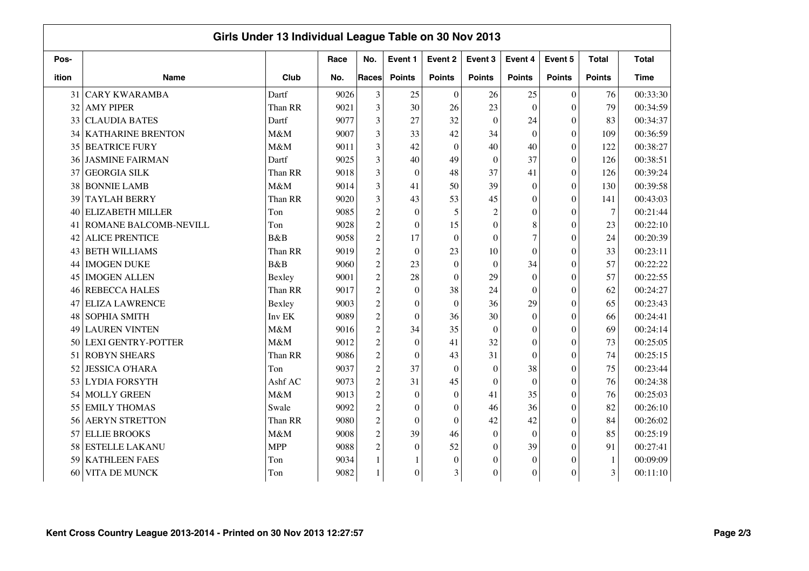|       |                           | Girls Under 13 Individual League Table on 30 Nov 2013 |      |                |                  |                  |                |                  |                  |               |              |
|-------|---------------------------|-------------------------------------------------------|------|----------------|------------------|------------------|----------------|------------------|------------------|---------------|--------------|
| Pos-  |                           |                                                       | Race | No.            | Event 1          | Event 2          | Event 3        | Event 4          | Event 5          | <b>Total</b>  | <b>Total</b> |
| ition | <b>Name</b>               | Club                                                  | No.  | Races          | <b>Points</b>    | <b>Points</b>    | <b>Points</b>  | <b>Points</b>    | <b>Points</b>    | <b>Points</b> | <b>Time</b>  |
| 31    | <b>CARY KWARAMBA</b>      | Dartf                                                 | 9026 | 3              | 25               | $\boldsymbol{0}$ | 26             | 25               | $\boldsymbol{0}$ | 76            | 00:33:30     |
| 32    | <b>AMY PIPER</b>          | Than RR                                               | 9021 | 3              | 30               | 26               | 23             | $\theta$         | $\theta$         | 79            | 00:34:59     |
| 33    | <b>CLAUDIA BATES</b>      | Dartf                                                 | 9077 | 3              | 27               | 32               | $\theta$       | 24               | $\theta$         | 83            | 00:34:37     |
| 34    | <b>KATHARINE BRENTON</b>  | M&M                                                   | 9007 | 3              | 33               | 42               | 34             | $\mathbf{0}$     | $\boldsymbol{0}$ | 109           | 00:36:59     |
| 35    | <b>BEATRICE FURY</b>      | M&M                                                   | 9011 | 3              | 42               | $\boldsymbol{0}$ | 40             | 40               | $\boldsymbol{0}$ | 122           | 00:38:27     |
| 36    | <b>JASMINE FAIRMAN</b>    | Dartf                                                 | 9025 | 3              | 40               | 49               | $\Omega$       | 37               | $\theta$         | 126           | 00:38:51     |
| 37    | <b>GEORGIA SILK</b>       | Than RR                                               | 9018 | 3              | $\overline{0}$   | 48               | 37             | 41               | $\theta$         | 126           | 00:39:24     |
| 38    | <b>BONNIE LAMB</b>        | M&M                                                   | 9014 | 3              | 41               | 50               | 39             | $\overline{0}$   | $\theta$         | 130           | 00:39:58     |
| 39    | <b>TAYLAH BERRY</b>       | Than RR                                               | 9020 | 3              | 43               | 53               | 45             | $\theta$         | $\theta$         | 141           | 00:43:03     |
| 40    | <b>ELIZABETH MILLER</b>   | Ton                                                   | 9085 | $\overline{c}$ | $\mathbf{0}$     | 5                | $\overline{c}$ | $\overline{0}$   | $\theta$         | $\tau$        | 00:21:44     |
| 41    | ROMANE BALCOMB-NEVILL     | Ton                                                   | 9028 | $\overline{c}$ | $\mathbf{0}$     | 15               | $\theta$       | 8                | $\theta$         | 23            | 00:22:10     |
| 42    | <b>ALICE PRENTICE</b>     | B&B                                                   | 9058 | $\overline{c}$ | 17               | $\mathbf{0}$     | $\Omega$       | $\overline{7}$   | $\overline{0}$   | 24            | 00:20:39     |
| 43    | <b>BETH WILLIAMS</b>      | Than RR                                               | 9019 | $\overline{c}$ | $\mathbf{0}$     | 23               | 10             | $\boldsymbol{0}$ | $\theta$         | 33            | 00:23:11     |
| 44    | <b>IMOGEN DUKE</b>        | B&B                                                   | 9060 | $\overline{c}$ | 23               | $\theta$         | $\theta$       | 34               | $\theta$         | 57            | 00:22:22     |
| 45    | <b>IMOGEN ALLEN</b>       | Bexley                                                | 9001 | $\overline{c}$ | 28               | $\theta$         | 29             | $\theta$         | $\theta$         | 57            | 00:22:55     |
| 46    | <b>REBECCA HALES</b>      | Than RR                                               | 9017 | $\overline{c}$ | $\mathbf{0}$     | 38               | 24             | $\overline{0}$   | $\theta$         | 62            | 00:24:27     |
| 47    | <b>ELIZA LAWRENCE</b>     | Bexley                                                | 9003 | $\overline{c}$ | $\mathbf{0}$     | $\boldsymbol{0}$ | 36             | 29               | $\theta$         | 65            | 00:23:43     |
| 48    | SOPHIA SMITH              | Inv EK                                                | 9089 | $\overline{c}$ | $\mathbf{0}$     | 36               | 30             | $\mathbf{0}$     | $\boldsymbol{0}$ | 66            | 00:24:41     |
| 49    | <b>LAUREN VINTEN</b>      | M&M                                                   | 9016 | $\overline{c}$ | 34               | 35               | $\mathbf{0}$   | $\boldsymbol{0}$ | $\boldsymbol{0}$ | 69            | 00:24:14     |
| 50    | <b>LEXI GENTRY-POTTER</b> | M&M                                                   | 9012 | $\overline{c}$ | $\mathbf{0}$     | 41               | 32             | $\boldsymbol{0}$ | $\theta$         | 73            | 00:25:05     |
| 51    | <b>ROBYN SHEARS</b>       | Than RR                                               | 9086 | $\overline{c}$ | $\mathbf{0}$     | 43               | 31             | $\theta$         | $\theta$         | 74            | 00:25:15     |
| 52    | <b>JESSICA O'HARA</b>     | Ton                                                   | 9037 | $\overline{c}$ | 37               | $\boldsymbol{0}$ | $\theta$       | 38               | $\theta$         | 75            | 00:23:44     |
| 53    | <b>LYDIA FORSYTH</b>      | Ashf AC                                               | 9073 | $\overline{c}$ | 31               | 45               | $\theta$       | $\theta$         | $\theta$         | 76            | 00:24:38     |
| 54    | MOLLY GREEN               | M&M                                                   | 9013 | $\overline{c}$ | $\mathbf{0}$     | $\boldsymbol{0}$ | 41             | 35               | $\theta$         | 76            | 00:25:03     |
| 55    | <b>EMILY THOMAS</b>       | Swale                                                 | 9092 | $\overline{c}$ | $\overline{0}$   | $\overline{0}$   | 46             | 36               | $\boldsymbol{0}$ | 82            | 00:26:10     |
| 56    | <b>AERYN STRETTON</b>     | Than RR                                               | 9080 | $\overline{c}$ | $\overline{0}$   | $\boldsymbol{0}$ | 42             | 42               | $\boldsymbol{0}$ | 84            | 00:26:02     |
| 57    | <b>ELLIE BROOKS</b>       | M&M                                                   | 9008 | $\overline{2}$ | 39               | 46               | $\theta$       | $\mathbf{0}$     | $\theta$         | 85            | 00:25:19     |
| 58    | <b>ESTELLE LAKANU</b>     | <b>MPP</b>                                            | 9088 | $\overline{c}$ | $\mathbf{0}$     | 52               | $\theta$       | 39               | $\theta$         | 91            | 00:27:41     |
| 59    | <b>KATHLEEN FAES</b>      | Ton                                                   | 9034 |                |                  | $\boldsymbol{0}$ | 0              | $\overline{0}$   | $\theta$         | $\mathbf{1}$  | 00:09:09     |
| 60    | VITA DE MUNCK             | Ton                                                   | 9082 |                | $\boldsymbol{0}$ | 3                | $\Omega$       | $\boldsymbol{0}$ | $\theta$         | 3             | 00:11:10     |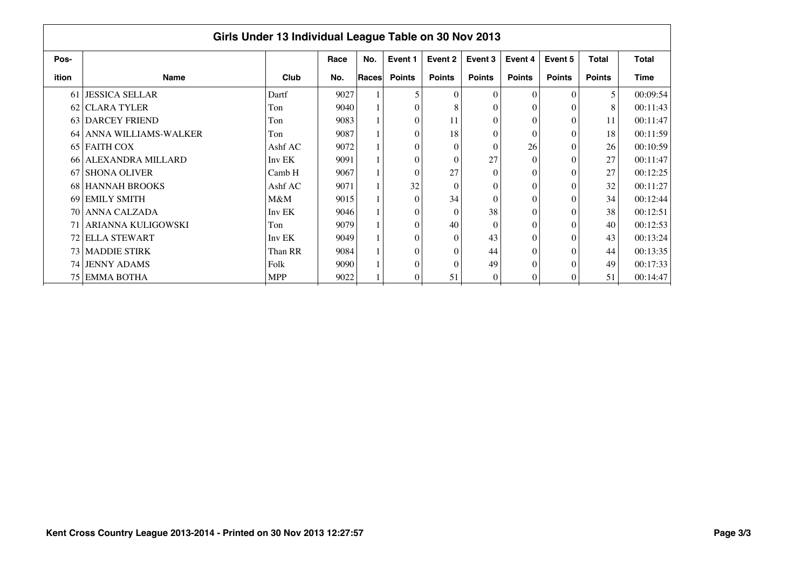|       | Girls Under 13 Individual League Table on 30 Nov 2013 |            |      |              |               |               |               |                  |               |               |              |  |  |  |
|-------|-------------------------------------------------------|------------|------|--------------|---------------|---------------|---------------|------------------|---------------|---------------|--------------|--|--|--|
| Pos-  |                                                       |            | Race | No.          | Event 1       | Event 2       | Event 3       | Event 4          | Event 5       | <b>Total</b>  | <b>Total</b> |  |  |  |
| ition | <b>Name</b>                                           | Club       | No.  | <b>Races</b> | <b>Points</b> | <b>Points</b> | <b>Points</b> | <b>Points</b>    | <b>Points</b> | <b>Points</b> | <b>Time</b>  |  |  |  |
|       | 61 JESSICA SELLAR                                     | Dartf      | 9027 |              | 5             | $\Omega$      | $\Omega$      | $\theta$         | $\Omega$      | 5             | 00:09:54     |  |  |  |
|       | 62 CLARA TYLER                                        | Ton        | 9040 |              | $\theta$      |               | 0             | $\theta$         |               | 8             | 00:11:43     |  |  |  |
|       | 63 DARCEY FRIEND                                      | Ton        | 9083 |              | $\theta$      | 11            | 0             | $\theta$         |               | 11            | 00:11:47     |  |  |  |
|       | 64 ANNA WILLIAMS-WALKER                               | Ton        | 9087 |              | $\theta$      | 18            | 0             | $\Omega$         |               | 18            | 00:11:59     |  |  |  |
|       | 65 FAITH COX                                          | Ashf AC    | 9072 |              | $\theta$      | $\Omega$      | $\Omega$      | 26               | $\Omega$      | 26            | 00:10:59     |  |  |  |
|       | 66 ALEXANDRA MILLARD                                  | Inv EK     | 9091 |              | $\theta$      | $\Omega$      | 27            | $\Omega$         | 0             | 27            | 00:11:47     |  |  |  |
|       | 67 SHONA OLIVER                                       | Camb H     | 9067 |              | $\theta$      | 27            | $\theta$      | $\theta$         |               | 27            | 00:12:25     |  |  |  |
|       | 68 HANNAH BROOKS                                      | Ashf AC    | 9071 |              | 32            | $\Omega$      | 0             | $\theta$         |               | 32            | 00:11:27     |  |  |  |
|       | 69 EMILY SMITH                                        | $M\&M$     | 9015 |              | $\Omega$      | 34            | $\theta$      | $\theta$         |               | 34            | 00:12:44     |  |  |  |
|       | 70 ANNA CALZADA                                       | Inv EK     | 9046 |              | $\theta$      | $\Omega$      | 38            | $\theta$         |               | 38            | 00:12:51     |  |  |  |
|       | 71   ARIANNA KULIGOWSKI                               | Ton        | 9079 |              | $\theta$      | 40            | $\theta$      | $\theta$         |               | 40            | 00:12:53     |  |  |  |
|       | 72 ELLA STEWART                                       | Inv EK     | 9049 |              | $\theta$      | $\Omega$      | 43            | $\theta$         |               | 43            | 00:13:24     |  |  |  |
|       | 73 MADDIE STIRK                                       | Than RR    | 9084 |              | $\theta$      | $\Omega$      | 44            | $\theta$         |               | 44            | 00:13:35     |  |  |  |
|       | 74 JENNY ADAMS                                        | Folk       | 9090 |              | $\theta$      | $\sqrt{ }$    | 49            | $\boldsymbol{0}$ |               | 49            | 00:17:33     |  |  |  |
|       | 75 EMMA BOTHA                                         | <b>MPP</b> | 9022 |              | $\theta$      | 51            | $\Omega$      | $\theta$         |               | 51            | 00:14:47     |  |  |  |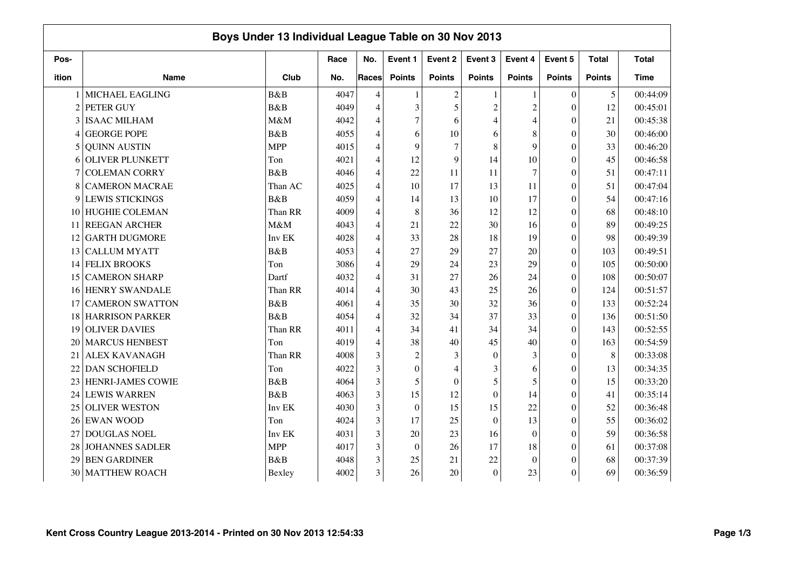|                |                          | Boys Under 13 Individual League Table on 30 Nov 2013 |      |       |                  |                |                  |                |                  |               |              |
|----------------|--------------------------|------------------------------------------------------|------|-------|------------------|----------------|------------------|----------------|------------------|---------------|--------------|
| Pos-           |                          |                                                      | Race | No.   | Event 1          | Event 2        | Event 3          | Event 4        | Event 5          | <b>Total</b>  | <b>Total</b> |
| ition          | <b>Name</b>              | Club                                                 | No.  | Races | <b>Points</b>    | <b>Points</b>  | <b>Points</b>    | <b>Points</b>  | <b>Points</b>    | <b>Points</b> | <b>Time</b>  |
|                | <b>MICHAEL EAGLING</b>   | B&B                                                  | 4047 | 4     | 1                | $\overline{c}$ |                  | 1              | $\theta$         | 5             | 00:44:09     |
| $\overline{c}$ | PETER GUY                | B&B                                                  | 4049 | 4     | 3                | 5              | $\overline{2}$   | $\overline{c}$ | $\overline{0}$   | 12            | 00:45:01     |
| 3              | <b>ISAAC MILHAM</b>      | M&M                                                  | 4042 | 4     | $\overline{7}$   | 6              | 4                | 4              | $\theta$         | 21            | 00:45:38     |
| 4              | <b>GEORGE POPE</b>       | B&B                                                  | 4055 | 4     | 6                | 10             | 6                | 8              | $\overline{0}$   | 30            | 00:46:00     |
| 5              | <b>QUINN AUSTIN</b>      | <b>MPP</b>                                           | 4015 | 4     | 9                | $\overline{7}$ | 8                | 9              | $\theta$         | 33            | 00:46:20     |
| 6              | <b>OLIVER PLUNKETT</b>   | Ton                                                  | 4021 | 4     | 12               | 9              | 14               | 10             | $\overline{0}$   | 45            | 00:46:58     |
| 7              | <b>COLEMAN CORRY</b>     | B&B                                                  | 4046 | 4     | 22               | 11             | 11               | $\tau$         | $\overline{0}$   | 51            | 00:47:11     |
| 8              | <b>CAMERON MACRAE</b>    | Than AC                                              | 4025 | 4     | 10               | 17             | 13               | 11             | $\mathbf{0}$     | 51            | 00:47:04     |
| 9              | <b>LEWIS STICKINGS</b>   | B&B                                                  | 4059 | 4     | 14               | 13             | 10               | 17             | $\theta$         | 54            | 00:47:16     |
| 10             | <b>HUGHIE COLEMAN</b>    | Than RR                                              | 4009 | 4     | 8                | 36             | 12               | 12             | $\boldsymbol{0}$ | 68            | 00:48:10     |
| 11             | <b>REEGAN ARCHER</b>     | M&M                                                  | 4043 | 4     | 21               | 22             | 30               | 16             | $\boldsymbol{0}$ | 89            | 00:49:25     |
| 12             | <b>GARTH DUGMORE</b>     | Inv EK                                               | 4028 | 4     | 33               | 28             | 18               | 19             | $\overline{0}$   | 98            | 00:49:39     |
| 13             | <b>CALLUM MYATT</b>      | B&B                                                  | 4053 | 4     | 27               | 29             | 27               | 20             | $\theta$         | 103           | 00:49:51     |
| 14             | <b>FELIX BROOKS</b>      | Ton                                                  | 3086 | 4     | 29               | 24             | 23               | 29             | $\theta$         | 105           | 00:50:00     |
| 15             | <b>CAMERON SHARP</b>     | Dartf                                                | 4032 | 4     | 31               | 27             | 26               | 24             | $\theta$         | 108           | 00:50:07     |
| 16             | <b>HENRY SWANDALE</b>    | Than RR                                              | 4014 | 4     | 30               | 43             | 25               | 26             | $\theta$         | 124           | 00:51:57     |
| 17             | <b>CAMERON SWATTON</b>   | B&B                                                  | 4061 | 4     | 35               | 30             | 32               | 36             | $\overline{0}$   | 133           | 00:52:24     |
| 18             | <b>HARRISON PARKER</b>   | B&B                                                  | 4054 | 4     | 32               | 34             | 37               | 33             | $\boldsymbol{0}$ | 136           | 00:51:50     |
| 19             | <b>OLIVER DAVIES</b>     | Than RR                                              | 4011 | 4     | 34               | 41             | 34               | 34             | $\overline{0}$   | 143           | 00:52:55     |
| 20             | <b>MARCUS HENBEST</b>    | Ton                                                  | 4019 | 4     | 38               | 40             | 45               | 40             | $\theta$         | 163           | 00:54:59     |
| 21             | <b>ALEX KAVANAGH</b>     | Than RR                                              | 4008 | 3     | $\overline{c}$   | 3              | $\Omega$         | 3              | $\theta$         | 8             | 00:33:08     |
| 22             | <b>DAN SCHOFIELD</b>     | Ton                                                  | 4022 | 3     | $\boldsymbol{0}$ | $\overline{4}$ | 3                | 6              | $\theta$         | 13            | 00:34:35     |
| 23             | <b>HENRI-JAMES COWIE</b> | B&B                                                  | 4064 | 3     | 5                | $\overline{0}$ | 5                | 5              | $\theta$         | 15            | 00:33:20     |
| 24             | <b>LEWIS WARREN</b>      | B&B                                                  | 4063 | 3     | 15               | 12             | $\theta$         | 14             | $\overline{0}$   | 41            | 00:35:14     |
| 25             | <b>OLIVER WESTON</b>     | Inv EK                                               | 4030 | 3     | $\theta$         | 15             | 15               | 22             | $\overline{0}$   | 52            | 00:36:48     |
| 26             | <b>EWAN WOOD</b>         | Ton                                                  | 4024 | 3     | 17               | 25             | $\boldsymbol{0}$ | 13             | $\mathbf{0}$     | 55            | 00:36:02     |
| 27             | <b>DOUGLAS NOEL</b>      | Inv EK                                               | 4031 | 3     | 20               | 23             | 16               | $\mathbf{0}$   | $\overline{0}$   | 59            | 00:36:58     |
| 28             | <b>JOHANNES SADLER</b>   | <b>MPP</b>                                           | 4017 | 3     | $\mathbf{0}$     | 26             | 17               | 18             | $\theta$         | 61            | 00:37:08     |
| 29             | <b>BEN GARDINER</b>      | B&B                                                  | 4048 | 3     | 25               | 21             | 22               | $\mathbf{0}$   | $\theta$         | 68            | 00:37:39     |
| 30             | <b>MATTHEW ROACH</b>     | Bexley                                               | 4002 | 3     | 26               | 20             | $\mathbf{0}$     | 23             | $\theta$         | 69            | 00:36:59     |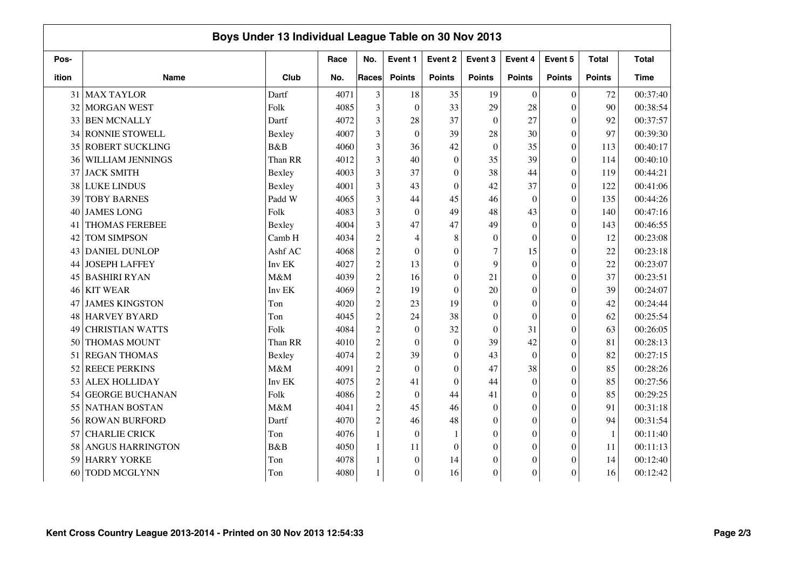|       | Boys Under 13 Individual League Table on 30 Nov 2013 |         |      |                |                  |                  |                  |                  |                  |               |              |  |
|-------|------------------------------------------------------|---------|------|----------------|------------------|------------------|------------------|------------------|------------------|---------------|--------------|--|
| Pos-  |                                                      |         | Race | No.            | Event 1          | Event 2          | Event 3          | Event 4          | Event 5          | <b>Total</b>  | <b>Total</b> |  |
| ition | <b>Name</b>                                          | Club    | No.  | Races          | <b>Points</b>    | <b>Points</b>    | <b>Points</b>    | <b>Points</b>    | <b>Points</b>    | <b>Points</b> | Time         |  |
| 31    | <b>MAX TAYLOR</b>                                    | Dartf   | 4071 | 3              | 18               | 35               | 19               | $\theta$         | $\overline{0}$   | 72            | 00:37:40     |  |
| 32    | <b>MORGAN WEST</b>                                   | Folk    | 4085 | 3              | $\theta$         | 33               | 29               | 28               | $\overline{0}$   | 90            | 00:38:54     |  |
| 33    | <b>BEN MCNALLY</b>                                   | Dartf   | 4072 | 3              | 28               | 37               | $\theta$         | 27               | $\theta$         | 92            | 00:37:57     |  |
| 34    | <b>RONNIE STOWELL</b>                                | Bexley  | 4007 | 3              | $\boldsymbol{0}$ | 39               | 28               | 30               | $\overline{0}$   | 97            | 00:39:30     |  |
| 35    | <b>ROBERT SUCKLING</b>                               | B&B     | 4060 | 3              | 36               | 42               | $\Omega$         | 35               | $\overline{0}$   | 113           | 00:40:17     |  |
| 36    | WILLIAM JENNINGS                                     | Than RR | 4012 | 3              | 40               | $\overline{0}$   | 35               | 39               | $\overline{0}$   | 114           | 00:40:10     |  |
| 37    | <b>JACK SMITH</b>                                    | Bexley  | 4003 | 3              | 37               | $\boldsymbol{0}$ | 38               | 44               | $\Omega$         | 119           | 00:44:21     |  |
| 38    | <b>LUKE LINDUS</b>                                   | Bexley  | 4001 | 3              | 43               | $\mathbf{0}$     | 42               | 37               | $\overline{0}$   | 122           | 00:41:06     |  |
| 39    | <b>TOBY BARNES</b>                                   | Padd W  | 4065 | 3              | 44               | 45               | 46               | $\theta$         | $\theta$         | 135           | 00:44:26     |  |
| 40    | <b>JAMES LONG</b>                                    | Folk    | 4083 | 3              | $\theta$         | 49               | 48               | 43               | $\theta$         | 140           | 00:47:16     |  |
| 41    | <b>THOMAS FEREBEE</b>                                | Bexley  | 4004 | 3              | 47               | 47               | 49               | $\mathbf{0}$     | $\boldsymbol{0}$ | 143           | 00:46:55     |  |
| 42    | <b>TOM SIMPSON</b>                                   | Camb H  | 4034 | $\overline{c}$ | 4                | 8                | $\Omega$         | $\boldsymbol{0}$ | $\theta$         | 12            | 00:23:08     |  |
| 43    | <b>DANIEL DUNLOP</b>                                 | Ashf AC | 4068 | $\overline{c}$ | $\mathbf{0}$     | $\theta$         | 7                | 15               | $\theta$         | 22            | 00:23:18     |  |
| 44    | <b>JOSEPH LAFFEY</b>                                 | Inv EK  | 4027 | $\overline{c}$ | 13               | $\theta$         | 9                | $\theta$         | $\theta$         | 22            | 00:23:07     |  |
| 45    | <b>BASHIRI RYAN</b>                                  | M&M     | 4039 | $\overline{c}$ | 16               | $\theta$         | 21               | $\theta$         | $\theta$         | 37            | 00:23:51     |  |
| 46    | <b>KIT WEAR</b>                                      | Inv EK  | 4069 | $\overline{c}$ | 19               | $\overline{0}$   | 20               | $\overline{0}$   | $\theta$         | 39            | 00:24:07     |  |
| 47    | <b>JAMES KINGSTON</b>                                | Ton     | 4020 | $\overline{c}$ | 23               | 19               | $\mathbf{0}$     | $\overline{0}$   | $\overline{0}$   | 42            | 00:24:44     |  |
| 48    | <b>HARVEY BYARD</b>                                  | Ton     | 4045 | $\overline{c}$ | 24               | 38               | $\boldsymbol{0}$ | $\overline{0}$   | $\boldsymbol{0}$ | 62            | 00:25:54     |  |
| 49    | <b>CHRISTIAN WATTS</b>                               | Folk    | 4084 | $\overline{c}$ | $\mathbf{0}$     | 32               | $\theta$         | 31               | $\overline{0}$   | 63            | 00:26:05     |  |
| 50    | <b>THOMAS MOUNT</b>                                  | Than RR | 4010 | $\overline{c}$ | $\mathbf{0}$     | $\overline{0}$   | 39               | 42               | $\overline{0}$   | 81            | 00:28:13     |  |
| 51    | <b>REGAN THOMAS</b>                                  | Bexley  | 4074 | $\overline{c}$ | 39               | $\theta$         | 43               | $\Omega$         | $\theta$         | 82            | 00:27:15     |  |
| 52    | <b>REECE PERKINS</b>                                 | M&M     | 4091 | $\overline{c}$ | $\theta$         | $\theta$         | 47               | 38               | $\theta$         | 85            | 00:28:26     |  |
| 53    | <b>ALEX HOLLIDAY</b>                                 | Inv EK  | 4075 | $\overline{c}$ | 41               | $\overline{0}$   | 44               | $\theta$         | $\theta$         | 85            | 00:27:56     |  |
| 54    | <b>GEORGE BUCHANAN</b>                               | Folk    | 4086 | $\overline{c}$ | $\theta$         | 44               | 41               | $\theta$         | $\overline{0}$   | 85            | 00:29:25     |  |
| 55    | <b>NATHAN BOSTAN</b>                                 | M&M     | 4041 | $\overline{c}$ | 45               | 46               | $\theta$         | $\theta$         | $\theta$         | 91            | 00:31:18     |  |
| 56    | <b>ROWAN BURFORD</b>                                 | Dartf   | 4070 | $\overline{c}$ | 46               | 48               | $\mathbf{0}$     | $\boldsymbol{0}$ | $\overline{0}$   | 94            | 00:31:54     |  |
| 57    | <b>CHARLIE CRICK</b>                                 | Ton     | 4076 | $\mathbf{1}$   | $\mathbf{0}$     | 1                | $\Omega$         | $\boldsymbol{0}$ | $\overline{0}$   | $\mathbf{1}$  | 00:11:40     |  |
| 58    | ANGUS HARRINGTON                                     | B&B     | 4050 |                | 11               | $\overline{0}$   | $\boldsymbol{0}$ | $\overline{0}$   | $\theta$         | 11            | 00:11:13     |  |
| 59    | <b>HARRY YORKE</b>                                   | Ton     | 4078 |                | $\mathbf{0}$     | 14               | 0                | $\overline{0}$   | $\theta$         | 14            | 00:12:40     |  |
| 60    | TODD MCGLYNN                                         | Ton     | 4080 |                | $\boldsymbol{0}$ | 16               | $\Omega$         | $\boldsymbol{0}$ | $\theta$         | 16            | 00:12:42     |  |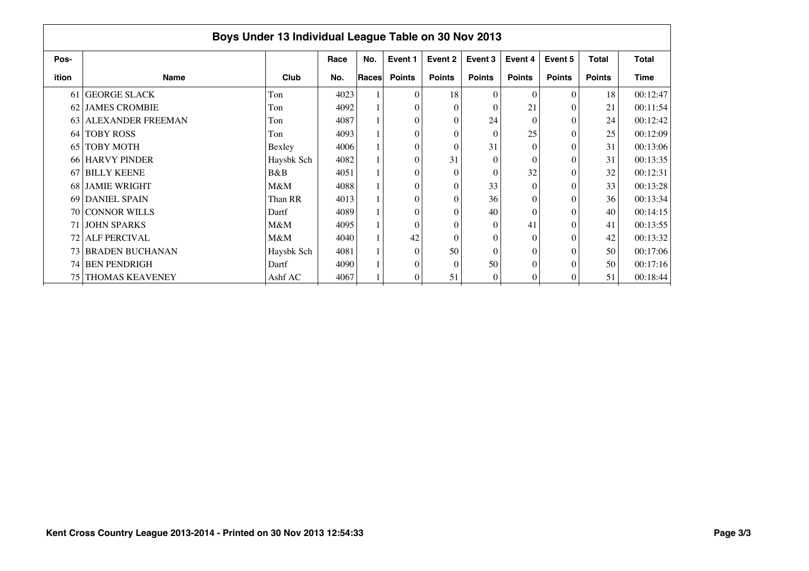|       | Boys Under 13 Individual League Table on 30 Nov 2013 |            |      |       |                |               |               |               |               |               |              |  |  |  |
|-------|------------------------------------------------------|------------|------|-------|----------------|---------------|---------------|---------------|---------------|---------------|--------------|--|--|--|
| Pos-  |                                                      |            | Race | No.   | Event 1        | Event 2       | Event 3       | Event 4       | Event 5       | <b>Total</b>  | <b>Total</b> |  |  |  |
| ition | <b>Name</b>                                          | Club       | No.  | Races | <b>Points</b>  | <b>Points</b> | <b>Points</b> | <b>Points</b> | <b>Points</b> | <b>Points</b> | Time         |  |  |  |
|       | 61 GEORGE SLACK                                      | Ton        | 4023 |       | $\theta$       | 18            | $\theta$      | $\Omega$      | $\Omega$      | 18            | 00:12:47     |  |  |  |
|       | 62 JAMES CROMBIE                                     | Ton        | 4092 |       | $\theta$       | $\Omega$      | $\theta$      | 21            |               | 21            | 00:11:54     |  |  |  |
| 63    | <b>ALEXANDER FREEMAN</b>                             | Ton        | 4087 |       | $\theta$       | $\Omega$      | 24            | $\Omega$      |               | 24            | 00:12:42     |  |  |  |
|       | 64 TOBY ROSS                                         | Ton        | 4093 |       | $\theta$       | $\Omega$      | $\Omega$      | 25            |               | 25            | 00:12:09     |  |  |  |
| 65 I  | <b>TOBY MOTH</b>                                     | Bexley     | 4006 |       | $\overline{0}$ | $\sqrt{ }$    | 31            | $\Omega$      |               | 31            | 00:13:06     |  |  |  |
|       | 66 HARVY PINDER                                      | Haysbk Sch | 4082 |       | $\theta$       | 31            | $\theta$      | $\theta$      | $\Omega$      | 31            | 00:13:35     |  |  |  |
| 67    | <b>BILLY KEENE</b>                                   | B&B        | 4051 |       | $\theta$       | $\Omega$      | $\theta$      | 32            |               | 32            | 00:12:31     |  |  |  |
|       | 68 JAMIE WRIGHT                                      | M&M        | 4088 |       | $\theta$       | $\Omega$      | 33            | $\Omega$      |               | 33            | 00:13:28     |  |  |  |
|       | 69 DANIEL SPAIN                                      | Than RR    | 4013 |       | $\theta$       | $\Omega$      | 36            | $\theta$      |               | 36            | 00:13:34     |  |  |  |
|       | 70 CONNOR WILLS                                      | Dartf      | 4089 |       | $\theta$       |               | 40            | $\theta$      |               | 40            | 00:14:15     |  |  |  |
|       | 71 JOHN SPARKS                                       | M&M        | 4095 |       | $\theta$       |               | $\theta$      | 41            |               | 41            | 00:13:55     |  |  |  |
|       | 72 ALF PERCIVAL                                      | $M\&M$     | 4040 |       | 42             | $\Omega$      | $\theta$      | $\theta$      |               | 42            | 00:13:32     |  |  |  |
|       | 73 BRADEN BUCHANAN                                   | Haysbk Sch | 4081 |       | $\theta$       | 50            | $\theta$      | $\theta$      |               | 50            | 00:17:06     |  |  |  |
|       | 74 BEN PENDRIGH                                      | Dartf      | 4090 |       | $\theta$       | $\Omega$      | 50            | $\theta$      |               | 50            | 00:17:16     |  |  |  |
| 75 I  | <b>THOMAS KEAVENEY</b>                               | Ashf AC    | 4067 |       | $\overline{0}$ | 51            | 0             | $\theta$      | 0             | 51            | 00:18:44     |  |  |  |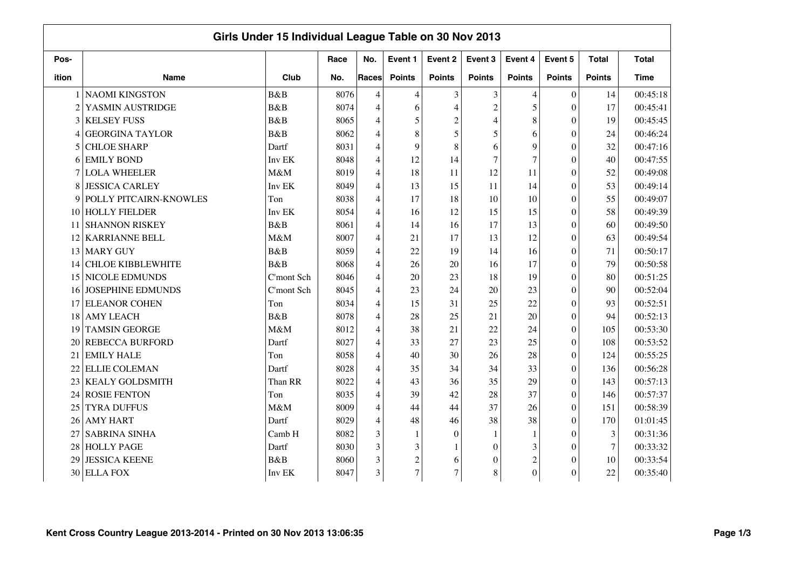|                |                          | Girls Under 15 Individual League Table on 30 Nov 2013 |      |                |                |                |                |                |                  |               |              |
|----------------|--------------------------|-------------------------------------------------------|------|----------------|----------------|----------------|----------------|----------------|------------------|---------------|--------------|
| Pos-           |                          |                                                       | Race | No.            | Event 1        | Event 2        | Event 3        | Event 4        | Event 5          | <b>Total</b>  | <b>Total</b> |
| ition          | <b>Name</b>              | Club                                                  | No.  | Races          | <b>Points</b>  | <b>Points</b>  | <b>Points</b>  | <b>Points</b>  | <b>Points</b>    | <b>Points</b> | <b>Time</b>  |
|                | <b>NAOMI KINGSTON</b>    | B&B                                                   | 8076 | 4              | $\overline{4}$ | 3              | 3              | $\overline{4}$ | $\overline{0}$   | 14            | 00:45:18     |
| $\overline{c}$ | YASMIN AUSTRIDGE         | B&B                                                   | 8074 | $\overline{4}$ | 6              | $\overline{4}$ | $\overline{c}$ | 5              | $\overline{0}$   | 17            | 00:45:41     |
| 3              | <b>KELSEY FUSS</b>       | B&B                                                   | 8065 | 4              | 5              | $\overline{2}$ | $\overline{4}$ | 8              | $\theta$         | 19            | 00:45:45     |
| 4              | <b>GEORGINA TAYLOR</b>   | B&B                                                   | 8062 | 4              | 8              | 5              | 5              | 6              | $\overline{0}$   | 24            | 00:46:24     |
| 5              | <b>CHLOE SHARP</b>       | Dartf                                                 | 8031 | 4              | 9              | 8              | 6              | 9              | $\overline{0}$   | 32            | 00:47:16     |
| 6              | <b>EMILY BOND</b>        | Inv EK                                                | 8048 | 4              | 12             | 14             | $\overline{7}$ | $\overline{7}$ | $\overline{0}$   | 40            | 00:47:55     |
|                | <b>LOLA WHEELER</b>      | M&M                                                   | 8019 | 4              | 18             | 11             | 12             | 11             | $\Omega$         | 52            | 00:49:08     |
| 8              | <b>JESSICA CARLEY</b>    | Inv EK                                                | 8049 | 4              | 13             | 15             | 11             | 14             | $\overline{0}$   | 53            | 00:49:14     |
| 9              | POLLY PITCAIRN-KNOWLES   | Ton                                                   | 8038 | 4              | 17             | 18             | 10             | 10             | $\theta$         | 55            | 00:49:07     |
| 10             | <b>HOLLY FIELDER</b>     | Inv EK                                                | 8054 | 4              | 16             | 12             | 15             | 15             | $\theta$         | 58            | 00:49:39     |
| 11             | <b>SHANNON RISKEY</b>    | B&B                                                   | 8061 | 4              | 14             | 16             | 17             | 13             | $\boldsymbol{0}$ | 60            | 00:49:50     |
| 12             | <b>KARRIANNE BELL</b>    | M&M                                                   | 8007 | 4              | 21             | 17             | 13             | 12             | $\theta$         | 63            | 00:49:54     |
| 13             | <b>MARY GUY</b>          | B&B                                                   | 8059 | 4              | 22             | 19             | 14             | 16             | $\theta$         | 71            | 00:50:17     |
| 14             | <b>CHLOE KIBBLEWHITE</b> | B&B                                                   | 8068 | 4              | 26             | 20             | 16             | 17             | $\theta$         | 79            | 00:50:58     |
| 15             | <b>NICOLE EDMUNDS</b>    | C'mont Sch                                            | 8046 | $\overline{4}$ | 20             | 23             | 18             | 19             | $\theta$         | 80            | 00:51:25     |
| 16             | <b>JOSEPHINE EDMUNDS</b> | C'mont Sch                                            | 8045 | 4              | 23             | 24             | 20             | 23             | $\overline{0}$   | 90            | 00:52:04     |
| 17             | <b>ELEANOR COHEN</b>     | Ton                                                   | 8034 | 4              | 15             | 31             | 25             | 22             | $\overline{0}$   | 93            | 00:52:51     |
| 18             | <b>AMY LEACH</b>         | B&B                                                   | 8078 | 4              | 28             | 25             | 21             | 20             | $\boldsymbol{0}$ | 94            | 00:52:13     |
| 19             | <b>TAMSIN GEORGE</b>     | M&M                                                   | 8012 | $\overline{4}$ | 38             | 21             | 22             | 24             | $\overline{0}$   | 105           | 00:53:30     |
| 20             | <b>REBECCA BURFORD</b>   | Dartf                                                 | 8027 | 4              | 33             | 27             | 23             | 25             | $\overline{0}$   | 108           | 00:53:52     |
| 21             | <b>EMILY HALE</b>        | Ton                                                   | 8058 | 4              | 40             | 30             | 26             | 28             | $\theta$         | 124           | 00:55:25     |
| 22             | <b>ELLIE COLEMAN</b>     | Dartf                                                 | 8028 | $\overline{4}$ | 35             | 34             | 34             | 33             | $\theta$         | 136           | 00:56:28     |
| 23             | <b>KEALY GOLDSMITH</b>   | Than RR                                               | 8022 | 4              | 43             | 36             | 35             | 29             | $\overline{0}$   | 143           | 00:57:13     |
| 24             | <b>ROSIE FENTON</b>      | Ton                                                   | 8035 | 4              | 39             | 42             | 28             | 37             | $\overline{0}$   | 146           | 00:57:37     |
| 25             | <b>TYRA DUFFUS</b>       | M&M                                                   | 8009 | $\overline{4}$ | 44             | 44             | 37             | 26             | $\theta$         | 151           | 00:58:39     |
| 26             | <b>AMY HART</b>          | Dartf                                                 | 8029 | 4              | 48             | 46             | 38             | 38             | $\boldsymbol{0}$ | 170           | 01:01:45     |
| 27             | <b>SABRINA SINHA</b>     | Camb H                                                | 8082 | 3              | 1              | $\mathbf{0}$   | 1              | 1              | $\overline{0}$   | 3             | 00:31:36     |
| 28             | <b>HOLLY PAGE</b>        | Dartf                                                 | 8030 | 3              | 3              | 1              | $\Omega$       | 3              | $\theta$         | $\tau$        | 00:33:32     |
| 29             | <b>JESSICA KEENE</b>     | <b>B</b> &B                                           | 8060 | 3              | $\overline{c}$ | 6              | 0              | $\overline{c}$ | $\theta$         | 10            | 00:33:54     |
| 30             | <b>ELLA FOX</b>          | Inv EK                                                | 8047 | 3              | $\overline{7}$ | $\overline{7}$ | 8              | $\overline{0}$ | $\theta$         | $22\,$        | 00:35:40     |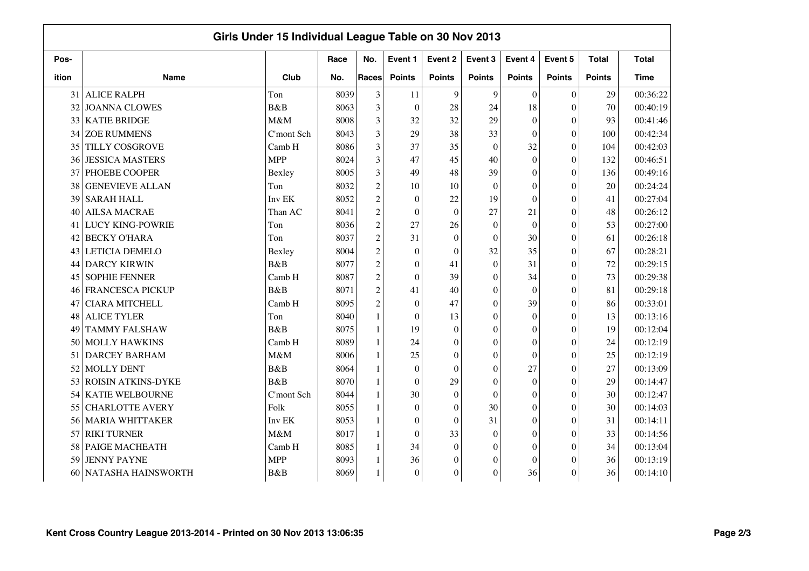|       |                           | Girls Under 15 Individual League Table on 30 Nov 2013 |      |                |                  |                  |                  |                  |                  |               |              |
|-------|---------------------------|-------------------------------------------------------|------|----------------|------------------|------------------|------------------|------------------|------------------|---------------|--------------|
| Pos-  |                           |                                                       | Race | No.            | Event 1          | Event 2          | Event 3          | Event 4          | Event 5          | <b>Total</b>  | <b>Total</b> |
| ition | <b>Name</b>               | Club                                                  | No.  | Races          | <b>Points</b>    | <b>Points</b>    | <b>Points</b>    | <b>Points</b>    | <b>Points</b>    | <b>Points</b> | <b>Time</b>  |
| 31    | <b>ALICE RALPH</b>        | Ton                                                   | 8039 | 3              | 11               | 9                | 9                | $\boldsymbol{0}$ | $\boldsymbol{0}$ | 29            | 00:36:22     |
| 32    | <b>JOANNA CLOWES</b>      | B&B                                                   | 8063 | 3              | $\mathbf{0}$     | 28               | 24               | 18               | $\theta$         | 70            | 00:40:19     |
| 33    | <b>KATIE BRIDGE</b>       | M&M                                                   | 8008 | 3              | 32               | 32               | 29               | $\overline{0}$   | $\boldsymbol{0}$ | 93            | 00:41:46     |
| 34    | <b>ZOE RUMMENS</b>        | C'mont Sch                                            | 8043 | 3              | 29               | 38               | 33               | $\mathbf{0}$     | $\boldsymbol{0}$ | 100           | 00:42:34     |
| 35    | TILLY COSGROVE            | Camb H                                                | 8086 | 3              | 37               | 35               | $\mathbf{0}$     | 32               | $\mathbf{0}$     | 104           | 00:42:03     |
| 36    | <b>JESSICA MASTERS</b>    | <b>MPP</b>                                            | 8024 | 3              | 47               | 45               | 40               | $\boldsymbol{0}$ | $\theta$         | 132           | 00:46:51     |
| 37    | PHOEBE COOPER             | Bexley                                                | 8005 | 3              | 49               | 48               | 39               | $\theta$         | $\theta$         | 136           | 00:49:16     |
| 38    | <b>GENEVIEVE ALLAN</b>    | Ton                                                   | 8032 | $\overline{c}$ | 10               | 10               | $\theta$         | $\overline{0}$   | $\theta$         | 20            | 00:24:24     |
| 39    | <b>SARAH HALL</b>         | Inv EK                                                | 8052 | $\overline{c}$ | $\mathbf{0}$     | 22               | 19               | $\mathbf{0}$     | $\theta$         | 41            | 00:27:04     |
| 40    | <b>AILSA MACRAE</b>       | Than AC                                               | 8041 | $\overline{c}$ | $\mathbf{0}$     | $\theta$         | 27               | 21               | $\theta$         | 48            | 00:26:12     |
| 41    | <b>LUCY KING-POWRIE</b>   | Ton                                                   | 8036 | $\overline{c}$ | 27               | 26               | $\theta$         | $\mathbf{0}$     | $\boldsymbol{0}$ | 53            | 00:27:00     |
| 42    | <b>BECKY O'HARA</b>       | Ton                                                   | 8037 | $\overline{c}$ | 31               | $\boldsymbol{0}$ | $\theta$         | 30               | $\mathbf{0}$     | 61            | 00:26:18     |
| 43    | LETICIA DEMELO            | Bexley                                                | 8004 | $\overline{c}$ | $\boldsymbol{0}$ | $\theta$         | 32               | 35               | $\boldsymbol{0}$ | 67            | 00:28:21     |
| 44    | <b>DARCY KIRWIN</b>       | B&B                                                   | 8077 | $\sqrt{2}$     | $\boldsymbol{0}$ | 41               | $\theta$         | 31               | $\theta$         | $72\,$        | 00:29:15     |
| 45    | <b>SOPHIE FENNER</b>      | Camb H                                                | 8087 | $\overline{c}$ | $\mathbf{0}$     | 39               | $\theta$         | 34               | $\theta$         | 73            | 00:29:38     |
| 46    | <b>FRANCESCA PICKUP</b>   | B&B                                                   | 8071 | $\overline{c}$ | 41               | 40               | $\theta$         | $\mathbf{0}$     | $\theta$         | 81            | 00:29:18     |
| 47    | <b>CIARA MITCHELL</b>     | Camb H                                                | 8095 | $\mathfrak 2$  | $\boldsymbol{0}$ | 47               | $\mathbf{0}$     | 39               | $\boldsymbol{0}$ | 86            | 00:33:01     |
| 48    | <b>ALICE TYLER</b>        | Ton                                                   | 8040 |                | $\boldsymbol{0}$ | 13               | $\Omega$         | $\overline{0}$   | $\boldsymbol{0}$ | 13            | 00:13:16     |
| 49    | <b>TAMMY FALSHAW</b>      | B&B                                                   | 8075 |                | 19               | $\boldsymbol{0}$ | $\mathbf{0}$     | $\mathbf{0}$     | $\boldsymbol{0}$ | 19            | 00:12:04     |
| 50    | <b>MOLLY HAWKINS</b>      | Camb H                                                | 8089 | 1              | 24               | $\boldsymbol{0}$ | $\Omega$         | $\overline{0}$   | $\theta$         | 24            | 00:12:19     |
| 51    | <b>DARCEY BARHAM</b>      | M&M                                                   | 8006 |                | 25               | $\boldsymbol{0}$ | $\Omega$         | $\mathbf{0}$     | $\theta$         | 25            | 00:12:19     |
| 52    | <b>MOLLY DENT</b>         | B&B                                                   | 8064 |                | $\mathbf{0}$     | $\boldsymbol{0}$ | $\theta$         | 27               | $\theta$         | 27            | 00:13:09     |
| 53    | <b>ROISIN ATKINS-DYKE</b> | B&B                                                   | 8070 | -1             | $\boldsymbol{0}$ | 29               | $\theta$         | $\overline{0}$   | $\theta$         | 29            | 00:14:47     |
| 54    | <b>KATIE WELBOURNE</b>    | C'mont Sch                                            | 8044 | 1              | 30               | $\boldsymbol{0}$ | $\theta$         | $\overline{0}$   | $\theta$         | 30            | 00:12:47     |
| 55    | <b>CHARLOTTE AVERY</b>    | Folk                                                  | 8055 | 1              | $\boldsymbol{0}$ | $\overline{0}$   | 30               | $\overline{0}$   | $\overline{0}$   | 30            | 00:14:03     |
| 56    | <b>MARIA WHITTAKER</b>    | Inv EK                                                | 8053 |                | $\boldsymbol{0}$ | $\boldsymbol{0}$ | 31               | $\overline{0}$   | $\boldsymbol{0}$ | 31            | 00:14:11     |
| 57    | <b>RIKI TURNER</b>        | M&M                                                   | 8017 | 1              | $\mathbf{0}$     | 33               | $\theta$         | $\overline{0}$   | $\theta$         | 33            | 00:14:56     |
| 58    | PAIGE MACHEATH            | Camb H                                                | 8085 | 1              | 34               | $\boldsymbol{0}$ | $\Omega$         | $\mathbf{0}$     | $\theta$         | 34            | 00:13:04     |
| 59    | <b>JENNY PAYNE</b>        | <b>MPP</b>                                            | 8093 |                | 36               | $\overline{0}$   | $\boldsymbol{0}$ | $\overline{0}$   | $\theta$         | 36            | 00:13:19     |
| 60    | NATASHA HAINSWORTH        | B&B                                                   | 8069 |                | $\mathbf{0}$     | $\theta$         | $\Omega$         | 36               | $\theta$         | 36            | 00:14:10     |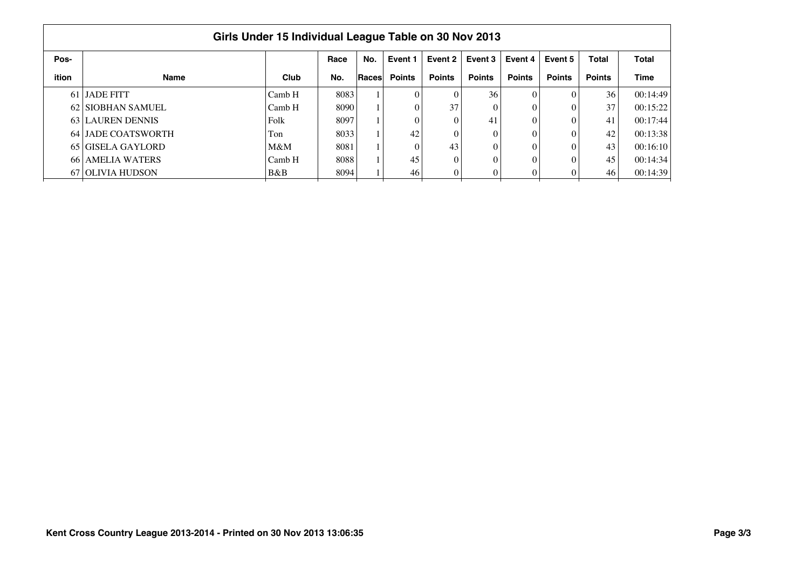|       | Girls Under 15 Individual League Table on 30 Nov 2013 |        |      |       |               |               |               |               |               |               |             |  |  |  |
|-------|-------------------------------------------------------|--------|------|-------|---------------|---------------|---------------|---------------|---------------|---------------|-------------|--|--|--|
| Pos-  |                                                       |        | Race | No.   | Event 1       | Event 2       | Event 3       | Event 4       | Event 5       | <b>Total</b>  | Total       |  |  |  |
| ition | Name                                                  | Club   | No.  | Races | <b>Points</b> | <b>Points</b> | <b>Points</b> | <b>Points</b> | <b>Points</b> | <b>Points</b> | <b>Time</b> |  |  |  |
|       | 61 JADE FITT                                          | Camb H | 8083 |       |               |               | 36            |               |               | 36            | 00:14:49    |  |  |  |
|       | 62 SIOBHAN SAMUEL                                     | Camb H | 8090 |       |               | 37            |               |               |               | 37            | 00:15:22    |  |  |  |
|       | 63 LAUREN DENNIS                                      | Folk   | 8097 |       |               |               | 41            |               |               | 41            | 00:17:44    |  |  |  |
|       | 64 LIADE COATSWORTH                                   | Ton    | 8033 |       | 42            |               |               |               |               | 42            | 00:13:38    |  |  |  |
|       | 65 GISELA GAYLORD                                     | $M\&M$ | 8081 |       |               | 43            | $\theta$      |               |               | 43            | 00:16:10    |  |  |  |
|       | 66 AMELIA WATERS                                      | Camb H | 8088 |       | 45            |               | $\theta$      |               |               | 45            | 00:14:34    |  |  |  |
|       | 67 OLIVIA HUDSON                                      | B&B    | 8094 |       | 46            |               | 0             |               |               | 46            | 00:14:39    |  |  |  |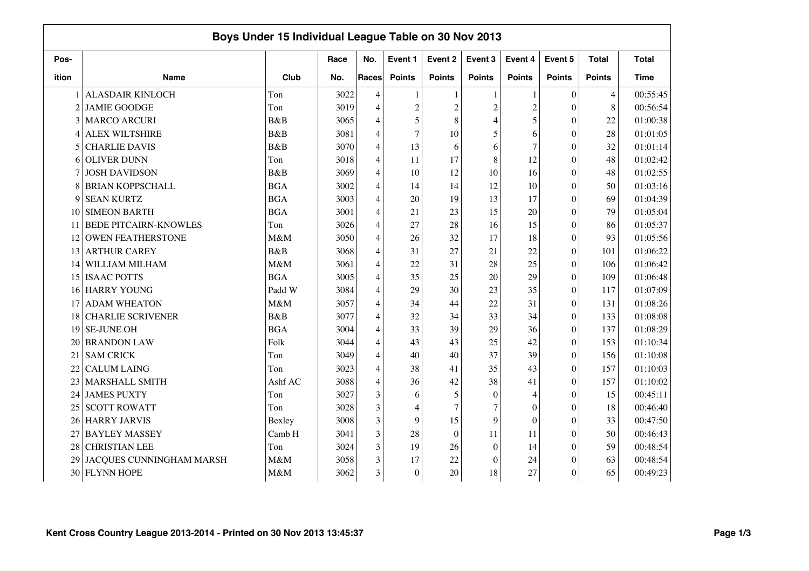|                | Boys Under 15 Individual League Table on 30 Nov 2013 |            |      |                |                |                |                |                  |                  |                |              |  |  |
|----------------|------------------------------------------------------|------------|------|----------------|----------------|----------------|----------------|------------------|------------------|----------------|--------------|--|--|
| Pos-           |                                                      |            | Race | No.            | Event 1        | Event 2        | Event 3        | Event 4          | Event 5          | <b>Total</b>   | <b>Total</b> |  |  |
| ition          | <b>Name</b>                                          | Club       | No.  | <b>Races</b>   | <b>Points</b>  | <b>Points</b>  | <b>Points</b>  | <b>Points</b>    | <b>Points</b>    | <b>Points</b>  | <b>Time</b>  |  |  |
|                | <b>ALASDAIR KINLOCH</b>                              | Ton        | 3022 | $\overline{4}$ | $\mathbf{1}$   |                |                | 1                | $\theta$         | $\overline{4}$ | 00:55:45     |  |  |
| $\overline{2}$ | <b>JAMIE GOODGE</b>                                  | Ton        | 3019 | $\overline{4}$ | $\overline{c}$ | $\overline{c}$ | $\overline{2}$ | $\overline{c}$   | $\theta$         | 8              | 00:56:54     |  |  |
| 3              | <b>MARCO ARCURI</b>                                  | B&B        | 3065 | 4              | 5              | 8              | 4              | 5                | $\theta$         | 22             | 01:00:38     |  |  |
| 4              | <b>ALEX WILTSHIRE</b>                                | B&B        | 3081 | $\overline{4}$ | $\overline{7}$ | 10             | 5              | 6                | $\theta$         | 28             | 01:01:05     |  |  |
| 5              | <b>CHARLIE DAVIS</b>                                 | B&B        | 3070 | 4              | 13             | 6              | 6              | $\overline{7}$   | $\overline{0}$   | 32             | 01:01:14     |  |  |
| 6              | <b>OLIVER DUNN</b>                                   | Ton        | 3018 | 4              | 11             | 17             | 8              | 12               | $\theta$         | 48             | 01:02:42     |  |  |
|                | <b>JOSH DAVIDSON</b>                                 | B&B        | 3069 | 4              | 10             | 12             | 10             | 16               | $\theta$         | 48             | 01:02:55     |  |  |
| 8              | <b>BRIAN KOPPSCHALL</b>                              | <b>BGA</b> | 3002 | 4              | 14             | 14             | 12             | 10               | $\overline{0}$   | 50             | 01:03:16     |  |  |
| 9              | <b>SEAN KURTZ</b>                                    | <b>BGA</b> | 3003 | 4              | 20             | 19             | 13             | 17               | $\overline{0}$   | 69             | 01:04:39     |  |  |
| 10             | <b>SIMEON BARTH</b>                                  | <b>BGA</b> | 3001 | 4              | 21             | 23             | 15             | 20               | $\overline{0}$   | 79             | 01:05:04     |  |  |
| 11             | <b>BEDE PITCAIRN-KNOWLES</b>                         | Ton        | 3026 | 4              | 27             | 28             | 16             | 15               | $\mathbf{0}$     | 86             | 01:05:37     |  |  |
| 12             | <b>OWEN FEATHERSTONE</b>                             | M&M        | 3050 | 4              | 26             | 32             | 17             | 18               | $\boldsymbol{0}$ | 93             | 01:05:56     |  |  |
| 13             | <b>ARTHUR CAREY</b>                                  | B&B        | 3068 | 4              | 31             | 27             | 21             | 22               | $\theta$         | 101            | 01:06:22     |  |  |
| 14             | WILLIAM MILHAM                                       | M&M        | 3061 | 4              | 22             | 31             | 28             | 25               | $\theta$         | 106            | 01:06:42     |  |  |
| 15             | <b>ISAAC POTTS</b>                                   | <b>BGA</b> | 3005 | $\overline{4}$ | 35             | 25             | 20             | 29               | $\theta$         | 109            | 01:06:48     |  |  |
| 16             | <b>HARRY YOUNG</b>                                   | Padd W     | 3084 | 4              | 29             | 30             | 23             | 35               | $\theta$         | 117            | 01:07:09     |  |  |
| 17             | <b>ADAM WHEATON</b>                                  | M&M        | 3057 | 4              | 34             | 44             | 22             | 31               | $\theta$         | 131            | 01:08:26     |  |  |
| 18             | <b>CHARLIE SCRIVENER</b>                             | B&B        | 3077 | 4              | 32             | 34             | 33             | 34               | $\theta$         | 133            | 01:08:08     |  |  |
| 19             | <b>SE-JUNE OH</b>                                    | <b>BGA</b> | 3004 | $\overline{4}$ | 33             | 39             | 29             | 36               | $\theta$         | 137            | 01:08:29     |  |  |
| 20             | <b>BRANDON LAW</b>                                   | Folk       | 3044 | 4              | 43             | 43             | 25             | 42               | $\theta$         | 153            | 01:10:34     |  |  |
| 21             | <b>SAM CRICK</b>                                     | Ton        | 3049 | 4              | 40             | 40             | 37             | 39               | $\theta$         | 156            | 01:10:08     |  |  |
| 22             | <b>CALUM LAING</b>                                   | Ton        | 3023 | $\overline{4}$ | 38             | 41             | 35             | 43               | $\theta$         | 157            | 01:10:03     |  |  |
| 23             | <b>MARSHALL SMITH</b>                                | Ashf AC    | 3088 | 4              | 36             | 42             | 38             | 41               | $\theta$         | 157            | 01:10:02     |  |  |
| 24             | <b>JAMES PUXTY</b>                                   | Ton        | 3027 | 3              | 6              | 5              | $\theta$       | 4                | $\Omega$         | 15             | 00:45:11     |  |  |
| 25             | <b>SCOTT ROWATT</b>                                  | Ton        | 3028 | 3              | 4              | $\overline{7}$ | 7              | $\mathbf{0}$     | $\theta$         | 18             | 00:46:40     |  |  |
| 26             | <b>HARRY JARVIS</b>                                  | Bexley     | 3008 | 3              | 9              | 15             | 9              | $\boldsymbol{0}$ | $\theta$         | 33             | 00:47:50     |  |  |
| 27             | <b>BAYLEY MASSEY</b>                                 | Camb H     | 3041 | 3              | 28             | $\mathbf{0}$   | 11             | 11               | $\theta$         | 50             | 00:46:43     |  |  |
| 28             | <b>CHRISTIAN LEE</b>                                 | Ton        | 3024 | 3              | 19             | 26             | $\mathbf{0}$   | 14               | $\theta$         | 59             | 00:48:54     |  |  |
| 29             | JACQUES CUNNINGHAM MARSH                             | M&M        | 3058 | 3              | 17             | 22             | $\Omega$       | 24               | $\theta$         | 63             | 00:48:54     |  |  |
| 30             | <b>FLYNN HOPE</b>                                    | M&M        | 3062 | 3              | $\mathbf{0}$   | 20             | 18             | 27               | $\theta$         | 65             | 00:49:23     |  |  |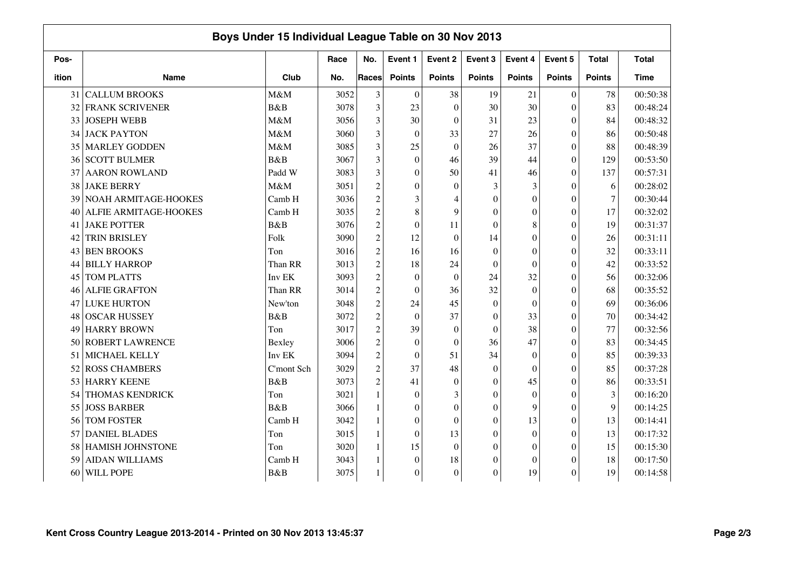|       |                         | Boys Under 15 Individual League Table on 30 Nov 2013 |      |                |                  |                  |                  |                |                  |                |              |
|-------|-------------------------|------------------------------------------------------|------|----------------|------------------|------------------|------------------|----------------|------------------|----------------|--------------|
| Pos-  |                         |                                                      | Race | No.            | Event 1          | Event 2          | Event 3          | Event 4        | Event 5          | <b>Total</b>   | <b>Total</b> |
| ition | <b>Name</b>             | Club                                                 | No.  | Races          | <b>Points</b>    | <b>Points</b>    | <b>Points</b>    | <b>Points</b>  | <b>Points</b>    | <b>Points</b>  | Time         |
| 31    | <b>CALLUM BROOKS</b>    | M&M                                                  | 3052 | 3              | $\theta$         | 38               | 19               | 21             | $\overline{0}$   | 78             | 00:50:38     |
| 32    | <b>FRANK SCRIVENER</b>  | B&B                                                  | 3078 | 3              | 23               | $\overline{0}$   | 30               | 30             | $\overline{0}$   | 83             | 00:48:24     |
| 33    | <b>JOSEPH WEBB</b>      | M&M                                                  | 3056 | 3              | 30               | $\theta$         | 31               | 23             | $\theta$         | 84             | 00:48:32     |
| 34    | <b>JACK PAYTON</b>      | M&M                                                  | 3060 | 3              | $\mathbf{0}$     | 33               | 27               | 26             | $\overline{0}$   | 86             | 00:50:48     |
| 35    | <b>MARLEY GODDEN</b>    | M&M                                                  | 3085 | 3              | 25               | $\mathbf{0}$     | 26               | 37             | $\overline{0}$   | 88             | 00:48:39     |
| 36    | <b>SCOTT BULMER</b>     | <b>B</b> &B                                          | 3067 | 3              | $\theta$         | 46               | 39               | 44             | $\overline{0}$   | 129            | 00:53:50     |
| 37    | <b>AARON ROWLAND</b>    | Padd W                                               | 3083 | 3              | $\mathbf{0}$     | 50               | 41               | 46             | $\boldsymbol{0}$ | 137            | 00:57:31     |
| 38    | <b>JAKE BERRY</b>       | M&M                                                  | 3051 | $\overline{c}$ | $\boldsymbol{0}$ | $\boldsymbol{0}$ | 3                | 3              | $\overline{0}$   | 6              | 00:28:02     |
| 39    | NOAH ARMITAGE-HOOKES    | Camb H                                               | 3036 | $\overline{c}$ | 3                | $\overline{A}$   | $\theta$         | $\overline{0}$ | $\theta$         | 7              | 00:30:44     |
| 40    | ALFIE ARMITAGE-HOOKES   | Camb H                                               | 3035 | $\overline{c}$ | $8\,$            | 9                | $\Omega$         | $\overline{0}$ | $\theta$         | 17             | 00:32:02     |
| 41    | <b>JAKE POTTER</b>      | B&B                                                  | 3076 | $\overline{c}$ | $\mathbf{0}$     | 11               | $\Omega$         | 8              | $\boldsymbol{0}$ | 19             | 00:31:37     |
| 42    | TRIN BRISLEY            | Folk                                                 | 3090 | $\overline{c}$ | 12               | $\boldsymbol{0}$ | 14               | $\theta$       | $\theta$         | 26             | 00:31:11     |
| 43    | <b>BEN BROOKS</b>       | Ton                                                  | 3016 | $\overline{c}$ | 16               | 16               | $\Omega$         | $\overline{0}$ | $\theta$         | 32             | 00:33:11     |
| 44    | <b>BILLY HARROP</b>     | Than RR                                              | 3013 | $\mathfrak 2$  | 18               | 24               | $\theta$         | $\theta$       | $\theta$         | 42             | 00:33:52     |
| 45    | <b>TOM PLATTS</b>       | Inv EK                                               | 3093 | $\overline{c}$ | $\mathbf{0}$     | $\boldsymbol{0}$ | 24               | 32             | $\theta$         | 56             | 00:32:06     |
| 46    | <b>ALFIE GRAFTON</b>    | Than RR                                              | 3014 | $\overline{c}$ | $\mathbf{0}$     | 36               | 32               | $\overline{0}$ | $\theta$         | 68             | 00:35:52     |
| 47    | <b>LUKE HURTON</b>      | New'ton                                              | 3048 | $\overline{c}$ | 24               | 45               | $\mathbf{0}$     | $\mathbf{0}$   | $\overline{0}$   | 69             | 00:36:06     |
| 48    | <b>OSCAR HUSSEY</b>     | B&B                                                  | 3072 | $\overline{c}$ | $\mathbf{0}$     | 37               | $\theta$         | 33             | $\boldsymbol{0}$ | 70             | 00:34:42     |
| 49    | <b>HARRY BROWN</b>      | Ton                                                  | 3017 | $\overline{c}$ | 39               | $\boldsymbol{0}$ | $\Omega$         | 38             | $\overline{0}$   | 77             | 00:32:56     |
| 50    | <b>ROBERT LAWRENCE</b>  | Bexley                                               | 3006 | $\overline{c}$ | $\mathbf{0}$     | $\theta$         | 36               | 47             | $\overline{0}$   | 83             | 00:34:45     |
| 51    | MICHAEL KELLY           | Inv EK                                               | 3094 | $\overline{c}$ | $\boldsymbol{0}$ | 51               | 34               | $\theta$       | $\theta$         | 85             | 00:39:33     |
| 52    | <b>ROSS CHAMBERS</b>    | C'mont Sch                                           | 3029 | $\overline{c}$ | 37               | 48               | $\theta$         | $\theta$       | $\theta$         | 85             | 00:37:28     |
| 53    | <b>HARRY KEENE</b>      | B&B                                                  | 3073 | $\overline{c}$ | 41               | $\theta$         | $\Omega$         | 45             | $\overline{0}$   | 86             | 00:33:51     |
| 54    | <b>THOMAS KENDRICK</b>  | Ton                                                  | 3021 | $\mathbf{1}$   | $\Omega$         | 3                | $\Omega$         | $\theta$       | $\overline{0}$   | $\mathfrak{Z}$ | 00:16:20     |
| 55    | <b>JOSS BARBER</b>      | B&B                                                  | 3066 |                | $\theta$         | $\overline{0}$   | $\Omega$         | 9              | $\theta$         | 9              | 00:14:25     |
| 56    | TOM FOSTER              | Camb H                                               | 3042 |                | $\boldsymbol{0}$ | $\overline{0}$   | $\boldsymbol{0}$ | 13             | $\boldsymbol{0}$ | 13             | 00:14:41     |
| 57    | <b>DANIEL BLADES</b>    | Ton                                                  | 3015 | 1              | $\boldsymbol{0}$ | 13               | $\theta$         | $\overline{0}$ | $\overline{0}$   | 13             | 00:17:32     |
| 58    | <b>HAMISH JOHNSTONE</b> | Ton                                                  | 3020 | 1              | 15               | $\boldsymbol{0}$ | $\Omega$         | $\theta$       | $\theta$         | 15             | 00:15:30     |
| 59    | <b>AIDAN WILLIAMS</b>   | Camb H                                               | 3043 |                | $\mathbf{0}$     | 18               | $\Omega$         | $\overline{0}$ | $\theta$         | 18             | 00:17:50     |
| 60    | WILL POPE               | B&B                                                  | 3075 |                | $\mathbf{0}$     | $\theta$         | $\Omega$         | 19             | $\theta$         | 19             | 00:14:58     |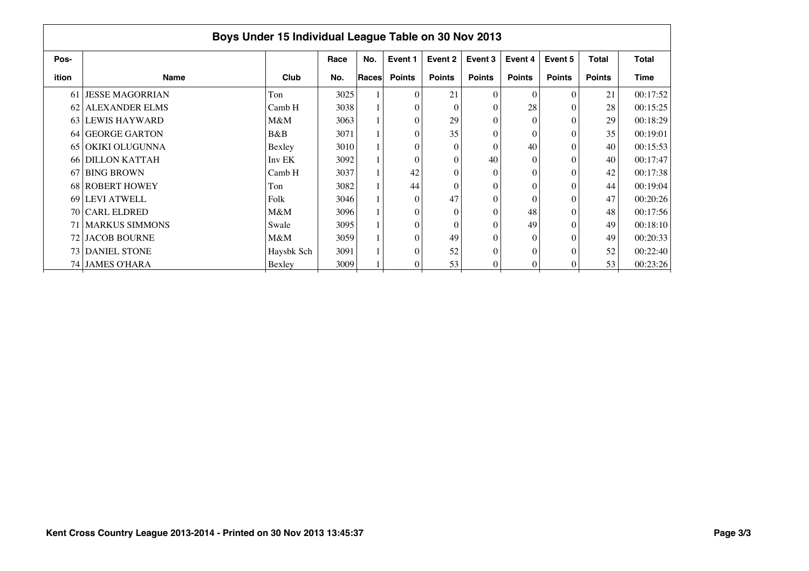|       | Boys Under 15 Individual League Table on 30 Nov 2013 |            |      |       |               |               |                |               |               |               |          |  |  |  |
|-------|------------------------------------------------------|------------|------|-------|---------------|---------------|----------------|---------------|---------------|---------------|----------|--|--|--|
| Pos-  |                                                      |            | Race | No.   | Event 1       | Event 2       | Event 3        | Event 4       | Event 5       | <b>Total</b>  | Total    |  |  |  |
| ition | <b>Name</b>                                          | Club       | No.  | Races | <b>Points</b> | <b>Points</b> | <b>Points</b>  | <b>Points</b> | <b>Points</b> | <b>Points</b> | Time     |  |  |  |
| 61    | LJESSE MAGORRIAN                                     | Ton        | 3025 |       | $\theta$      | 21            | $\Omega$       | $\Omega$      | $\Omega$      | 21            | 00:17:52 |  |  |  |
|       | 62 ALEXANDER ELMS                                    | Camb H     | 3038 |       | $\theta$      | $\Omega$      |                | 28            | $\Omega$      | 28            | 00:15:25 |  |  |  |
|       | 63 LEWIS HAYWARD                                     | M&M        | 3063 |       | $\theta$      | 29            |                | $\Omega$      | $\Omega$      | 29            | 00:18:29 |  |  |  |
|       | 64 GEORGE GARTON                                     | B&B        | 3071 |       | $\theta$      | 35            |                | $\Omega$      | $\Omega$      | 35            | 00:19:01 |  |  |  |
|       | 65 OKIKI OLUGUNNA                                    | Bexley     | 3010 |       | $\theta$      | $\Omega$      |                | 40            | $\Omega$      | 40            | 00:15:53 |  |  |  |
|       | 66 DILLON KATTAH                                     | Inv EK     | 3092 |       | $\theta$      | $\Omega$      | 40             | $\Omega$      | $\Omega$      | 40            | 00:17:47 |  |  |  |
| 67    | <b>BING BROWN</b>                                    | Camb H     | 3037 |       | 42            | $\Omega$      |                | $\theta$      | $\Omega$      | 42            | 00:17:38 |  |  |  |
|       | 68 ROBERT HOWEY                                      | Ton        | 3082 |       | 44            | $\Omega$      |                | $\Omega$      | $\Omega$      | 44            | 00:19:04 |  |  |  |
|       | 69 LEVI ATWELL                                       | Folk       | 3046 |       | $\theta$      | 47            | $\theta$       | $\Omega$      | $\Omega$      | 47            | 00:20:26 |  |  |  |
|       | 70 CARL ELDRED                                       | M&M        | 3096 |       | $\theta$      | $\Omega$      | $\theta$       | 48            | $\Omega$      | 48            | 00:17:56 |  |  |  |
|       | <b>71 MARKUS SIMMONS</b>                             | Swale      | 3095 |       | $\theta$      | $\Omega$      |                | 49            | $\Omega$      | 49            | 00:18:10 |  |  |  |
|       | 72 JACOB BOURNE                                      | M&M        | 3059 |       | $\theta$      | 49            |                | $\Omega$      | $\Omega$      | 49            | 00:20:33 |  |  |  |
|       | 73 DANIEL STONE                                      | Haysbk Sch | 3091 |       | $\theta$      | 52            | $\Omega$       | $\Omega$      | $\Omega$      | $52\,$        | 00:22:40 |  |  |  |
|       | 74 JAMES O'HARA                                      | Bexley     | 3009 |       | 0             | 53            | $\overline{0}$ | 0             | 0             | 53            | 00:23:26 |  |  |  |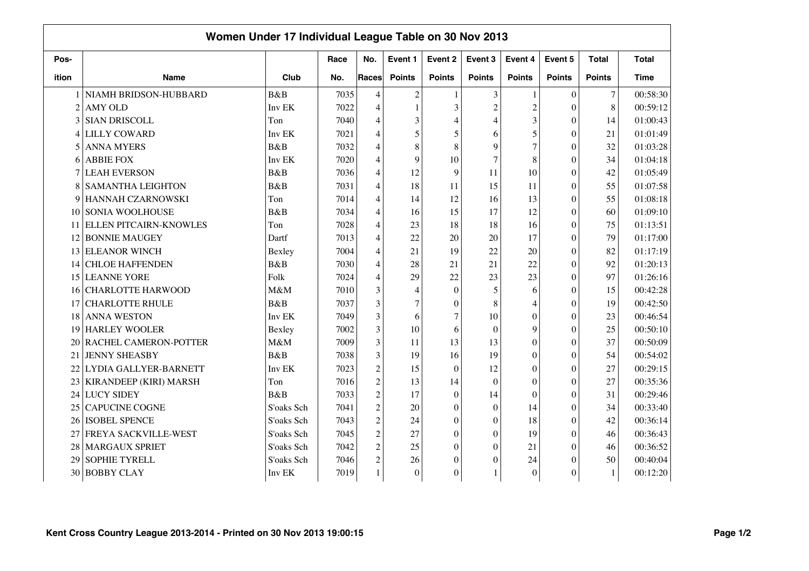|                | Women Under 17 Individual League Table on 30 Nov 2013 |            |      |                                                 |                  |                  |                |                  |                  |               |              |
|----------------|-------------------------------------------------------|------------|------|-------------------------------------------------|------------------|------------------|----------------|------------------|------------------|---------------|--------------|
| Pos-           |                                                       |            | Race | No.                                             | Event 1          | Event 2          | Event 3        | Event 4          | Event 5          | <b>Total</b>  | <b>Total</b> |
| ition          | <b>Name</b>                                           | Club       | No.  | Races                                           | <b>Points</b>    | <b>Points</b>    | <b>Points</b>  | <b>Points</b>    | <b>Points</b>    | <b>Points</b> | <b>Time</b>  |
|                | NIAMH BRIDSON-HUBBARD                                 | B&B        | 7035 | 4                                               | $\overline{c}$   |                  | 3              | $\mathbf{1}$     | $\overline{0}$   | $\tau$        | 00:58:30     |
| $\overline{2}$ | <b>AMY OLD</b>                                        | Inv EK     | 7022 | $\overline{4}$                                  | 1                | 3                | $\overline{c}$ | $\overline{c}$   | $\overline{0}$   | 8             | 00:59:12     |
| 3              | <b>SIAN DRISCOLL</b>                                  | Ton        | 7040 | 4                                               | 3                | $\overline{4}$   | $\overline{4}$ | 3                | $\overline{0}$   | 14            | 01:00:43     |
| 4              | <b>LILLY COWARD</b>                                   | Inv EK     | 7021 | 4                                               | 5                | 5                | 6              | 5                | $\boldsymbol{0}$ | 21            | 01:01:49     |
| 5              | <b>ANNA MYERS</b>                                     | B&B        | 7032 | 4                                               | 8                | 8                | 9              | $\overline{7}$   | $\boldsymbol{0}$ | 32            | 01:03:28     |
| 6              | <b>ABBIE FOX</b>                                      | Inv EK     | 7020 | 4                                               | 9                | 10               | 7              | 8                | $\theta$         | 34            | 01:04:18     |
| 7              | <b>LEAH EVERSON</b>                                   | B&B        | 7036 | 4                                               | 12               | 9                | 11             | 10               | $\theta$         | 42            | 01:05:49     |
| 8              | <b>SAMANTHA LEIGHTON</b>                              | B&B        | 7031 | 4                                               | 18               | 11               | 15             | 11               | $\theta$         | 55            | 01:07:58     |
| 9              | HANNAH CZARNOWSKI                                     | Ton        | 7014 | 4                                               | 14               | 12               | 16             | 13               | $\overline{0}$   | 55            | 01:08:18     |
| 10             | SONIA WOOLHOUSE                                       | B&B        | 7034 | $\overline{4}$                                  | 16               | 15               | 17             | 12               | $\overline{0}$   | 60            | 01:09:10     |
| 11             | ELLEN PITCAIRN-KNOWLES                                | Ton        | 7028 | $\overline{4}$                                  | 23               | 18               | 18             | 16               | $\theta$         | 75            | 01:13:51     |
| 12             | <b>BONNIE MAUGEY</b>                                  | Dartf      | 7013 | 4                                               | 22               | 20               | 20             | 17               | $\overline{0}$   | 79            | 01:17:00     |
| 13             | <b>ELEANOR WINCH</b>                                  | Bexley     | 7004 | 4                                               | 21               | 19               | 22             | 20               | $\overline{0}$   | 82            | 01:17:19     |
| 14             | <b>CHLOE HAFFENDEN</b>                                | B&B        | 7030 | 4                                               | 28               | 21               | 21             | 22               | $\overline{0}$   | 92            | 01:20:13     |
| 15             | <b>LEANNE YORE</b>                                    | Folk       | 7024 | $\overline{4}$                                  | 29               | 22               | 23             | 23               | $\Omega$         | 97            | 01:26:16     |
| 16             | <b>CHARLOTTE HARWOOD</b>                              | M&M        | 7010 | 3                                               | 4                | $\boldsymbol{0}$ | 5              | 6                | $\theta$         | 15            | 00:42:28     |
| 17             | <b>CHARLOTTE RHULE</b>                                | B&B        | 7037 | 3                                               | $\tau$           | $\theta$         | 8              | 4                | $\overline{0}$   | 19            | 00:42:50     |
| 18             | <b>ANNA WESTON</b>                                    | Inv EK     | 7049 | 3                                               | 6                | $\overline{7}$   | 10             | $\overline{0}$   | $\overline{0}$   | 23            | 00:46:54     |
| 19             | <b>HARLEY WOOLER</b>                                  | Bexley     | 7002 | 3                                               | 10               | 6                | $\mathbf{0}$   | 9                | $\boldsymbol{0}$ | 25            | 00:50:10     |
| 20             | RACHEL CAMERON-POTTER                                 | M&M        | 7009 | 3                                               | 11               | 13               | 13             | $\boldsymbol{0}$ | $\overline{0}$   | 37            | 00:50:09     |
| 21             | <b>JENNY SHEASBY</b>                                  | B&B        | 7038 | 3                                               | 19               | 16               | 19             | $\theta$         | $\overline{0}$   | 54            | 00:54:02     |
| 22             | LYDIA GALLYER-BARNETT                                 | Inv EK     | 7023 | $\mathfrak 2$                                   | 15               | $\boldsymbol{0}$ | 12             | $\theta$         | $\theta$         | 27            | 00:29:15     |
| 23             | KIRANDEEP (KIRI) MARSH                                | Ton        | 7016 | $\overline{c}$                                  | 13               | 14               | $\theta$       | $\theta$         | $\overline{0}$   | 27            | 00:35:36     |
| 24             | <b>LUCY SIDEY</b>                                     | B&B        | 7033 | $\overline{c}$                                  | 17               | $\theta$         | 14             | $\theta$         | $\overline{0}$   | 31            | 00:29:46     |
| 25             | <b>CAPUCINE COGNE</b>                                 | S'oaks Sch | 7041 | $\mathfrak{2}% \left( \mathfrak{2}\right) ^{2}$ | 20               | $\overline{0}$   | $\Omega$       | 14               | $\overline{0}$   | 34            | 00:33:40     |
| 26             | <b>ISOBEL SPENCE</b>                                  | S'oaks Sch | 7043 | $\overline{c}$                                  | 24               | $\boldsymbol{0}$ | $\Omega$       | 18               | $\theta$         | 42            | 00:36:14     |
| 27             | FREYA SACKVILLE-WEST                                  | S'oaks Sch | 7045 | $\overline{c}$                                  | $27\,$           | $\overline{0}$   | $\Omega$       | 19               | $\overline{0}$   | 46            | 00:36:43     |
| 28             | MARGAUX SPRIET                                        | S'oaks Sch | 7042 | $\mathfrak{2}% \left( \mathfrak{2}\right) ^{2}$ | 25               | $\overline{0}$   | $\Omega$       | 21               | $\overline{0}$   | 46            | 00:36:52     |
| 29             | SOPHIE TYRELL                                         | S'oaks Sch | 7046 | $\overline{c}$                                  | 26               | $\theta$         | $\Omega$       | 24               | $\Omega$         | 50            | 00:40:04     |
| 30             | <b>BOBBY CLAY</b>                                     | Inv EK     | 7019 |                                                 | $\boldsymbol{0}$ | $\overline{0}$   |                | $\boldsymbol{0}$ | $\overline{0}$   | $\mathbf{1}$  | 00:12:20     |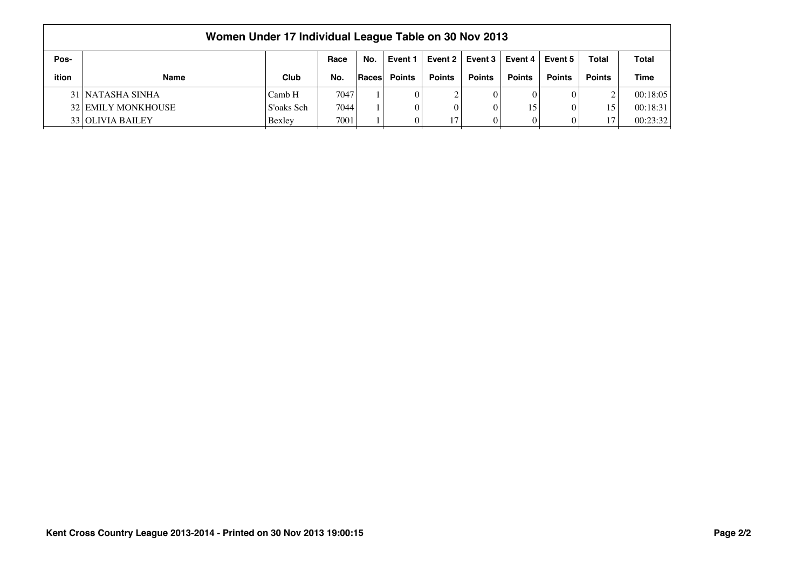|       | Women Under 17 Individual League Table on 30 Nov 2013                                        |            |      |              |               |               |               |               |               |               |          |  |  |  |
|-------|----------------------------------------------------------------------------------------------|------------|------|--------------|---------------|---------------|---------------|---------------|---------------|---------------|----------|--|--|--|
| Pos-  | Event 2<br>Total<br>Event 3<br>Event 4 $\vert$<br>Total<br>No.<br>Race<br>Event 5<br>Event 1 |            |      |              |               |               |               |               |               |               |          |  |  |  |
| ition | Name                                                                                         | Club       | No.  | <b>Races</b> | <b>Points</b> | <b>Points</b> | <b>Points</b> | <b>Points</b> | <b>Points</b> | <b>Points</b> | Time     |  |  |  |
|       | 31 NATASHA SINHA                                                                             | Camb H     | 7047 |              |               |               |               | $\theta$      |               |               | 00:18:05 |  |  |  |
|       | <b>32 EMILY MONKHOUSE</b>                                                                    | S'oaks Sch | 7044 |              | $\Omega$      |               |               | 15            |               | 15            | 00:18:31 |  |  |  |
|       | 33 OLIVIA BAILEY<br>7001<br>00:23:32<br>17<br>$\mathbf{0}$<br>17<br>Bexley<br>$\theta$       |            |      |              |               |               |               |               |               |               |          |  |  |  |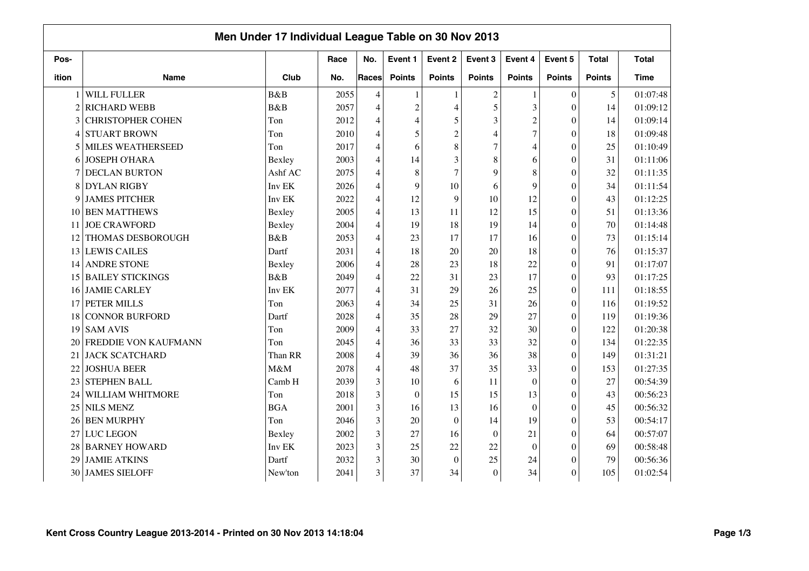|                | Men Under 17 Individual League Table on 30 Nov 2013 |             |      |                |                |                  |                |                |                  |               |              |  |  |
|----------------|-----------------------------------------------------|-------------|------|----------------|----------------|------------------|----------------|----------------|------------------|---------------|--------------|--|--|
| Pos-           |                                                     |             | Race | No.            | Event 1        | Event 2          | Event 3        | Event 4        | Event 5          | <b>Total</b>  | <b>Total</b> |  |  |
| ition          | <b>Name</b>                                         | Club        | No.  | <b>Races</b>   | <b>Points</b>  | <b>Points</b>    | <b>Points</b>  | <b>Points</b>  | <b>Points</b>    | <b>Points</b> | <b>Time</b>  |  |  |
| 1              | <b>WILL FULLER</b>                                  | <b>B</b> &B | 2055 | 4              | $\mathbf{1}$   | $\mathbf{1}$     | $\mathbf{2}$   | 1              | $\boldsymbol{0}$ | 5             | 01:07:48     |  |  |
| 2              | <b>RICHARD WEBB</b>                                 | B&B         | 2057 | $\overline{4}$ | $\overline{c}$ | $\overline{4}$   | 5              | 3              | $\theta$         | 14            | 01:09:12     |  |  |
| 3              | <b>CHRISTOPHER COHEN</b>                            | Ton         | 2012 | 4              | 4              | 5                | 3              | $\overline{c}$ | $\theta$         | 14            | 01:09:14     |  |  |
| 4              | <b>STUART BROWN</b>                                 | Ton         | 2010 | $\overline{4}$ | 5              | $\overline{2}$   | $\overline{4}$ | $\overline{7}$ | $\theta$         | 18            | 01:09:48     |  |  |
| $\mathfrak{H}$ | <b>MILES WEATHERSEED</b>                            | Ton         | 2017 | $\overline{4}$ | 6              | 8                | 7              | 4              | $\theta$         | 25            | 01:10:49     |  |  |
| 6              | <b>JOSEPH O'HARA</b>                                | Bexley      | 2003 | $\overline{4}$ | 14             | 3                | 8              | 6              | $\mathbf{0}$     | 31            | 01:11:06     |  |  |
|                | <b>DECLAN BURTON</b>                                | Ashf AC     | 2075 | 4              | 8              | $\overline{7}$   | 9              | 8              | $\Omega$         | 32            | 01:11:35     |  |  |
| 8              | <b>DYLAN RIGBY</b>                                  | Inv EK      | 2026 | 4              | 9              | 10               | 6              | 9              | $\mathbf{0}$     | 34            | 01:11:54     |  |  |
| 9              | <b>JAMES PITCHER</b>                                | Inv EK      | 2022 | 4              | 12             | 9                | 10             | 12             | $\theta$         | 43            | 01:12:25     |  |  |
| 10             | <b>BEN MATTHEWS</b>                                 | Bexley      | 2005 | $\overline{4}$ | 13             | 11               | 12             | 15             | $\mathbf{0}$     | 51            | 01:13:36     |  |  |
| 11             | <b>JOE CRAWFORD</b>                                 | Bexley      | 2004 | 4              | 19             | 18               | 19             | 14             | $\theta$         | 70            | 01:14:48     |  |  |
| 12             | <b>THOMAS DESBOROUGH</b>                            | B&B         | 2053 | $\overline{4}$ | 23             | 17               | 17             | 16             | $\theta$         | 73            | 01:15:14     |  |  |
| 13             | <b>LEWIS CAILES</b>                                 | Dartf       | 2031 | $\overline{4}$ | 18             | 20               | 20             | 18             | $\theta$         | 76            | 01:15:37     |  |  |
| 14             | <b>ANDRE STONE</b>                                  | Bexley      | 2006 | $\overline{4}$ | 28             | 23               | 18             | 22             | $\mathbf{0}$     | 91            | 01:17:07     |  |  |
| 15             | <b>BAILEY STICKINGS</b>                             | B&B         | 2049 | 4              | 22             | 31               | 23             | 17             | $\Omega$         | 93            | 01:17:25     |  |  |
| 16             | <b>JAMIE CARLEY</b>                                 | Inv EK      | 2077 | $\overline{4}$ | 31             | 29               | 26             | 25             | $\theta$         | 111           | 01:18:55     |  |  |
| 17             | <b>PETER MILLS</b>                                  | Ton         | 2063 | $\overline{4}$ | 34             | 25               | 31             | 26             | $\theta$         | 116           | 01:19:52     |  |  |
| 18             | CONNOR BURFORD                                      | Dartf       | 2028 | 4              | 35             | 28               | 29             | 27             | $\boldsymbol{0}$ | 119           | 01:19:36     |  |  |
| 19             | <b>SAM AVIS</b>                                     | Ton         | 2009 | $\overline{4}$ | 33             | 27               | 32             | 30             | $\boldsymbol{0}$ | 122           | 01:20:38     |  |  |
| 20             | <b>FREDDIE VON KAUFMANN</b>                         | Ton         | 2045 | $\overline{4}$ | 36             | 33               | 33             | 32             | $\theta$         | 134           | 01:22:35     |  |  |
| 21             | <b>JACK SCATCHARD</b>                               | Than RR     | 2008 | $\overline{4}$ | 39             | 36               | 36             | 38             | $\mathbf{0}$     | 149           | 01:31:21     |  |  |
| 22             | <b>JOSHUA BEER</b>                                  | M&M         | 2078 | 4              | 48             | 37               | 35             | 33             | $\theta$         | 153           | 01:27:35     |  |  |
| 23             | <b>STEPHEN BALL</b>                                 | Camb H      | 2039 | 3              | 10             | 6                | 11             | $\overline{0}$ | $\mathbf{0}$     | 27            | 00:54:39     |  |  |
| 24             | WILLIAM WHITMORE                                    | Ton         | 2018 | 3              | $\theta$       | 15               | 15             | 13             | $\theta$         | 43            | 00:56:23     |  |  |
| 25             | <b>NILS MENZ</b>                                    | <b>BGA</b>  | 2001 | 3              | 16             | 13               | 16             | $\theta$       | $\theta$         | 45            | 00:56:32     |  |  |
| 26             | <b>BEN MURPHY</b>                                   | Ton         | 2046 | 3              | 20             | $\boldsymbol{0}$ | 14             | 19             | $\theta$         | 53            | 00:54:17     |  |  |
| 27             | <b>LUC LEGON</b>                                    | Bexley      | 2002 | 3              | 27             | 16               | $\theta$       | 21             | $\theta$         | 64            | 00:57:07     |  |  |
| 28             | <b>BARNEY HOWARD</b>                                | Inv EK      | 2023 | $\overline{3}$ | 25             | 22               | 22             | $\mathbf{0}$   | $\theta$         | 69            | 00:58:48     |  |  |
| 29             | <b>JAMIE ATKINS</b>                                 | Dartf       | 2032 | 3              | 30             | $\overline{0}$   | 25             | 24             | $\theta$         | 79            | 00:56:36     |  |  |
| 30             | <b>JAMES SIELOFF</b>                                | New'ton     | 2041 | 3              | 37             | 34               | $\Omega$       | 34             | $\boldsymbol{0}$ | 105           | 01:02:54     |  |  |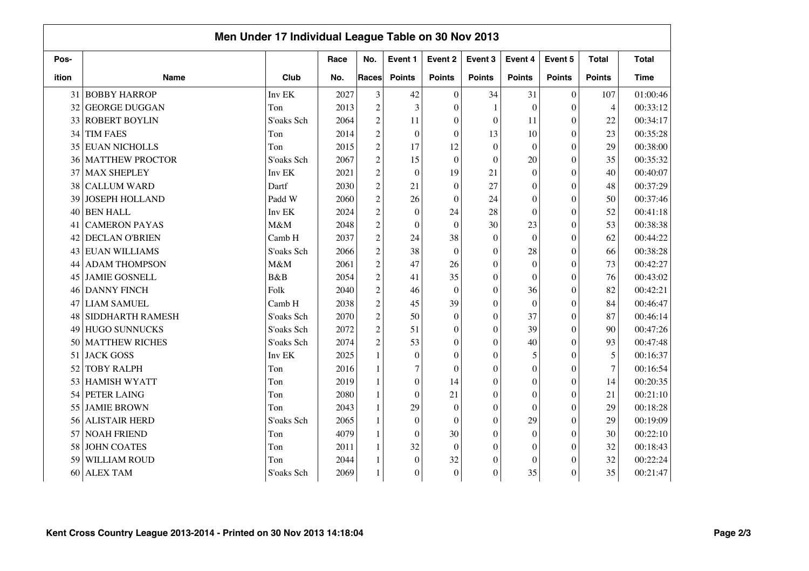|       |                        | Men Under 17 Individual League Table on 30 Nov 2013 |      |                |                  |                  |               |                |                  |               |              |
|-------|------------------------|-----------------------------------------------------|------|----------------|------------------|------------------|---------------|----------------|------------------|---------------|--------------|
| Pos-  |                        |                                                     | Race | No.            | Event 1          | Event 2          | Event 3       | Event 4        | Event 5          | <b>Total</b>  | <b>Total</b> |
| ition | <b>Name</b>            | Club                                                | No.  | Races          | <b>Points</b>    | <b>Points</b>    | <b>Points</b> | <b>Points</b>  | <b>Points</b>    | <b>Points</b> | <b>Time</b>  |
| 31    | <b>BOBBY HARROP</b>    | Inv EK                                              | 2027 | 3              | 42               | $\mathbf{0}$     | 34            | 31             | $\overline{0}$   | 107           | 01:00:46     |
| 32    | <b>GEORGE DUGGAN</b>   | Ton                                                 | 2013 | $\overline{2}$ | 3                | $\theta$         |               | $\theta$       | $\theta$         | 4             | 00:33:12     |
| 33    | <b>ROBERT BOYLIN</b>   | S'oaks Sch                                          | 2064 | $\overline{2}$ | 11               | $\theta$         | $\theta$      | 11             | $\overline{0}$   | 22            | 00:34:17     |
| 34    | <b>TIM FAES</b>        | Ton                                                 | 2014 | $\overline{c}$ | $\mathbf{0}$     | $\theta$         | 13            | 10             | $\theta$         | 23            | 00:35:28     |
| 35    | <b>EUAN NICHOLLS</b>   | Ton                                                 | 2015 | $\overline{c}$ | 17               | 12               | $\theta$      | $\theta$       | $\overline{0}$   | 29            | 00:38:00     |
| 36    | <b>MATTHEW PROCTOR</b> | S'oaks Sch                                          | 2067 | $\overline{2}$ | 15               | $\overline{0}$   | $\theta$      | 20             | $\overline{0}$   | 35            | 00:35:32     |
| 37    | <b>MAX SHEPLEY</b>     | Inv EK                                              | 2021 | $\overline{c}$ | $\boldsymbol{0}$ | 19               | 21            | $\Omega$       | $\theta$         | 40            | 00:40:07     |
| 38    | <b>CALLUM WARD</b>     | Dartf                                               | 2030 | $\overline{c}$ | 21               | $\boldsymbol{0}$ | 27            | $\overline{0}$ | $\theta$         | 48            | 00:37:29     |
| 39    | JOSEPH HOLLAND         | Padd W                                              | 2060 | $\overline{c}$ | 26               | $\overline{0}$   | 24            | $\overline{0}$ | $\overline{0}$   | 50            | 00:37:46     |
| 40    | <b>BEN HALL</b>        | Inv EK                                              | 2024 | $\overline{c}$ | $\theta$         | 24               | 28            | $\overline{0}$ | $\overline{0}$   | 52            | 00:41:18     |
| 41    | <b>CAMERON PAYAS</b>   | M&M                                                 | 2048 | $\overline{c}$ | $\theta$         | $\mathbf{0}$     | 30            | 23             | $\theta$         | 53            | 00:38:38     |
| 42    | <b>DECLAN O'BRIEN</b>  | Camb H                                              | 2037 | $\overline{c}$ | 24               | 38               | $\theta$      | $\theta$       | $\theta$         | 62            | 00:44:22     |
| 43    | <b>EUAN WILLIAMS</b>   | S'oaks Sch                                          | 2066 | $\overline{c}$ | 38               | $\mathbf{0}$     | $\Omega$      | 28             | $\theta$         | 66            | 00:38:28     |
| 44    | <b>ADAM THOMPSON</b>   | M&M                                                 | 2061 | $\overline{c}$ | 47               | 26               | $\Omega$      | $\theta$       | $\theta$         | 73            | 00:42:27     |
| 45    | <b>JAMIE GOSNELL</b>   | B&B                                                 | 2054 | $\overline{c}$ | 41               | 35               | $\theta$      | $\overline{0}$ | $\theta$         | 76            | 00:43:02     |
| 46    | <b>DANNY FINCH</b>     | Folk                                                | 2040 | $\overline{c}$ | 46               | $\theta$         | $\Omega$      | 36             | $\theta$         | 82            | 00:42:21     |
| 47    | <b>LIAM SAMUEL</b>     | Camb H                                              | 2038 | $\overline{c}$ | 45               | 39               | $\theta$      | $\overline{0}$ | $\theta$         | 84            | 00:46:47     |
| 48    | SIDDHARTH RAMESH       | S'oaks Sch                                          | 2070 | $\overline{c}$ | 50               | $\boldsymbol{0}$ | $\theta$      | 37             | $\theta$         | 87            | 00:46:14     |
| 49    | <b>HUGO SUNNUCKS</b>   | S'oaks Sch                                          | 2072 | $\overline{c}$ | 51               | $\boldsymbol{0}$ | $\mathbf{0}$  | 39             | $\boldsymbol{0}$ | 90            | 00:47:26     |
| 50    | <b>MATTHEW RICHES</b>  | S'oaks Sch                                          | 2074 | $\overline{2}$ | 53               | $\theta$         | $\Omega$      | 40             | $\theta$         | 93            | 00:47:48     |
| 51    | <b>JACK GOSS</b>       | Inv EK                                              | 2025 |                | $\mathbf{0}$     | $\theta$         | $\Omega$      | 5              | $\overline{0}$   | 5             | 00:16:37     |
| 52    | <b>TOBY RALPH</b>      | Ton                                                 | 2016 |                | 7                | $\theta$         | $\Omega$      | $\theta$       | $\theta$         | $\tau$        | 00:16:54     |
| 53    | <b>HAMISH WYATT</b>    | Ton                                                 | 2019 |                | $\theta$         | 14               | $\Omega$      | $\theta$       | $\Omega$         | 14            | 00:20:35     |
| 54    | PETER LAING            | Ton                                                 | 2080 |                | $\theta$         | 21               | $\Omega$      | $\theta$       | $\theta$         | 21            | 00:21:10     |
| 55    | <b>JAMIE BROWN</b>     | Ton                                                 | 2043 | $\mathbf{1}$   | 29               | $\boldsymbol{0}$ | $\theta$      | $\Omega$       | $\theta$         | 29            | 00:18:28     |
| 56    | <b>ALISTAIR HERD</b>   | S'oaks Sch                                          | 2065 |                | $\theta$         | $\theta$         | $\theta$      | 29             | $\theta$         | 29            | 00:19:09     |
| 57    | <b>NOAH FRIEND</b>     | Ton                                                 | 4079 |                | $\theta$         | 30               | $\Omega$      | $\mathbf{0}$   | $\Omega$         | 30            | 00:22:10     |
| 58    | <b>JOHN COATES</b>     | Ton                                                 | 2011 |                | 32               | $\mathbf{0}$     | $\Omega$      | $\overline{0}$ | $\overline{0}$   | 32            | 00:18:43     |
| 59    | WILLIAM ROUD           | Ton                                                 | 2044 |                | $\mathbf{0}$     | 32               | 0             | $\theta$       | $\theta$         | 32            | 00:22:24     |
| 60    | <b>ALEX TAM</b>        | S'oaks Sch                                          | 2069 |                | $\boldsymbol{0}$ | $\boldsymbol{0}$ | $\mathbf{0}$  | 35             | $\theta$         | 35            | 00:21:47     |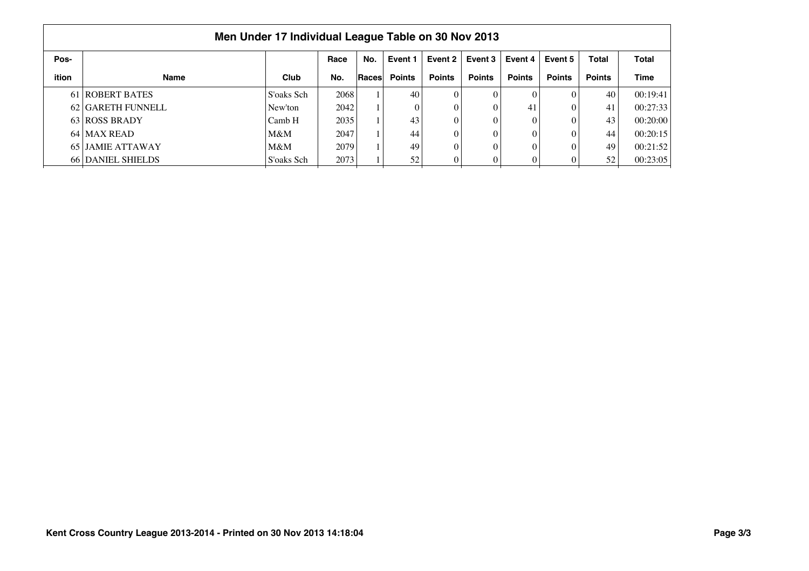|              | Men Under 17 Individual League Table on 30 Nov 2013 |            |      |              |               |               |               |               |               |               |              |  |  |  |
|--------------|-----------------------------------------------------|------------|------|--------------|---------------|---------------|---------------|---------------|---------------|---------------|--------------|--|--|--|
| Pos-         |                                                     |            | Race | No.          | Event 1       | Event 2       | Event 3       | Event 4       | Event 5       | <b>Total</b>  | <b>Total</b> |  |  |  |
| <b>ition</b> | <b>Name</b>                                         | Club       | No.  | <b>Races</b> | <b>Points</b> | <b>Points</b> | <b>Points</b> | <b>Points</b> | <b>Points</b> | <b>Points</b> | Time         |  |  |  |
|              | 61 ROBERT BATES                                     | S'oaks Sch | 2068 |              | 40            | 0             | 0             | $\Omega$      | 0             | 40            | 00:19:41     |  |  |  |
|              | 62 GARETH FUNNELL                                   | New'ton    | 2042 |              | $\theta$      |               | $\theta$      | 41            |               | 41            | 00:27:33     |  |  |  |
|              | 63 ROSS BRADY                                       | Camb H     | 2035 |              | 43            |               | 0             | $\theta$      |               | 43            | 00:20:00     |  |  |  |
|              | 64 MAX READ                                         | M&M        | 2047 |              | 44            |               | 0             | $\Omega$      |               | 44            | 00:20:15     |  |  |  |
|              | 65 JAMIE ATTAWAY                                    | M&M        | 2079 |              | 49            |               | 0             | $\Omega$      |               | 49            | 00:21:52     |  |  |  |
|              | <b>66 DANIEL SHIELDS</b>                            | S'oaks Sch | 2073 |              | 52            |               | $\Omega$      |               |               | 52            | 00:23:05     |  |  |  |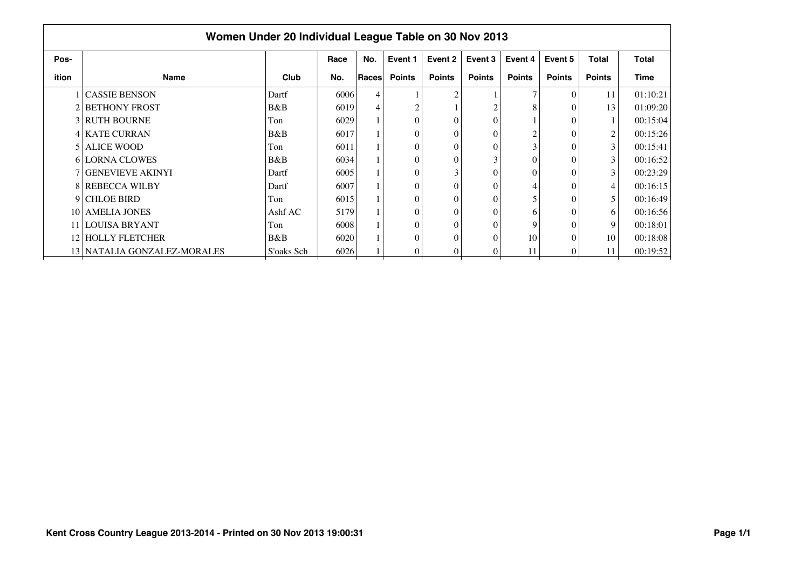| Women Under 20 Individual League Table on 30 Nov 2013 |                             |            |      |       |               |               |               |                |               |                |          |  |  |
|-------------------------------------------------------|-----------------------------|------------|------|-------|---------------|---------------|---------------|----------------|---------------|----------------|----------|--|--|
| Pos-                                                  |                             |            | Race | No.   | Event 1       | Event 2       | Event 3       | Event 4        | Event 5       | <b>Total</b>   | Total    |  |  |
| ition                                                 | <b>Name</b>                 | Club       | No.  | Races | <b>Points</b> | <b>Points</b> | <b>Points</b> | <b>Points</b>  | <b>Points</b> | <b>Points</b>  | Time     |  |  |
|                                                       | 1 CASSIE BENSON             | Dartf      | 6006 | 4     |               | 2             |               | $\overline{7}$ | $\theta$      | 11             | 01:10:21 |  |  |
|                                                       | <b>2 BETHONY FROST</b>      | B&B        | 6019 | 4     | 2             |               |               | 8              | $\theta$      | 13             | 01:09:20 |  |  |
|                                                       | <b>3 RUTH BOURNE</b>        | Ton        | 6029 |       | $\theta$      | $\Omega$      | $\theta$      |                | $\Omega$      |                | 00:15:04 |  |  |
|                                                       | <b>4   KATE CURRAN</b>      | B&B        | 6017 |       | $\theta$      | $\Omega$      |               | $\overline{2}$ | $\Omega$      | $\overline{2}$ | 00:15:26 |  |  |
|                                                       | 5 ALICE WOOD                | Ton        | 6011 |       | $\theta$      | $\Omega$      |               | 3              | $\Omega$      | $\mathfrak{Z}$ | 00:15:41 |  |  |
|                                                       | 6 LORNA CLOWES              | B&B        | 6034 |       | $\theta$      | $\Omega$      |               | $\Omega$       | $\Omega$      | 3              | 00:16:52 |  |  |
|                                                       | <b>7 GENEVIEVE AKINYI</b>   | Dartf      | 6005 |       | $\theta$      | 3             |               | $\Omega$       | $\Omega$      | 3              | 00:23:29 |  |  |
|                                                       | <b>8 REBECCA WILBY</b>      | Dartf      | 6007 |       | $\theta$      | $\Omega$      | $\mathbf{0}$  | 4              | $\Omega$      | 4              | 00:16:15 |  |  |
|                                                       | 9 CHLOE BIRD                | Ton        | 6015 |       | $\theta$      | $\Omega$      | $\theta$      |                | $\Omega$      | 5              | 00:16:49 |  |  |
|                                                       | 10 AMELIA JONES             | Ashf AC    | 5179 |       | $\theta$      | 0             | $\theta$      | 6              | $\Omega$      | 6              | 00:16:56 |  |  |
|                                                       | 11 LOUISA BRYANT            | Ton        | 6008 |       | $\theta$      | 0             | $\Omega$      | 9              | $\Omega$      | 9              | 00:18:01 |  |  |
|                                                       | 12 HOLLY FLETCHER           | B&B        | 6020 |       | $\theta$      | $\Omega$      | $\theta$      | 10             | $\Omega$      | 10             | 00:18:08 |  |  |
|                                                       | 13 NATALIA GONZALEZ-MORALES | S'oaks Sch | 6026 |       | 0             | $\Omega$      |               | 11             | $\theta$      | 11             | 00:19:52 |  |  |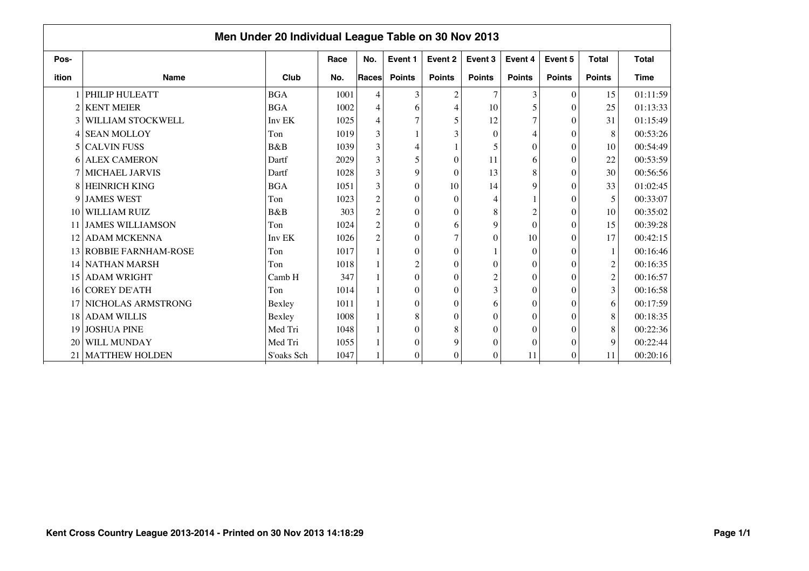|                 | Men Under 20 Individual League Table on 30 Nov 2013 |            |      |                                                 |                  |                |                |                  |               |                |              |  |  |  |
|-----------------|-----------------------------------------------------|------------|------|-------------------------------------------------|------------------|----------------|----------------|------------------|---------------|----------------|--------------|--|--|--|
| Pos-            |                                                     |            | Race | No.                                             | Event 1          | Event 2        | Event 3        | Event 4          | Event 5       | <b>Total</b>   | <b>Total</b> |  |  |  |
| ition           | <b>Name</b>                                         | Club       | No.  | Races                                           | <b>Points</b>    | <b>Points</b>  | <b>Points</b>  | <b>Points</b>    | <b>Points</b> | <b>Points</b>  | <b>Time</b>  |  |  |  |
|                 | PHILIP HULEATT                                      | <b>BGA</b> | 1001 | 4                                               | 3                | $\mathfrak{2}$ |                | 3                | $\theta$      | 15             | 01:11:59     |  |  |  |
| $\overline{2}$  | <b>KENT MEIER</b>                                   | <b>BGA</b> | 1002 | 4                                               | 6                | $\overline{4}$ | 10             | 5                | $\Omega$      | 25             | 01:13:33     |  |  |  |
|                 | 3 WILLIAM STOCKWELL                                 | Inv EK     | 1025 | 4                                               | 7                | 5              | 12             | $\overline{7}$   | $\Omega$      | 31             | 01:15:49     |  |  |  |
|                 | 4 SEAN MOLLOY                                       | Ton        | 1019 | 3                                               |                  | 3              | $\theta$       | 4                | $\Omega$      | 8              | 00:53:26     |  |  |  |
|                 | 5 CALVIN FUSS                                       | B&B        | 1039 | 3                                               | $\overline{4}$   |                | 5              | $\theta$         | $\Omega$      | 10             | 00:54:49     |  |  |  |
|                 | 6 ALEX CAMERON                                      | Dartf      | 2029 | 3                                               | 5                | $\theta$       | 11             | 6                | $\Omega$      | 22             | 00:53:59     |  |  |  |
| 7               | <b>MICHAEL JARVIS</b>                               | Dartf      | 1028 | 3                                               | 9                | $\theta$       | 13             | 8                | $\Omega$      | 30             | 00:56:56     |  |  |  |
| 8               | HEINRICH KING                                       | <b>BGA</b> | 1051 | 3                                               | $\theta$         | 10             | 14             | 9                | $\Omega$      | 33             | 01:02:45     |  |  |  |
|                 | 9 JAMES WEST                                        | Ton        | 1023 | $\overline{c}$                                  | $\theta$         | $\theta$       |                |                  | $\Omega$      | 5              | 00:33:07     |  |  |  |
|                 | 10 WILLIAM RUIZ                                     | B&B        | 303  | $\overline{c}$                                  | $\boldsymbol{0}$ | $\theta$       | 8              | $\overline{c}$   | $\Omega$      | 10             | 00:35:02     |  |  |  |
|                 | 11 JAMES WILLIAMSON                                 | Ton        | 1024 | $\mathfrak{2}% \left( \mathfrak{2}\right) ^{2}$ | $\theta$         | 6              | 9              | $\boldsymbol{0}$ | $\Omega$      | 15             | 00:39:28     |  |  |  |
|                 | 12 ADAM MCKENNA                                     | Inv EK     | 1026 | $\overline{c}$                                  | $\theta$         | 7              | $\Omega$       | 10               | $\Omega$      | 17             | 00:42:15     |  |  |  |
|                 | 13 ROBBIE FARNHAM-ROSE                              | Ton        | 1017 |                                                 | $\theta$         | $\theta$       |                | $\theta$         | $\Omega$      | 1              | 00:16:46     |  |  |  |
|                 | 14 NATHAN MARSH                                     | Ton        | 1018 |                                                 | $\overline{c}$   | $\theta$       | $\sqrt{ }$     | $\theta$         | $\Omega$      | $\sqrt{2}$     | 00:16:35     |  |  |  |
|                 | 15 ADAM WRIGHT                                      | Camb H     | 347  |                                                 | $\theta$         | $\theta$       | $\overline{c}$ | $\Omega$         | $\Omega$      | $\overline{c}$ | 00:16:57     |  |  |  |
|                 | 16 COREY DE'ATH                                     | Ton        | 1014 |                                                 | $\theta$         | $\theta$       | 3              | $\theta$         | $\Omega$      | $\overline{3}$ | 00:16:58     |  |  |  |
|                 | 17 NICHOLAS ARMSTRONG                               | Bexley     | 1011 |                                                 | $\theta$         | $\theta$       | 6              | $\Omega$         | $\Omega$      | 6              | 00:17:59     |  |  |  |
|                 | 18 ADAM WILLIS                                      | Bexley     | 1008 |                                                 | 8                | $\theta$       | $\Omega$       | $\theta$         | $\Omega$      | 8              | 00:18:35     |  |  |  |
|                 | 19 JOSHUA PINE                                      | Med Tri    | 1048 |                                                 | $\theta$         | 8              | $\Omega$       | $\Omega$         | $\Omega$      | 8              | 00:22:36     |  |  |  |
|                 | 20 WILL MUNDAY                                      | Med Tri    | 1055 |                                                 | $\Omega$         | 9              | $\Omega$       | $\theta$         | $\Omega$      | 9              | 00:22:44     |  |  |  |
| 21 <sup>1</sup> | <b>MATTHEW HOLDEN</b>                               | S'oaks Sch | 1047 |                                                 | $\mathbf{0}$     | $\theta$       | $\theta$       | 11               | 0             | 11             | 00:20:16     |  |  |  |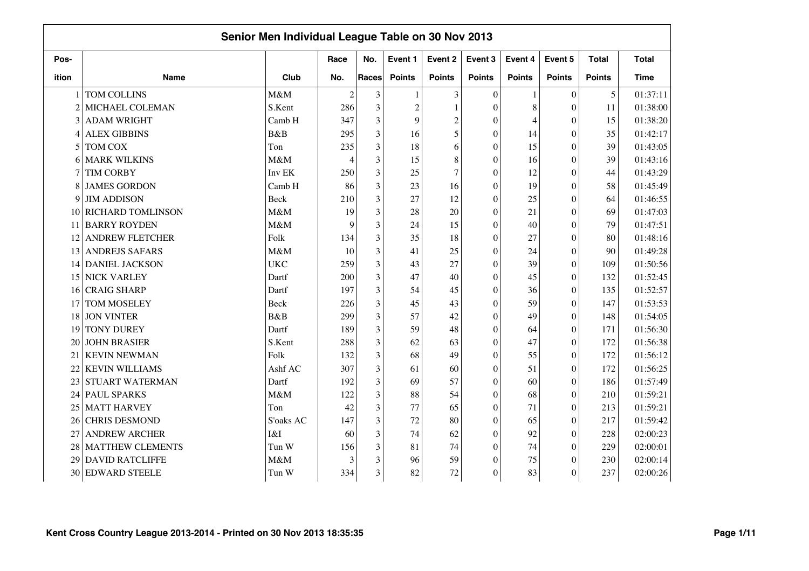|                |                          | Senior Men Individual League Table on 30 Nov 2013 |                          |       |               |                 |                  |               |                  |               |              |
|----------------|--------------------------|---------------------------------------------------|--------------------------|-------|---------------|-----------------|------------------|---------------|------------------|---------------|--------------|
| Pos-           |                          |                                                   | Race                     | No.   | Event 1       | Event 2         | Event 3          | Event 4       | Event 5          | <b>Total</b>  | <b>Total</b> |
| ition          | Name                     | Club                                              | No.                      | Races | <b>Points</b> | <b>Points</b>   | <b>Points</b>    | <b>Points</b> | <b>Points</b>    | <b>Points</b> | <b>Time</b>  |
|                | TOM COLLINS              | M&M                                               | $\overline{c}$           | 3     | $\mathbf{1}$  | 3               | $\Omega$         | $\mathbf{1}$  | $\mathbf{0}$     | 5             | 01:37:11     |
| $\overline{c}$ | MICHAEL COLEMAN          | S.Kent                                            | 286                      | 3     | $\sqrt{2}$    | $\mathbf{1}$    | $\theta$         | 8             | $\mathbf{0}$     | 11            | 01:38:00     |
|                | 3 ADAM WRIGHT            | Camb H                                            | 347                      | 3     | 9             | $\overline{2}$  | 0                | 4             | $\Omega$         | 15            | 01:38:20     |
| $\overline{4}$ | <b>ALEX GIBBINS</b>      | <b>B</b> &B                                       | 295                      | 3     | 16            | 5               | $\boldsymbol{0}$ | 14            | $\boldsymbol{0}$ | 35            | 01:42:17     |
| 5              | <b>TOM COX</b>           | Ton                                               | 235                      | 3     | 18            | 6               | $\theta$         | 15            | $\theta$         | 39            | 01:43:05     |
| 6              | <b>MARK WILKINS</b>      | M&M                                               | $\overline{\mathcal{L}}$ | 3     | 15            | 8               | $\theta$         | 16            | $\theta$         | 39            | 01:43:16     |
|                | <b>TIM CORBY</b>         | Inv EK                                            | 250                      | 3     | 25            | $7\phantom{.0}$ | $\theta$         | 12            | $\theta$         | 44            | 01:43:29     |
| 8              | <b>JAMES GORDON</b>      | Camb H                                            | 86                       | 3     | 23            | 16              | $\theta$         | 19            | $\theta$         | 58            | 01:45:49     |
| 9              | <b>JIM ADDISON</b>       | <b>Beck</b>                                       | 210                      | 3     | 27            | 12              | $\overline{0}$   | 25            | $\mathbf{0}$     | 64            | 01:46:55     |
| 10             | <b>RICHARD TOMLINSON</b> | M&M                                               | 19                       | 3     | 28            | 20              | $\boldsymbol{0}$ | 21            | $\theta$         | 69            | 01:47:03     |
| 11             | <b>BARRY ROYDEN</b>      | M&M                                               | 9                        | 3     | 24            | 15              | $\boldsymbol{0}$ | 40            | $\theta$         | 79            | 01:47:51     |
| 12             | <b>ANDREW FLETCHER</b>   | Folk                                              | 134                      | 3     | 35            | 18              | $\theta$         | 27            | $\mathbf{0}$     | 80            | 01:48:16     |
| 13             | <b>ANDREJS SAFARS</b>    | M&M                                               | 10                       | 3     | 41            | 25              | $\theta$         | 24            | $\mathbf{0}$     | 90            | 01:49:28     |
| 14             | <b>DANIEL JACKSON</b>    | <b>UKC</b>                                        | 259                      | 3     | 43            | 27              | $\theta$         | 39            | $\theta$         | 109           | 01:50:56     |
| 15             | <b>NICK VARLEY</b>       | Dartf                                             | 200                      | 3     | 47            | 40              | $\boldsymbol{0}$ | 45            | $\Omega$         | 132           | 01:52:45     |
| 16             | <b>CRAIG SHARP</b>       | Dartf                                             | 197                      | 3     | 54            | 45              | $\boldsymbol{0}$ | 36            | $\mathbf{0}$     | 135           | 01:52:57     |
| 17             | TOM MOSELEY              | <b>Beck</b>                                       | 226                      | 3     | 45            | 43              | 0                | 59            | $\theta$         | 147           | 01:53:53     |
| 18             | <b>JON VINTER</b>        | B&B                                               | 299                      | 3     | 57            | 42              | $\boldsymbol{0}$ | 49            | $\mathbf{0}$     | 148           | 01:54:05     |
| 19             | <b>TONY DUREY</b>        | Dartf                                             | 189                      | 3     | 59            | 48              | $\theta$         | 64            | $\boldsymbol{0}$ | 171           | 01:56:30     |
| 20             | <b>JOHN BRASIER</b>      | S.Kent                                            | 288                      | 3     | 62            | 63              | $\overline{0}$   | 47            | $\theta$         | 172           | 01:56:38     |
| 21             | <b>KEVIN NEWMAN</b>      | Folk                                              | 132                      | 3     | 68            | 49              | $\theta$         | 55            | $\theta$         | 172           | 01:56:12     |
| 22             | <b>KEVIN WILLIAMS</b>    | Ashf AC                                           | 307                      | 3     | 61            | 60              | $\boldsymbol{0}$ | 51            | $\theta$         | 172           | 01:56:25     |
| 23             | <b>STUART WATERMAN</b>   | Dartf                                             | 192                      | 3     | 69            | 57              | $\theta$         | 60            | $\theta$         | 186           | 01:57:49     |
|                | 24 PAUL SPARKS           | M&M                                               | 122                      | 3     | 88            | 54              | $\theta$         | 68            | $\theta$         | 210           | 01:59:21     |
| 25             | <b>MATT HARVEY</b>       | Ton                                               | 42                       | 3     | 77            | 65              | $\theta$         | 71            | $\theta$         | 213           | 01:59:21     |
| 26             | <b>CHRIS DESMOND</b>     | S'oaks AC                                         | 147                      | 3     | 72            | 80              | $\theta$         | 65            | $\mathbf{0}$     | 217           | 01:59:42     |
| 27             | <b>ANDREW ARCHER</b>     | I&I                                               | 60                       | 3     | 74            | 62              | $\boldsymbol{0}$ | 92            | $\Omega$         | 228           | 02:00:23     |
| 28             | <b>MATTHEW CLEMENTS</b>  | Tun W                                             | 156                      | 3     | 81            | 74              | $\theta$         | 74            | $\theta$         | 229           | 02:00:01     |
| 29             | <b>DAVID RATCLIFFE</b>   | M&M                                               | 3                        | 3     | 96            | 59              | $\overline{0}$   | 75            | $\theta$         | 230           | 02:00:14     |
| 30             | <b>EDWARD STEELE</b>     | Tun W                                             | 334                      | 3     | 82            | 72              | $\theta$         | 83            | $\boldsymbol{0}$ | 237           | 02:00:26     |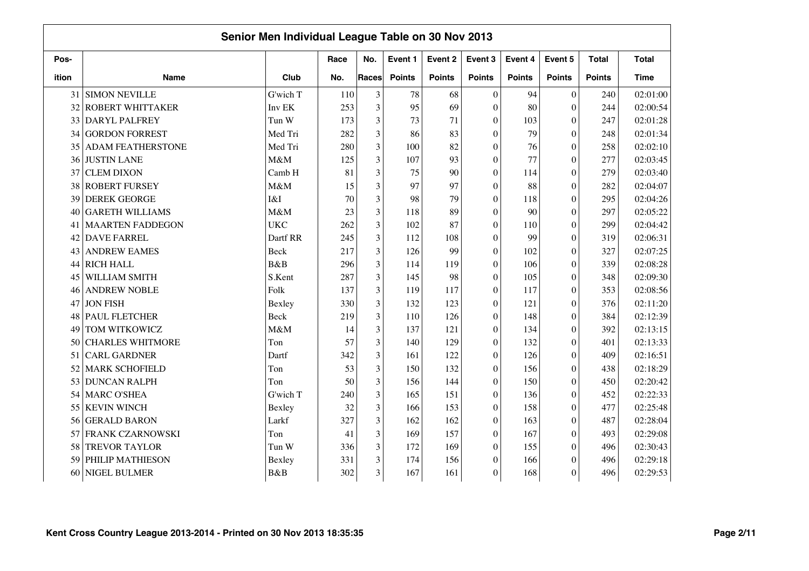|       |                          | Senior Men Individual League Table on 30 Nov 2013 |      |                |               |               |                  |               |                  |               |              |
|-------|--------------------------|---------------------------------------------------|------|----------------|---------------|---------------|------------------|---------------|------------------|---------------|--------------|
| Pos-  |                          |                                                   | Race | No.            | Event 1       | Event 2       | Event 3          | Event 4       | Event 5          | <b>Total</b>  | <b>Total</b> |
| ition | <b>Name</b>              | Club                                              | No.  | Races          | <b>Points</b> | <b>Points</b> | <b>Points</b>    | <b>Points</b> | <b>Points</b>    | <b>Points</b> | <b>Time</b>  |
| 31    | <b>SIMON NEVILLE</b>     | G'wich T                                          | 110  | 3              | 78            | 68            | $\overline{0}$   | 94            | $\overline{0}$   | 240           | 02:01:00     |
| 32    | <b>ROBERT WHITTAKER</b>  | Inv EK                                            | 253  | 3              | 95            | 69            | $\theta$         | 80            | $\overline{0}$   | 244           | 02:00:54     |
| 33    | DARYL PALFREY            | Tun W                                             | 173  | 3              | 73            | 71            | $\theta$         | 103           | $\theta$         | 247           | 02:01:28     |
| 34    | <b>GORDON FORREST</b>    | Med Tri                                           | 282  | 3              | 86            | 83            | $\theta$         | 79            | $\overline{0}$   | 248           | 02:01:34     |
| 35    | <b>ADAM FEATHERSTONE</b> | Med Tri                                           | 280  | 3              | 100           | 82            | $\Omega$         | 76            | $\overline{0}$   | 258           | 02:02:10     |
| 36    | <b>JUSTIN LANE</b>       | M&M                                               | 125  | $\overline{3}$ | 107           | 93            | $\theta$         | 77            | $\overline{0}$   | 277           | 02:03:45     |
| 37    | <b>CLEM DIXON</b>        | Camb H                                            | 81   | $\overline{3}$ | 75            | 90            | $\Omega$         | 114           | $\boldsymbol{0}$ | 279           | 02:03:40     |
| 38    | <b>ROBERT FURSEY</b>     | M&M                                               | 15   | $\overline{3}$ | 97            | 97            | $\Omega$         | 88            | $\boldsymbol{0}$ | 282           | 02:04:07     |
| 39    | <b>DEREK GEORGE</b>      | I&I                                               | 70   | 3              | 98            | 79            | $\theta$         | 118           | $\boldsymbol{0}$ | 295           | 02:04:26     |
| 40    | <b>GARETH WILLIAMS</b>   | M&M                                               | 23   | 3              | 118           | 89            | $\mathbf{0}$     | 90            | $\boldsymbol{0}$ | 297           | 02:05:22     |
| 41    | <b>MAARTEN FADDEGON</b>  | <b>UKC</b>                                        | 262  | 3              | 102           | 87            | $\mathbf{0}$     | 110           | $\boldsymbol{0}$ | 299           | 02:04:42     |
| 42    | <b>DAVE FARREL</b>       | Dartf RR                                          | 245  | 3              | 112           | 108           | $\Omega$         | 99            | $\overline{0}$   | 319           | 02:06:31     |
| 43    | <b>ANDREW EAMES</b>      | Beck                                              | 217  | 3              | 126           | 99            | $\Omega$         | 102           | $\overline{0}$   | 327           | 02:07:25     |
| 44    | <b>RICH HALL</b>         | B&B                                               | 296  | 3              | 114           | 119           | $\theta$         | 106           | $\theta$         | 339           | 02:08:28     |
| 45    | WILLIAM SMITH            | S.Kent                                            | 287  | 3              | 145           | 98            | $\theta$         | 105           | $\overline{0}$   | 348           | 02:09:30     |
| 46    | <b>ANDREW NOBLE</b>      | Folk                                              | 137  | 3              | 119           | 117           | $\Omega$         | 117           | $\overline{0}$   | 353           | 02:08:56     |
| 47    | <b>JON FISH</b>          | Bexley                                            | 330  | 3              | 132           | 123           | $\boldsymbol{0}$ | 121           | $\boldsymbol{0}$ | 376           | 02:11:20     |
| 48    | <b>PAUL FLETCHER</b>     | Beck                                              | 219  | 3              | 110           | 126           | $\mathbf{0}$     | 148           | $\boldsymbol{0}$ | 384           | 02:12:39     |
| 49    | TOM WITKOWICZ            | M&M                                               | 14   | 3              | 137           | 121           | $\boldsymbol{0}$ | 134           | $\boldsymbol{0}$ | 392           | 02:13:15     |
| 50    | <b>CHARLES WHITMORE</b>  | Ton                                               | 57   | $\overline{3}$ | 140           | 129           | $\mathbf{0}$     | 132           | $\overline{0}$   | 401           | 02:13:33     |
| 51    | <b>CARL GARDNER</b>      | Dartf                                             | 342  | 3              | 161           | 122           | $\theta$         | 126           | $\theta$         | 409           | 02:16:51     |
| 52    | <b>MARK SCHOFIELD</b>    | Ton                                               | 53   | 3              | 150           | 132           | $\theta$         | 156           | $\overline{0}$   | 438           | 02:18:29     |
| 53    | <b>DUNCAN RALPH</b>      | Ton                                               | 50   | 3              | 156           | 144           | $\theta$         | 150           | $\overline{0}$   | 450           | 02:20:42     |
| 54    | MARC O'SHEA              | G'wich T                                          | 240  | $\overline{3}$ | 165           | 151           | $\theta$         | 136           | $\overline{0}$   | 452           | 02:22:33     |
| 55    | <b>KEVIN WINCH</b>       | Bexley                                            | 32   | 3              | 166           | 153           | $\theta$         | 158           | $\overline{0}$   | 477           | 02:25:48     |
| 56    | <b>GERALD BARON</b>      | Larkf                                             | 327  | $\overline{3}$ | 162           | 162           | $\boldsymbol{0}$ | 163           | $\boldsymbol{0}$ | 487           | 02:28:04     |
| 57    | FRANK CZARNOWSKI         | Ton                                               | 41   | 3              | 169           | 157           | $\mathbf{0}$     | 167           | $\boldsymbol{0}$ | 493           | 02:29:08     |
| 58    | <b>TREVOR TAYLOR</b>     | Tun W                                             | 336  | 3              | 172           | 169           | $\mathbf{0}$     | 155           | $\boldsymbol{0}$ | 496           | 02:30:43     |
| 59    | PHILIP MATHIESON         | Bexley                                            | 331  | 3              | 174           | 156           | $\mathbf{0}$     | 166           | $\boldsymbol{0}$ | 496           | 02:29:18     |
| 60    | NIGEL BULMER             | B&B                                               | 302  | 3              | 167           | 161           | $\theta$         | 168           | $\theta$         | 496           | 02:29:53     |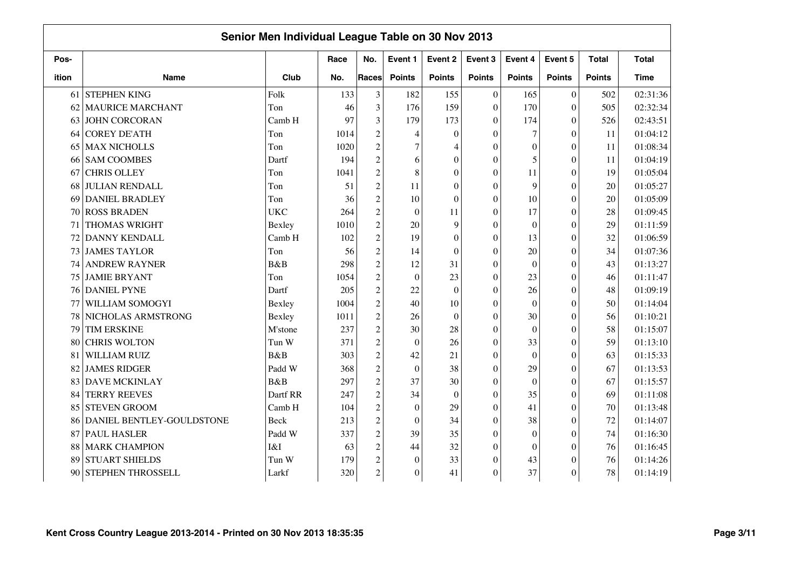|       |                           | Senior Men Individual League Table on 30 Nov 2013 |      |                                                 |                  |                  |                  |                  |                  |               |              |
|-------|---------------------------|---------------------------------------------------|------|-------------------------------------------------|------------------|------------------|------------------|------------------|------------------|---------------|--------------|
| Pos-  |                           |                                                   | Race | No.                                             | Event 1          | Event 2          | Event 3          | Event 4          | Event 5          | <b>Total</b>  | <b>Total</b> |
| ition | <b>Name</b>               | Club                                              | No.  | Races                                           | <b>Points</b>    | <b>Points</b>    | <b>Points</b>    | <b>Points</b>    | <b>Points</b>    | <b>Points</b> | <b>Time</b>  |
| 61    | <b>STEPHEN KING</b>       | Folk                                              | 133  | 3                                               | 182              | 155              | $\overline{0}$   | 165              | $\boldsymbol{0}$ | 502           | 02:31:36     |
| 62    | <b>MAURICE MARCHANT</b>   | Ton                                               | 46   | 3                                               | 176              | 159              | $\theta$         | 170              | $\overline{0}$   | 505           | 02:32:34     |
| 63    | <b>JOHN CORCORAN</b>      | Camb H                                            | 97   | 3                                               | 179              | 173              | $\Omega$         | 174              | $\theta$         | 526           | 02:43:51     |
| 64    | <b>COREY DE'ATH</b>       | Ton                                               | 1014 | $\overline{c}$                                  | 4                | $\boldsymbol{0}$ | $\theta$         | $\overline{7}$   | $\overline{0}$   | 11            | 01:04:12     |
| 65    | <b>MAX NICHOLLS</b>       | Ton                                               | 1020 | $\overline{c}$                                  | $\overline{7}$   | $\overline{4}$   | $\Omega$         | $\boldsymbol{0}$ | $\overline{0}$   | 11            | 01:08:34     |
| 66    | <b>SAM COOMBES</b>        | Dartf                                             | 194  | $\overline{c}$                                  | 6                | $\overline{0}$   | $\Omega$         | 5                | $\overline{0}$   | 11            | 01:04:19     |
| 67    | <b>CHRIS OLLEY</b>        | Ton                                               | 1041 | $\overline{c}$                                  | $\,8\,$          | $\overline{0}$   | $\Omega$         | 11               | $\mathbf{0}$     | 19            | 01:05:04     |
| 68    | <b>JULIAN RENDALL</b>     | Ton                                               | 51   | $\overline{c}$                                  | 11               | $\boldsymbol{0}$ | $\Omega$         | 9                | $\overline{0}$   | 20            | 01:05:27     |
| 69    | <b>DANIEL BRADLEY</b>     | Ton                                               | 36   | $\overline{c}$                                  | 10               | $\boldsymbol{0}$ | $\theta$         | 10               | $\theta$         | 20            | 01:05:09     |
| 70    | <b>ROSS BRADEN</b>        | <b>UKC</b>                                        | 264  | $\mathfrak 2$                                   | $\mathbf{0}$     | 11               | $\mathbf{0}$     | 17               | $\boldsymbol{0}$ | 28            | 01:09:45     |
| 71    | THOMAS WRIGHT             | Bexley                                            | 1010 | $\mathfrak 2$                                   | 20               | 9                | $\mathbf{0}$     | $\mathbf{0}$     | $\boldsymbol{0}$ | 29            | 01:11:59     |
| 72    | DANNY KENDALL             | Camb H                                            | 102  | $\overline{c}$                                  | 19               | $\theta$         | $\Omega$         | 13               | $\overline{0}$   | 32            | 01:06:59     |
| 73    | <b>JAMES TAYLOR</b>       | Ton                                               | 56   | $\overline{c}$                                  | 14               | $\theta$         | $\theta$         | 20               | $\overline{0}$   | 34            | 01:07:36     |
| 74    | <b>ANDREW RAYNER</b>      | B&B                                               | 298  | $\mathfrak{2}% \left( \mathfrak{2}\right) ^{2}$ | 12               | 31               | $\Omega$         | $\overline{0}$   | $\theta$         | 43            | 01:13:27     |
| 75    | <b>JAMIE BRYANT</b>       | Ton                                               | 1054 | $\overline{c}$                                  | $\mathbf{0}$     | 23               | $\theta$         | 23               | $\theta$         | 46            | 01:11:47     |
| 76    | <b>DANIEL PYNE</b>        | Dartf                                             | 205  | $\overline{c}$                                  | 22               | $\boldsymbol{0}$ | $\theta$         | 26               | $\overline{0}$   | 48            | 01:09:19     |
| 77    | WILLIAM SOMOGYI           | Bexley                                            | 1004 | $\mathfrak{2}% \left( \mathfrak{2}\right) ^{2}$ | 40               | 10               | $\Omega$         | $\mathbf{0}$     | $\overline{0}$   | 50            | 01:14:04     |
| 78    | NICHOLAS ARMSTRONG        | Bexley                                            | 1011 | $\overline{c}$                                  | 26               | $\boldsymbol{0}$ | $\Omega$         | 30               | $\boldsymbol{0}$ | 56            | 01:10:21     |
| 79    | <b>TIM ERSKINE</b>        | M'stone                                           | 237  | $\overline{c}$                                  | 30               | 28               | $\Omega$         | $\mathbf{0}$     | $\overline{0}$   | 58            | 01:15:07     |
| 80    | <b>CHRIS WOLTON</b>       | Tun W                                             | 371  | $\overline{c}$                                  | $\mathbf{0}$     | 26               | $\theta$         | 33               | $\overline{0}$   | 59            | 01:13:10     |
| 81    | WILLIAM RUIZ              | B&B                                               | 303  | $\overline{c}$                                  | 42               | 21               | $\Omega$         | $\Omega$         | $\theta$         | 63            | 01:15:33     |
| 82    | <b>JAMES RIDGER</b>       | Padd W                                            | 368  | $\overline{c}$                                  | $\boldsymbol{0}$ | 38               | $\theta$         | 29               | $\overline{0}$   | 67            | 01:13:53     |
| 83    | DAVE MCKINLAY             | B&B                                               | 297  | $\sqrt{2}$                                      | 37               | 30               | $\Omega$         | $\Omega$         | $\overline{0}$   | 67            | 01:15:57     |
| 84    | <b>TERRY REEVES</b>       | Dartf RR                                          | 247  | $\mathfrak{2}% \left( \mathfrak{2}\right) ^{2}$ | 34               | $\theta$         | $\theta$         | 35               | $\overline{0}$   | 69            | 01:11:08     |
| 85    | <b>STEVEN GROOM</b>       | Camb H                                            | 104  | $\sqrt{2}$                                      | $\boldsymbol{0}$ | 29               | $\theta$         | 41               | $\overline{0}$   | 70            | 01:13:48     |
| 86    | DANIEL BENTLEY-GOULDSTONE | <b>Beck</b>                                       | 213  | $\overline{c}$                                  | $\boldsymbol{0}$ | 34               | $\boldsymbol{0}$ | 38               | $\boldsymbol{0}$ | 72            | 01:14:07     |
| 87    | PAUL HASLER               | Padd W                                            | 337  | $\overline{c}$                                  | 39               | 35               | $\Omega$         | $\mathbf{0}$     | $\boldsymbol{0}$ | 74            | 01:16:30     |
| 88    | <b>MARK CHAMPION</b>      | I&I                                               | 63   | $\overline{c}$                                  | 44               | 32               | $\Omega$         | $\theta$         | $\theta$         | 76            | 01:16:45     |
| 89    | <b>STUART SHIELDS</b>     | Tun W                                             | 179  | $\overline{c}$                                  | $\mathbf{0}$     | 33               | $\mathbf{0}$     | 43               | $\boldsymbol{0}$ | 76            | 01:14:26     |
| 90    | STEPHEN THROSSELL         | Larkf                                             | 320  | $\overline{c}$                                  | $\boldsymbol{0}$ | 41               | $\Omega$         | 37               | $\theta$         | 78            | 01:14:19     |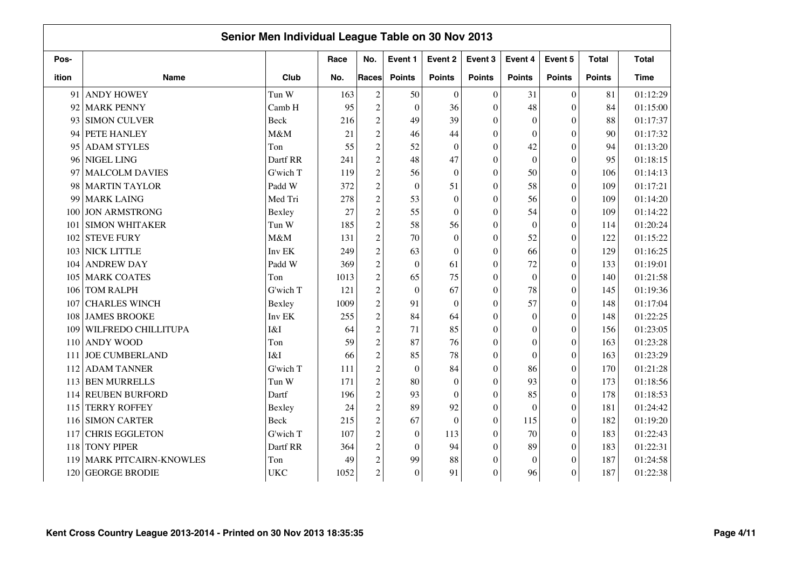|       |                              | Senior Men Individual League Table on 30 Nov 2013 |      |                |                  |                  |                  |                  |                  |               |              |
|-------|------------------------------|---------------------------------------------------|------|----------------|------------------|------------------|------------------|------------------|------------------|---------------|--------------|
| Pos-  |                              |                                                   | Race | No.            | Event 1          | Event 2          | Event 3          | Event 4          | Event 5          | <b>Total</b>  | <b>Total</b> |
| ition | <b>Name</b>                  | Club                                              | No.  | Races          | <b>Points</b>    | <b>Points</b>    | <b>Points</b>    | <b>Points</b>    | <b>Points</b>    | <b>Points</b> | <b>Time</b>  |
| 91    | <b>ANDY HOWEY</b>            | Tun W                                             | 163  | $\overline{c}$ | 50               | $\mathbf{0}$     | $\Omega$         | 31               | $\mathbf{0}$     | 81            | 01:12:29     |
| 92    | <b>MARK PENNY</b>            | Camb H                                            | 95   | $\overline{c}$ | $\theta$         | 36               | $\theta$         | 48               | $\overline{0}$   | 84            | 01:15:00     |
| 93    | <b>SIMON CULVER</b>          | <b>Beck</b>                                       | 216  | $\overline{c}$ | 49               | 39               | $\theta$         | $\mathbf{0}$     | $\theta$         | 88            | 01:17:37     |
| 94    | PETE HANLEY                  | M&M                                               | 21   | $\overline{c}$ | 46               | 44               | $\theta$         | $\theta$         | $\overline{0}$   | 90            | 01:17:32     |
| 95    | <b>ADAM STYLES</b>           | Ton                                               | 55   | $\overline{2}$ | 52               | $\overline{0}$   | $\Omega$         | 42               | $\overline{0}$   | 94            | 01:13:20     |
| 96    | NIGEL LING                   | Dartf RR                                          | 241  | $\overline{c}$ | 48               | 47               | $\theta$         | $\theta$         | $\overline{0}$   | 95            | 01:18:15     |
| 97    | <b>MALCOLM DAVIES</b>        | G'wich T                                          | 119  | $\overline{c}$ | 56               | $\boldsymbol{0}$ | $\Omega$         | 50               | $\boldsymbol{0}$ | 106           | 01:14:13     |
| 98    | <b>MARTIN TAYLOR</b>         | Padd W                                            | 372  | $\overline{c}$ | $\boldsymbol{0}$ | 51               | $\Omega$         | 58               | $\boldsymbol{0}$ | 109           | 01:17:21     |
| 99    | <b>MARK LAING</b>            | Med Tri                                           | 278  | $\overline{c}$ | 53               | $\boldsymbol{0}$ | $\Omega$         | 56               | $\theta$         | 109           | 01:14:20     |
| 100   | <b>JON ARMSTRONG</b>         | Bexley                                            | 27   | $\overline{c}$ | 55               | $\boldsymbol{0}$ | $\mathbf{0}$     | 54               | $\boldsymbol{0}$ | 109           | 01:14:22     |
| 101   | <b>SIMON WHITAKER</b>        | Tun W                                             | 185  | $\overline{c}$ | 58               | 56               | $\mathbf{0}$     | $\mathbf{0}$     | $\boldsymbol{0}$ | 114           | 01:20:24     |
| 102   | <b>STEVE FURY</b>            | M&M                                               | 131  | $\overline{c}$ | 70               | $\boldsymbol{0}$ | $\Omega$         | 52               | $\overline{0}$   | 122           | 01:15:22     |
| 103   | NICK LITTLE                  | Inv EK                                            | 249  | $\overline{c}$ | 63               | $\theta$         | $\theta$         | 66               | $\overline{0}$   | 129           | 01:16:25     |
| 104   | <b>ANDREW DAY</b>            | Padd W                                            | 369  | $\overline{c}$ | $\overline{0}$   | 61               | $\theta$         | 72               | $\theta$         | 133           | 01:19:01     |
| 105   | <b>MARK COATES</b>           | Ton                                               | 1013 | $\overline{c}$ | 65               | 75               | $\theta$         | $\boldsymbol{0}$ | $\theta$         | 140           | 01:21:58     |
| 106   | <b>TOM RALPH</b>             | G'wich T                                          | 121  | $\overline{c}$ | $\overline{0}$   | 67               | $\Omega$         | 78               | $\theta$         | 145           | 01:19:36     |
| 107   | <b>CHARLES WINCH</b>         | Bexley                                            | 1009 | $\overline{2}$ | 91               | $\mathbf{0}$     | $\mathbf{0}$     | 57               | $\overline{0}$   | 148           | 01:17:04     |
| 108   | <b>JAMES BROOKE</b>          | Inv EK                                            | 255  | $\overline{c}$ | 84               | 64               | $\mathbf{0}$     | $\mathbf{0}$     | $\boldsymbol{0}$ | 148           | 01:22:25     |
| 109   | <b>WILFREDO CHILLITUPA</b>   | I&I                                               | 64   | $\overline{c}$ | 71               | 85               | $\Omega$         | $\boldsymbol{0}$ | $\overline{0}$   | 156           | 01:23:05     |
| 110   | <b>ANDY WOOD</b>             | Ton                                               | 59   | $\overline{c}$ | 87               | 76               | $\theta$         | $\theta$         | $\overline{0}$   | 163           | 01:23:28     |
| 111   | <b>JOE CUMBERLAND</b>        | I&I                                               | 66   | $\overline{c}$ | 85               | 78               | $\theta$         | $\theta$         | $\theta$         | 163           | 01:23:29     |
| 112   | <b>ADAM TANNER</b>           | G'wich T                                          | 111  | $\overline{c}$ | $\boldsymbol{0}$ | 84               | $\theta$         | 86               | $\overline{0}$   | 170           | 01:21:28     |
| 113   | <b>BEN MURRELLS</b>          | Tun W                                             | 171  | $\overline{c}$ | 80               | $\overline{0}$   | $\Omega$         | 93               | $\overline{0}$   | 173           | 01:18:56     |
|       | 114 REUBEN BURFORD           | Dartf                                             | 196  | $\sqrt{2}$     | 93               | $\overline{0}$   | $\theta$         | 85               | $\overline{0}$   | 178           | 01:18:53     |
| 115   | <b>TERRY ROFFEY</b>          | Bexley                                            | 24   | $\overline{c}$ | 89               | 92               | $\Omega$         | $\theta$         | $\theta$         | 181           | 01:24:42     |
| 116   | <b>SIMON CARTER</b>          | <b>Beck</b>                                       | 215  | $\overline{c}$ | 67               | $\mathbf{0}$     | $\boldsymbol{0}$ | 115              | $\boldsymbol{0}$ | 182           | 01:19:20     |
| 117   | <b>CHRIS EGGLETON</b>        | G'wich T                                          | 107  | $\overline{c}$ | $\boldsymbol{0}$ | 113              | $\mathbf{0}$     | 70               | $\overline{0}$   | 183           | 01:22:43     |
| 118   | <b>TONY PIPER</b>            | Dartf RR                                          | 364  | $\overline{c}$ | $\theta$         | 94               | $\theta$         | 89               | $\theta$         | 183           | 01:22:31     |
| 119   | <b>MARK PITCAIRN-KNOWLES</b> | Ton                                               | 49   | $\overline{c}$ | 99               | 88               | $\boldsymbol{0}$ | $\theta$         | $\theta$         | 187           | 01:24:58     |
| 120   | <b>GEORGE BRODIE</b>         | <b>UKC</b>                                        | 1052 | $\overline{c}$ | $\boldsymbol{0}$ | 91               | $\boldsymbol{0}$ | 96               | $\theta$         | 187           | 01:22:38     |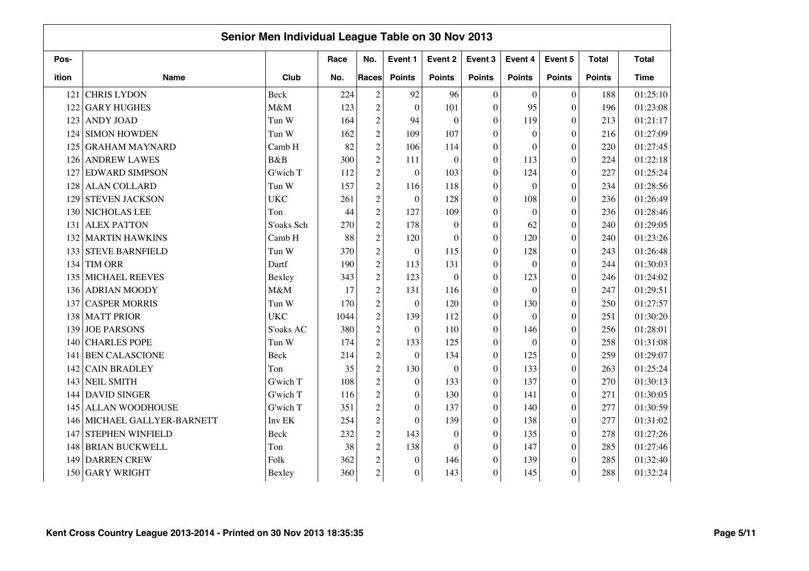|       |                         | Senior Men Individual League Table on 30 Nov 2013 |      |                                                 |                  |                  |                  |                  |                  |               |              |
|-------|-------------------------|---------------------------------------------------|------|-------------------------------------------------|------------------|------------------|------------------|------------------|------------------|---------------|--------------|
| Pos-  |                         |                                                   | Race | No.                                             | Event 1          | Event 2          | Event 3          | Event 4          | Event 5          | <b>Total</b>  | <b>Total</b> |
| ition | <b>Name</b>             | Club                                              | No.  | Races                                           | <b>Points</b>    | <b>Points</b>    | <b>Points</b>    | <b>Points</b>    | <b>Points</b>    | <b>Points</b> | <b>Time</b>  |
| 121   | <b>CHRIS LYDON</b>      | Beck                                              | 224  | $\overline{c}$                                  | 92               | 96               | $\Omega$         | $\theta$         | $\overline{0}$   | 188           | 01:25:10     |
| 122   | <b>GARY HUGHES</b>      | M&M                                               | 123  | $\overline{c}$                                  | $\theta$         | 101              | $\Omega$         | 95               | $\overline{0}$   | 196           | 01:23:08     |
| 123   | <b>ANDY JOAD</b>        | Tun W                                             | 164  | $\sqrt{2}$                                      | 94               | $\boldsymbol{0}$ | $\theta$         | 119              | $\overline{0}$   | 213           | 01:21:17     |
| 124   | <b>SIMON HOWDEN</b>     | Tun W                                             | 162  | $\overline{c}$                                  | 109              | 107              | $\mathbf{0}$     | $\mathbf{0}$     | $\boldsymbol{0}$ | 216           | 01:27:09     |
| 125   | <b>GRAHAM MAYNARD</b>   | Camb H                                            | 82   | $\overline{c}$                                  | 106              | 114              | $\overline{0}$   | $\boldsymbol{0}$ | $\mathbf{0}$     | 220           | 01:27:45     |
| 126   | <b>ANDREW LAWES</b>     | B&B                                               | 300  | $\sqrt{2}$                                      | 111              | $\boldsymbol{0}$ | $\Omega$         | 113              | $\boldsymbol{0}$ | 224           | 01:22:18     |
| 127   | <b>EDWARD SIMPSON</b>   | G'wich T                                          | 112  | $\sqrt{2}$                                      | $\boldsymbol{0}$ | 103              | $\theta$         | 124              | $\boldsymbol{0}$ | 227           | 01:25:24     |
| 128   | <b>ALAN COLLARD</b>     | Tun W                                             | 157  | $\mathfrak{2}% \left( \mathfrak{2}\right) ^{2}$ | 116              | 118              | $\Omega$         | $\mathbf{0}$     | $\theta$         | 234           | 01:28:56     |
| 129   | <b>STEVEN JACKSON</b>   | <b>UKC</b>                                        | 261  | $\mathfrak{2}% \left( \mathfrak{2}\right) ^{2}$ | $\mathbf{0}$     | 128              | $\Omega$         | 108              | $\overline{0}$   | 236           | 01:26:49     |
| 130   | NICHOLAS LEE            | Ton                                               | 44   | $\sqrt{2}$                                      | 127              | 109              | $\Omega$         | $\theta$         | $\overline{0}$   | 236           | 01:28:46     |
| 131   | <b>ALEX PATTON</b>      | S'oaks Sch                                        | 270  | $\mathfrak{2}% \left( \mathfrak{2}\right) ^{2}$ | 178              | $\boldsymbol{0}$ | $\Omega$         | 62               | $\boldsymbol{0}$ | 240           | 01:29:05     |
| 132   | <b>MARTIN HAWKINS</b>   | Camb H                                            | 88   | $\overline{c}$                                  | 120              | $\theta$         | $\theta$         | 120              | $\overline{0}$   | 240           | 01:23:26     |
| 133   | <b>STEVE BARNFIELD</b>  | Tun W                                             | 370  | $\overline{2}$                                  | $\boldsymbol{0}$ | 115              | $\Omega$         | 128              | $\overline{0}$   | 243           | 01:26:48     |
| 134   | <b>TIM ORR</b>          | Dartf                                             | 190  | $\overline{c}$                                  | 113              | 131              | $\Omega$         | $\Omega$         | $\theta$         | 244           | 01:30:03     |
| 135   | <b>MICHAEL REEVES</b>   | Bexley                                            | 343  | $\sqrt{2}$                                      | 123              | $\overline{0}$   | $\Omega$         | 123              | $\overline{0}$   | 246           | 01:24:02     |
| 136   | <b>ADRIAN MOODY</b>     | M&M                                               | 17   | $\overline{c}$                                  | 131              | 116              | $\theta$         | $\boldsymbol{0}$ | $\overline{0}$   | 247           | 01:29:51     |
| 137   | <b>CASPER MORRIS</b>    | Tun W                                             | 170  | $\sqrt{2}$                                      | $\boldsymbol{0}$ | 120              | $\mathbf{0}$     | 130              | $\boldsymbol{0}$ | 250           | 01:27:57     |
| 138   | <b>MATT PRIOR</b>       | <b>UKC</b>                                        | 1044 | $\overline{c}$                                  | 139              | 112              | $\mathbf{0}$     | $\boldsymbol{0}$ | $\boldsymbol{0}$ | 251           | 01:30:20     |
| 139   | <b>JOE PARSONS</b>      | S'oaks AC                                         | 380  | $\overline{c}$                                  | $\boldsymbol{0}$ | 110              | $\boldsymbol{0}$ | 146              | $\boldsymbol{0}$ | 256           | 01:28:01     |
| 140   | <b>CHARLES POPE</b>     | Tun W                                             | 174  | $\overline{c}$                                  | 133              | 125              | $\Omega$         | $\mathbf{0}$     | $\overline{0}$   | 258           | 01:31:08     |
| 141   | <b>BEN CALASCIONE</b>   | <b>Beck</b>                                       | 214  | $\sqrt{2}$                                      | $\mathbf{0}$     | 134              | $\theta$         | 125              | $\overline{0}$   | 259           | 01:29:07     |
| 142   | <b>CAIN BRADLEY</b>     | Ton                                               | 35   | $\mathfrak 2$                                   | 130              | $\overline{0}$   | $\theta$         | 133              | $\boldsymbol{0}$ | 263           | 01:25:24     |
| 143   | <b>NEIL SMITH</b>       | G'wich T                                          | 108  | $\mathfrak 2$                                   | $\mathbf{0}$     | 133              | $\Omega$         | 137              | $\overline{0}$   | 270           | 01:30:13     |
| 144   | <b>DAVID SINGER</b>     | G'wich T                                          | 116  | $\mathfrak 2$                                   | $\mathbf{0}$     | 130              | $\theta$         | 141              | $\overline{0}$   | 271           | 01:30:05     |
| 145   | <b>ALLAN WOODHOUSE</b>  | G'wich T                                          | 351  | $\mathfrak 2$                                   | $\mathbf{0}$     | 137              | $\Omega$         | 140              | $\theta$         | 277           | 01:30:59     |
| 146   | MICHAEL GALLYER-BARNETT | Inv EK                                            | 254  | $\overline{c}$                                  | $\boldsymbol{0}$ | 139              | $\theta$         | 138              | $\overline{0}$   | 277           | 01:31:02     |
| 147   | STEPHEN WINFIELD        | <b>Beck</b>                                       | 232  | $\mathfrak 2$                                   | 143              | $\theta$         | $\Omega$         | 135              | $\overline{0}$   | 278           | 01:27:26     |
| 148   | <b>BRIAN BUCKWELL</b>   | Ton                                               | 38   | $\overline{c}$                                  | 138              | $\boldsymbol{0}$ | $\Omega$         | 147              | $\boldsymbol{0}$ | 285           | 01:27:46     |
| 149   | <b>DARREN CREW</b>      | Folk                                              | 362  | $\mathfrak 2$                                   | $\boldsymbol{0}$ | 146              | $\Omega$         | 139              | $\boldsymbol{0}$ | 285           | 01:32:40     |
| 150   | <b>GARY WRIGHT</b>      | Bexley                                            | 360  | $\overline{c}$                                  | $\boldsymbol{0}$ | 143              | $\mathbf{0}$     | 145              | $\overline{0}$   | 288           | 01:32:24     |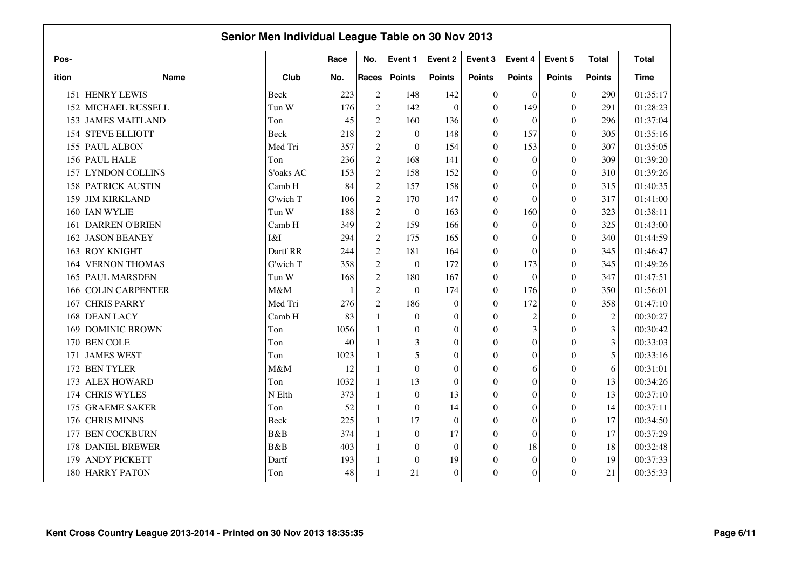|       |                       | Senior Men Individual League Table on 30 Nov 2013 |      |                |                  |                  |                  |                  |                  |                  |              |
|-------|-----------------------|---------------------------------------------------|------|----------------|------------------|------------------|------------------|------------------|------------------|------------------|--------------|
| Pos-  |                       |                                                   | Race | No.            | Event 1          | Event 2          | Event 3          | Event 4          | Event 5          | <b>Total</b>     | <b>Total</b> |
| ition | <b>Name</b>           | Club                                              | No.  | Races          | <b>Points</b>    | <b>Points</b>    | <b>Points</b>    | <b>Points</b>    | <b>Points</b>    | <b>Points</b>    | <b>Time</b>  |
| 151   | <b>HENRY LEWIS</b>    | Beck                                              | 223  | $\overline{c}$ | 148              | 142              | $\mathbf{0}$     | $\mathbf{0}$     | $\boldsymbol{0}$ | 290              | 01:35:17     |
| 152   | MICHAEL RUSSELL       | Tun W                                             | 176  | $\overline{2}$ | 142              | $\boldsymbol{0}$ | $\mathbf{0}$     | 149              | $\boldsymbol{0}$ | 291              | 01:28:23     |
|       | 153 JAMES MAITLAND    | Ton                                               | 45   | $\overline{c}$ | 160              | 136              | $\boldsymbol{0}$ | $\theta$         | $\mathbf{0}$     | 296              | 01:37:04     |
| 154   | <b>STEVE ELLIOTT</b>  | Beck                                              | 218  | $\overline{c}$ | $\boldsymbol{0}$ | 148              | $\mathbf{0}$     | 157              | $\boldsymbol{0}$ | 305              | 01:35:16     |
| 155   | <b>PAUL ALBON</b>     | Med Tri                                           | 357  | $\overline{c}$ | $\boldsymbol{0}$ | 154              | $\Omega$         | 153              | $\theta$         | 307              | 01:35:05     |
|       | 156 PAUL HALE         | Ton                                               | 236  | $\sqrt{2}$     | 168              | 141              | $\theta$         | $\mathbf{0}$     | $\theta$         | 309              | 01:39:20     |
| 157   | <b>LYNDON COLLINS</b> | S'oaks AC                                         | 153  | $\overline{c}$ | 158              | 152              | $\theta$         | $\theta$         | $\theta$         | 310              | 01:39:26     |
| 158   | <b>PATRICK AUSTIN</b> | Camb H                                            | 84   | $\overline{c}$ | 157              | 158              | $\Omega$         | $\theta$         | $\theta$         | 315              | 01:40:35     |
| 159   | <b>JIM KIRKLAND</b>   | G'wich T                                          | 106  | $\overline{2}$ | 170              | 147              | $\Omega$         | $\theta$         | $\theta$         | 317              | 01:41:00     |
| 160   | <b>IAN WYLIE</b>      | Tun W                                             | 188  | $\overline{c}$ | $\boldsymbol{0}$ | 163              | $\boldsymbol{0}$ | 160              | $\boldsymbol{0}$ | 323              | 01:38:11     |
| 161   | <b>DARREN O'BRIEN</b> | Camb H                                            | 349  | $\overline{c}$ | 159              | 166              | $\mathbf{0}$     | $\mathbf{0}$     | $\boldsymbol{0}$ | 325              | 01:43:00     |
| 162   | <b>JASON BEANEY</b>   | I&I                                               | 294  | $\overline{c}$ | 175              | 165              | $\Omega$         | $\overline{0}$   | $\theta$         | 340              | 01:44:59     |
| 163   | <b>ROY KNIGHT</b>     | Dartf RR                                          | 244  | $\overline{c}$ | 181              | 164              | $\mathbf{0}$     | $\overline{0}$   | $\theta$         | 345              | 01:46:47     |
| 164   | <b>VERNON THOMAS</b>  | G'wich T                                          | 358  | $\overline{c}$ | $\mathbf{0}$     | 172              | $\Omega$         | 173              | $\theta$         | 345              | 01:49:26     |
| 165   | <b>PAUL MARSDEN</b>   | Tun W                                             | 168  | $\overline{c}$ | 180              | 167              | $\mathbf{0}$     | $\boldsymbol{0}$ | $\theta$         | 347              | 01:47:51     |
| 166   | COLIN CARPENTER       | M&M                                               |      | $\overline{c}$ | $\boldsymbol{0}$ | 174              | $\Omega$         | 176              | $\overline{0}$   | 350              | 01:56:01     |
| 167   | <b>CHRIS PARRY</b>    | Med Tri                                           | 276  | $\overline{2}$ | 186              | $\boldsymbol{0}$ | $\theta$         | 172              | $\overline{0}$   | 358              | 01:47:10     |
| 168   | <b>DEAN LACY</b>      | Camb H                                            | 83   | $\mathbf{1}$   | $\mathbf{0}$     | $\boldsymbol{0}$ | $\Omega$         | $\overline{c}$   | $\boldsymbol{0}$ | $\boldsymbol{2}$ | 00:30:27     |
| 169   | <b>DOMINIC BROWN</b>  | Ton                                               | 1056 |                | $\boldsymbol{0}$ | $\boldsymbol{0}$ | $\theta$         | 3                | $\overline{0}$   | $\overline{3}$   | 00:30:42     |
| 170   | <b>BEN COLE</b>       | Ton                                               | 40   |                | 3                | $\mathbf{0}$     | $\theta$         | $\boldsymbol{0}$ | $\mathbf{0}$     | 3                | 00:33:03     |
| 171   | <b>JAMES WEST</b>     | Ton                                               | 1023 |                | 5                | $\boldsymbol{0}$ | $\theta$         | $\boldsymbol{0}$ | $\theta$         | 5                | 00:33:16     |
| 172   | <b>BEN TYLER</b>      | M&M                                               | 12   |                | $\boldsymbol{0}$ | $\boldsymbol{0}$ | $\boldsymbol{0}$ | 6                | $\theta$         | 6                | 00:31:01     |
| 173   | <b>ALEX HOWARD</b>    | Ton                                               | 1032 |                | 13               | $\overline{0}$   | $\Omega$         | $\theta$         | $\theta$         | 13               | 00:34:26     |
| 174   | <b>CHRIS WYLES</b>    | N Elth                                            | 373  | $\mathbf{1}$   | $\boldsymbol{0}$ | 13               | $\mathbf{0}$     | $\theta$         | $\theta$         | 13               | 00:37:10     |
| 175   | <b>GRAEME SAKER</b>   | Ton                                               | 52   |                | $\mathbf{0}$     | 14               | $\mathbf{0}$     | $\theta$         | $\theta$         | 14               | 00:37:11     |
| 176   | <b>CHRIS MINNS</b>    | Beck                                              | 225  |                | 17               | $\boldsymbol{0}$ | $\mathbf{0}$     | $\theta$         | $\theta$         | 17               | 00:34:50     |
| 177   | <b>BEN COCKBURN</b>   | B&B                                               | 374  |                | $\mathbf{0}$     | 17               | $\Omega$         | $\boldsymbol{0}$ | $\overline{0}$   | 17               | 00:37:29     |
| 178   | <b>DANIEL BREWER</b>  | <b>B</b> &B                                       | 403  | $\mathbf{1}$   | $\boldsymbol{0}$ | $\overline{0}$   | $\theta$         | 18               | $\overline{0}$   | 18               | 00:32:48     |
| 179   | <b>ANDY PICKETT</b>   | Dartf                                             | 193  |                | $\boldsymbol{0}$ | 19               | $\mathbf{0}$     | $\boldsymbol{0}$ | $\theta$         | 19               | 00:37:33     |
| 180   | <b>HARRY PATON</b>    | Ton                                               | 48   |                | 21               | $\boldsymbol{0}$ | $\mathbf{0}$     | $\boldsymbol{0}$ | $\overline{0}$   | 21               | 00:35:33     |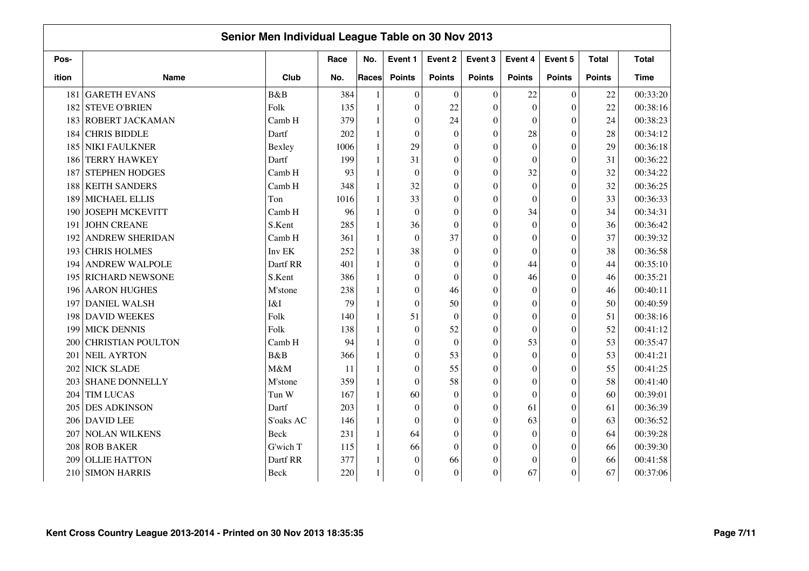|       |                          | Senior Men Individual League Table on 30 Nov 2013 |      |              |                  |                  |                  |                  |                  |               |              |
|-------|--------------------------|---------------------------------------------------|------|--------------|------------------|------------------|------------------|------------------|------------------|---------------|--------------|
| Pos-  |                          |                                                   | Race | No.          | Event 1          | Event 2          | Event 3          | Event 4          | Event 5          | <b>Total</b>  | <b>Total</b> |
| ition | <b>Name</b>              | Club                                              | No.  | Races        | <b>Points</b>    | <b>Points</b>    | <b>Points</b>    | <b>Points</b>    | <b>Points</b>    | <b>Points</b> | <b>Time</b>  |
| 181   | <b>GARETH EVANS</b>      | B&B                                               | 384  |              | $\theta$         | $\theta$         | $\Omega$         | 22               | $\overline{0}$   | 22            | 00:33:20     |
| 182   | <b>STEVE O'BRIEN</b>     | Folk                                              | 135  |              | $\boldsymbol{0}$ | 22               | $\Omega$         | $\theta$         | $\overline{0}$   | 22            | 00:38:16     |
| 183   | <b>ROBERT JACKAMAN</b>   | Camb H                                            | 379  |              | $\mathbf{0}$     | 24               | $\theta$         | $\theta$         | $\theta$         | 24            | 00:38:23     |
| 184   | <b>CHRIS BIDDLE</b>      | Dartf                                             | 202  |              | $\boldsymbol{0}$ | $\boldsymbol{0}$ | $\theta$         | 28               | $\overline{0}$   | 28            | 00:34:12     |
| 185   | NIKI FAULKNER            | Bexley                                            | 1006 |              | 29               | $\overline{0}$   | $\Omega$         | $\theta$         | $\overline{0}$   | 29            | 00:36:18     |
| 186   | <b>TERRY HAWKEY</b>      | Dartf                                             | 199  |              | 31               | $\overline{0}$   | $\theta$         | $\theta$         | $\overline{0}$   | 31            | 00:36:22     |
| 187   | <b>STEPHEN HODGES</b>    | Camb H                                            | 93   |              | $\boldsymbol{0}$ | $\mathbf{0}$     | $\Omega$         | 32               | $\boldsymbol{0}$ | 32            | 00:34:22     |
| 188   | <b>KEITH SANDERS</b>     | Camb H                                            | 348  |              | 32               | $\mathbf{0}$     | $\Omega$         | $\theta$         | $\overline{0}$   | 32            | 00:36:25     |
| 189   | MICHAEL ELLIS            | Ton                                               | 1016 | $\mathbf{1}$ | 33               | $\boldsymbol{0}$ | $\theta$         | $\overline{0}$   | $\theta$         | 33            | 00:36:33     |
| 190   | <b>JOSEPH MCKEVITT</b>   | Camb H                                            | 96   | $\mathbf{1}$ | $\overline{0}$   | $\boldsymbol{0}$ | $\mathbf{0}$     | 34               | $\theta$         | 34            | 00:34:31     |
| 191   | <b>JOHN CREANE</b>       | S.Kent                                            | 285  |              | 36               | $\boldsymbol{0}$ | $\mathbf{0}$     | $\mathbf{0}$     | $\boldsymbol{0}$ | 36            | 00:36:42     |
| 192   | <b>ANDREW SHERIDAN</b>   | Camb H                                            | 361  |              | $\mathbf{0}$     | 37               | $\Omega$         | $\boldsymbol{0}$ | $\theta$         | 37            | 00:39:32     |
| 193   | <b>CHRIS HOLMES</b>      | Inv EK                                            | 252  |              | 38               | $\boldsymbol{0}$ | $\theta$         | $\overline{0}$   | $\overline{0}$   | 38            | 00:36:58     |
| 194   | <b>ANDREW WALPOLE</b>    | Dartf RR                                          | 401  |              | $\mathbf{0}$     | $\theta$         | $\theta$         | 44               | $\theta$         | 44            | 00:35:10     |
| 195   | <b>RICHARD NEWSONE</b>   | S.Kent                                            | 386  |              | $\overline{0}$   | $\theta$         | $\mathbf{0}$     | 46               | $\theta$         | 46            | 00:35:21     |
| 196   | <b>AARON HUGHES</b>      | M'stone                                           | 238  |              | $\mathbf{0}$     | 46               | $\Omega$         | $\mathbf{0}$     | $\overline{0}$   | 46            | 00:40:11     |
| 197   | <b>DANIEL WALSH</b>      | I&I                                               | 79   |              | $\boldsymbol{0}$ | 50               | $\theta$         | $\boldsymbol{0}$ | $\overline{0}$   | 50            | 00:40:59     |
| 198   | <b>DAVID WEEKES</b>      | Folk                                              | 140  |              | 51               | $\boldsymbol{0}$ | $\boldsymbol{0}$ | $\overline{0}$   | $\boldsymbol{0}$ | 51            | 00:38:16     |
| 199   | <b>MICK DENNIS</b>       | Folk                                              | 138  |              | $\mathbf{0}$     | 52               | $\mathbf{0}$     | $\boldsymbol{0}$ | $\overline{0}$   | 52            | 00:41:12     |
| 200   | <b>CHRISTIAN POULTON</b> | Camb H                                            | 94   |              | $\mathbf{0}$     | $\mathbf{0}$     | $\theta$         | 53               | $\overline{0}$   | 53            | 00:35:47     |
| 201   | <b>NEIL AYRTON</b>       | B&B                                               | 366  |              | $\theta$         | 53               | $\theta$         | $\theta$         | $\theta$         | 53            | 00:41:21     |
| 202   | <b>NICK SLADE</b>        | M&M                                               | 11   |              | $\theta$         | 55               | $\theta$         | $\theta$         | $\theta$         | 55            | 00:41:25     |
| 203   | <b>SHANE DONNELLY</b>    | M'stone                                           | 359  |              | $\theta$         | 58               | $\Omega$         | $\theta$         | $\theta$         | 58            | 00:41:40     |
| 204   | <b>TIM LUCAS</b>         | Tun W                                             | 167  | $\mathbf{1}$ | 60               | $\overline{0}$   | $\theta$         | $\theta$         | $\overline{0}$   | 60            | 00:39:01     |
| 205   | <b>DES ADKINSON</b>      | Dartf                                             | 203  | $\mathbf{1}$ | $\theta$         | $\theta$         | $\Omega$         | 61               | $\theta$         | 61            | 00:36:39     |
| 206   | <b>DAVID LEE</b>         | S'oaks AC                                         | 146  |              | $\boldsymbol{0}$ | $\mathbf{0}$     | $\boldsymbol{0}$ | 63               | $\boldsymbol{0}$ | 63            | 00:36:52     |
| 207   | <b>NOLAN WILKENS</b>     | Beck                                              | 231  | 1            | 64               | $\mathbf{0}$     | $\Omega$         | $\mathbf{0}$     | $\overline{0}$   | 64            | 00:39:28     |
| 208   | <b>ROB BAKER</b>         | G'wich T                                          | 115  |              | 66               | $\overline{0}$   | $\Omega$         | $\theta$         | $\theta$         | 66            | 00:39:30     |
| 209   | <b>OLLIE HATTON</b>      | Dartf RR                                          | 377  |              | $\mathbf{0}$     | 66               | 0                | $\overline{0}$   | $\theta$         | 66            | 00:41:58     |
| 210   | <b>SIMON HARRIS</b>      | Beck                                              | 220  |              | $\boldsymbol{0}$ | $\theta$         | $\boldsymbol{0}$ | 67               | $\theta$         | 67            | 00:37:06     |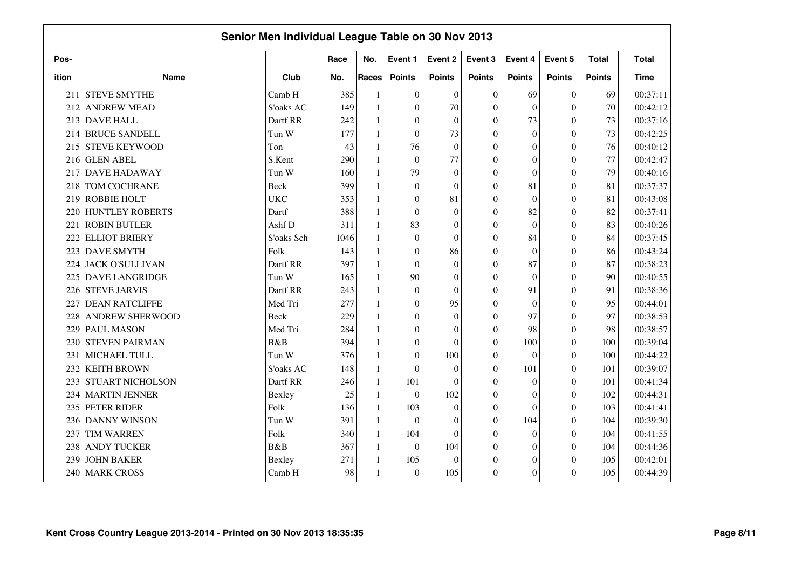|       |                         | Senior Men Individual League Table on 30 Nov 2013 |      |              |                  |                  |                  |                  |               |               |              |
|-------|-------------------------|---------------------------------------------------|------|--------------|------------------|------------------|------------------|------------------|---------------|---------------|--------------|
| Pos-  |                         |                                                   | Race | No.          | Event 1          | Event 2          | Event 3          | Event 4          | Event 5       | <b>Total</b>  | <b>Total</b> |
| ition | <b>Name</b>             | Club                                              | No.  | Races        | <b>Points</b>    | <b>Points</b>    | <b>Points</b>    | <b>Points</b>    | <b>Points</b> | <b>Points</b> | <b>Time</b>  |
| 211   | <b>STEVE SMYTHE</b>     | Camb H                                            | 385  |              | $\theta$         | $\overline{0}$   | $\Omega$         | 69               | $\Omega$      | 69            | 00:37:11     |
| 212   | <b>ANDREW MEAD</b>      | S'oaks AC                                         | 149  | $\mathbf{1}$ | $\theta$         | 70               | $\Omega$         | $\Omega$         | $\Omega$      | 70            | 00:42:12     |
| 213   | <b>DAVE HALL</b>        | Dartf RR                                          | 242  |              | $\theta$         | $\overline{0}$   | $\theta$         | 73               | $\Omega$      | 73            | 00:37:16     |
| 214   | <b>BRUCE SANDELL</b>    | Tun W                                             | 177  |              | $\mathbf{0}$     | 73               | $\overline{0}$   | $\mathbf{0}$     | $\mathbf{0}$  | 73            | 00:42:25     |
| 215   | <b>STEVE KEYWOOD</b>    | Ton                                               | 43   |              | 76               | $\boldsymbol{0}$ | $\theta$         | $\mathbf{0}$     | $\theta$      | 76            | 00:40:12     |
| 216   | <b>GLEN ABEL</b>        | S.Kent                                            | 290  |              | $\mathbf{0}$     | 77               | $\theta$         | $\mathbf{0}$     | $\theta$      | 77            | 00:42:47     |
| 217   | <b>DAVE HADAWAY</b>     | Tun W                                             | 160  |              | 79               | $\mathbf{0}$     | $\theta$         | $\theta$         | $\Omega$      | 79            | 00:40:16     |
| 218   | <b>TOM COCHRANE</b>     | <b>Beck</b>                                       | 399  |              | $\mathbf{0}$     | $\boldsymbol{0}$ | $\theta$         | 81               | $\theta$      | 81            | 00:37:37     |
| 219   | <b>ROBBIE HOLT</b>      | <b>UKC</b>                                        | 353  |              | $\overline{0}$   | 81               | $\theta$         | $\mathbf{0}$     | $\Omega$      | 81            | 00:43:08     |
| 220   | <b>HUNTLEY ROBERTS</b>  | Dartf                                             | 388  | 1            | $\theta$         | $\boldsymbol{0}$ | $\theta$         | 82               | $\Omega$      | 82            | 00:37:41     |
| 221   | <b>ROBIN BUTLER</b>     | Ashf D                                            | 311  | $\mathbf{1}$ | 83               | $\boldsymbol{0}$ | $\theta$         | $\Omega$         | $\Omega$      | 83            | 00:40:26     |
| 222   | <b>ELLIOT BRIERY</b>    | S'oaks Sch                                        | 1046 |              | $\mathbf{0}$     | $\overline{0}$   | $\theta$         | 84               | $\Omega$      | 84            | 00:37:45     |
| 223   | <b>DAVE SMYTH</b>       | Folk                                              | 143  |              | $\overline{0}$   | 86               | $\theta$         | $\Omega$         | $\Omega$      | 86            | 00:43:24     |
| 224   | <b>JACK O'SULLIVAN</b>  | Dartf RR                                          | 397  |              | $\theta$         | $\overline{0}$   | $\theta$         | 87               | $\Omega$      | 87            | 00:38:23     |
| 225   | <b>DAVE LANGRIDGE</b>   | Tun W                                             | 165  |              | 90               | $\theta$         | $\theta$         | $\theta$         | $\Omega$      | 90            | 00:40:55     |
| 226   | <b>STEVE JARVIS</b>     | Dartf RR                                          | 243  |              | $\boldsymbol{0}$ | $\overline{0}$   | $\theta$         | 91               | $\Omega$      | 91            | 00:38:36     |
| 227   | <b>DEAN RATCLIFFE</b>   | Med Tri                                           | 277  |              | $\overline{0}$   | 95               | $\theta$         | $\mathbf{0}$     | $\Omega$      | 95            | 00:44:01     |
| 228   | <b>ANDREW SHERWOOD</b>  | <b>Beck</b>                                       | 229  |              | $\overline{0}$   | $\mathbf{0}$     | $\theta$         | 97               | $\Omega$      | 97            | 00:38:53     |
| 229   | <b>PAUL MASON</b>       | Med Tri                                           | 284  |              | $\boldsymbol{0}$ | $\boldsymbol{0}$ | $\overline{0}$   | 98               | $\theta$      | 98            | 00:38:57     |
| 230   | <b>STEVEN PAIRMAN</b>   | B&B                                               | 394  |              | $\mathbf{0}$     | $\theta$         | $\theta$         | 100              | $\theta$      | 100           | 00:39:04     |
| 231   | MICHAEL TULL            | Tun W                                             | 376  |              | $\mathbf{0}$     | 100              | $\theta$         | $\theta$         | $\Omega$      | 100           | 00:44:22     |
| 232   | <b>KEITH BROWN</b>      | S'oaks AC                                         | 148  |              | $\theta$         | $\boldsymbol{0}$ | $\theta$         | 101              | $\Omega$      | 101           | 00:39:07     |
| 233   | <b>STUART NICHOLSON</b> | Dartf RR                                          | 246  |              | 101              | $\theta$         | $\theta$         | $\theta$         | $\Omega$      | 101           | 00:41:34     |
| 234   | <b>MARTIN JENNER</b>    | Bexley                                            | 25   | 1            | $\mathbf{0}$     | 102              | $\theta$         | $\theta$         | $\Omega$      | 102           | 00:44:31     |
| 235   | PETER RIDER             | Folk                                              | 136  | $\mathbf{1}$ | 103              | $\boldsymbol{0}$ | $\theta$         | $\theta$         | $\Omega$      | 103           | 00:41:41     |
| 236   | <b>DANNY WINSON</b>     | Tun W                                             | 391  | $\mathbf{1}$ | $\theta$         | $\boldsymbol{0}$ | $\theta$         | 104              | $\Omega$      | 104           | 00:39:30     |
| 237   | <b>TIM WARREN</b>       | Folk                                              | 340  | $\mathbf{1}$ | 104              | $\overline{0}$   | $\Omega$         | $\theta$         | $\Omega$      | 104           | 00:41:55     |
| 238   | <b>ANDY TUCKER</b>      | B&B                                               | 367  | $\mathbf{1}$ | $\mathbf{0}$     | 104              | $\theta$         | $\mathbf{0}$     | $\Omega$      | 104           | 00:44:36     |
| 239   | <b>JOHN BAKER</b>       | Bexley                                            | 271  |              | 105              | $\boldsymbol{0}$ | $\theta$         | $\boldsymbol{0}$ | $\Omega$      | 105           | 00:42:01     |
| 240   | <b>MARK CROSS</b>       | Camb H                                            | 98   |              | $\mathbf{0}$     | 105              | $\boldsymbol{0}$ | $\overline{0}$   | $\theta$      | 105           | 00:44:39     |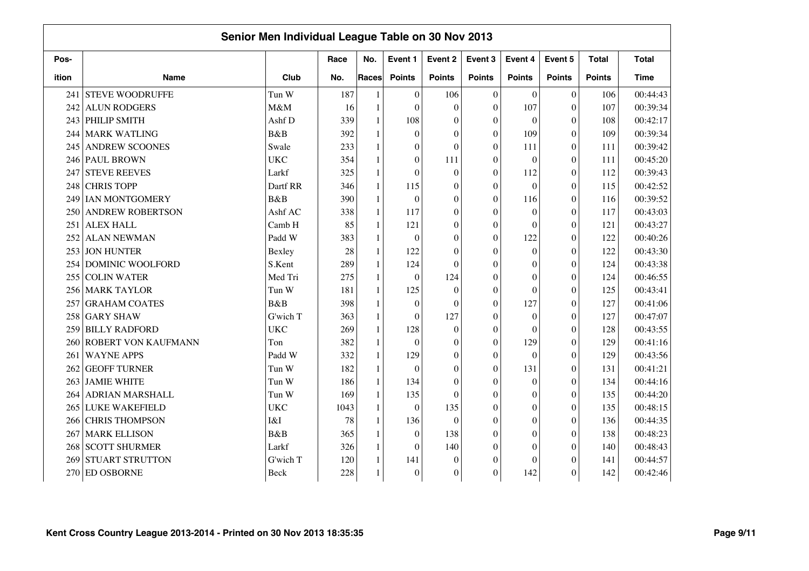|       |                         | Senior Men Individual League Table on 30 Nov 2013 |      |                |                  |                  |                  |                  |                  |               |              |
|-------|-------------------------|---------------------------------------------------|------|----------------|------------------|------------------|------------------|------------------|------------------|---------------|--------------|
| Pos-  |                         |                                                   | Race | No.            | Event 1          | Event 2          | Event 3          | Event 4          | Event 5          | <b>Total</b>  | <b>Total</b> |
| ition | <b>Name</b>             | Club                                              | No.  | Races          | <b>Points</b>    | <b>Points</b>    | <b>Points</b>    | <b>Points</b>    | <b>Points</b>    | <b>Points</b> | <b>Time</b>  |
| 241   | <b>STEVE WOODRUFFE</b>  | Tun W                                             | 187  | $\mathbf{1}$   | $\boldsymbol{0}$ | 106              | $\overline{0}$   | $\mathbf{0}$     | $\boldsymbol{0}$ | 106           | 00:44:43     |
| 242   | <b>ALUN RODGERS</b>     | M&M                                               | 16   | $\mathbf{1}$   | $\mathbf{0}$     | $\boldsymbol{0}$ | $\boldsymbol{0}$ | 107              | $\boldsymbol{0}$ | 107           | 00:39:34     |
| 243   | <b>PHILIP SMITH</b>     | Ashf D                                            | 339  | $\mathbf{1}$   | 108              | $\boldsymbol{0}$ | $\mathbf{0}$     | $\mathbf{0}$     | $\boldsymbol{0}$ | 108           | 00:42:17     |
| 244   | <b>MARK WATLING</b>     | B&B                                               | 392  | $\overline{1}$ | $\mathbf{0}$     | $\theta$         | $\mathbf{0}$     | 109              | $\overline{0}$   | 109           | 00:39:34     |
| 245   | <b>ANDREW SCOONES</b>   | Swale                                             | 233  | $\overline{1}$ | $\mathbf{0}$     | $\Omega$         | $\mathbf{0}$     | 111              | $\overline{0}$   | 111           | 00:39:42     |
| 246   | <b>PAUL BROWN</b>       | <b>UKC</b>                                        | 354  | $\mathbf{1}$   | $\boldsymbol{0}$ | 111              | $\theta$         | $\mathbf{0}$     | $\overline{0}$   | 111           | 00:45:20     |
| 247   | <b>STEVE REEVES</b>     | Larkf                                             | 325  | 1              | $\mathbf{0}$     | $\boldsymbol{0}$ | $\boldsymbol{0}$ | 112              | $\boldsymbol{0}$ | 112           | 00:39:43     |
| 248   | <b>CHRIS TOPP</b>       | Dartf RR                                          | 346  | 1              | 115              | $\boldsymbol{0}$ | $\mathbf{0}$     | $\mathbf{0}$     | $\theta$         | 115           | 00:42:52     |
| 249   | <b>IAN MONTGOMERY</b>   | B&B                                               | 390  | 1              | $\mathbf{0}$     | $\theta$         | $\mathbf{0}$     | 116              | $\theta$         | 116           | 00:39:52     |
| 250   | <b>ANDREW ROBERTSON</b> | Ashf AC                                           | 338  | 1              | 117              | $\overline{0}$   | $\mathbf{0}$     | $\mathbf{0}$     | $\theta$         | 117           | 00:43:03     |
| 251   | <b>ALEX HALL</b>        | Camb H                                            | 85   | $\mathbf{1}$   | 121              | $\theta$         | $\mathbf{0}$     | $\mathbf{0}$     | $\theta$         | 121           | 00:43:27     |
| 252   | <b>ALAN NEWMAN</b>      | Padd W                                            | 383  | $\mathbf{1}$   | $\mathbf{0}$     | $\theta$         | $\boldsymbol{0}$ | 122              | $\overline{0}$   | 122           | 00:40:26     |
| 253   | <b>JON HUNTER</b>       | Bexley                                            | 28   | $\mathbf{1}$   | 122              | $\Omega$         | $\theta$         | $\theta$         | $\theta$         | 122           | 00:43:30     |
| 254   | DOMINIC WOOLFORD        | S.Kent                                            | 289  | $\mathbf{1}$   | 124              | $\Omega$         | $\Omega$         | $\theta$         | $\Omega$         | 124           | 00:43:38     |
| 255   | <b>COLIN WATER</b>      | Med Tri                                           | 275  | 1              | $\boldsymbol{0}$ | 124              | $\boldsymbol{0}$ | $\boldsymbol{0}$ | $\overline{0}$   | 124           | 00:46:55     |
| 256   | <b>MARK TAYLOR</b>      | Tun W                                             | 181  | 1              | 125              | $\theta$         | $\mathbf{0}$     | $\mathbf{0}$     | $\theta$         | 125           | 00:43:41     |
| 257   | <b>GRAHAM COATES</b>    | B&B                                               | 398  | $\mathbf{1}$   | $\boldsymbol{0}$ | $\theta$         | $\boldsymbol{0}$ | 127              | $\theta$         | 127           | 00:41:06     |
| 258   | <b>GARY SHAW</b>        | G'wich T                                          | 363  | $\mathbf{1}$   | $\mathbf{0}$     | 127              | $\mathbf{0}$     | $\mathbf{0}$     | $\boldsymbol{0}$ | 127           | 00:47:07     |
| 259   | <b>BILLY RADFORD</b>    | <b>UKC</b>                                        | 269  | $\mathbf{1}$   | 128              | $\boldsymbol{0}$ | $\boldsymbol{0}$ | $\mathbf{0}$     | $\theta$         | 128           | 00:43:55     |
| 260   | ROBERT VON KAUFMANN     | Ton                                               | 382  | $\overline{1}$ | $\mathbf{0}$     | $\theta$         | $\boldsymbol{0}$ | 129              | $\overline{0}$   | 129           | 00:41:16     |
| 261   | <b>WAYNE APPS</b>       | Padd W                                            | 332  | $\mathbf{1}$   | 129              | $\theta$         | $\theta$         | $\Omega$         | $\overline{0}$   | 129           | 00:43:56     |
| 262   | <b>GEOFF TURNER</b>     | Tun W                                             | 182  | $\mathbf{1}$   | $\mathbf{0}$     | $\Omega$         | $\boldsymbol{0}$ | 131              | $\theta$         | 131           | 00:41:21     |
| 263   | <b>JAMIE WHITE</b>      | Tun W                                             | 186  | 1              | 134              | $\theta$         | $\mathbf{0}$     | $\mathbf{0}$     | $\theta$         | 134           | 00:44:16     |
| 264 I | <b>ADRIAN MARSHALL</b>  | Tun W                                             | 169  | $\mathbf{1}$   | 135              | $\theta$         | $\mathbf{0}$     | $\boldsymbol{0}$ | $\theta$         | 135           | 00:44:20     |
| 265   | <b>LUKE WAKEFIELD</b>   | <b>UKC</b>                                        | 1043 | 1              | $\mathbf{0}$     | 135              | $\boldsymbol{0}$ | $\mathbf{0}$     | $\theta$         | 135           | 00:48:15     |
| 266   | <b>CHRIS THOMPSON</b>   | I&I                                               | 78   | $\mathbf{1}$   | 136              | $\boldsymbol{0}$ | $\mathbf{0}$     | $\mathbf{0}$     | $\boldsymbol{0}$ | 136           | 00:44:35     |
| 267   | <b>MARK ELLISON</b>     | B&B                                               | 365  | $\mathbf{1}$   | $\mathbf{0}$     | 138              | $\mathbf{0}$     | $\overline{0}$   | $\overline{0}$   | 138           | 00:48:23     |
| 268   | <b>SCOTT SHURMER</b>    | Larkf                                             | 326  | $\mathbf{1}$   | $\mathbf{0}$     | 140              | $\theta$         | $\theta$         | $\overline{0}$   | 140           | 00:48:43     |
| 269   | <b>STUART STRUTTON</b>  | G'wich T                                          | 120  | $\mathbf{1}$   | 141              | $\theta$         | $\theta$         | $\boldsymbol{0}$ | $\Omega$         | 141           | 00:44:57     |
| 270   | <b>ED OSBORNE</b>       | Beck                                              | 228  |                | $\boldsymbol{0}$ | $\boldsymbol{0}$ | $\boldsymbol{0}$ | 142              | $\theta$         | 142           | 00:42:46     |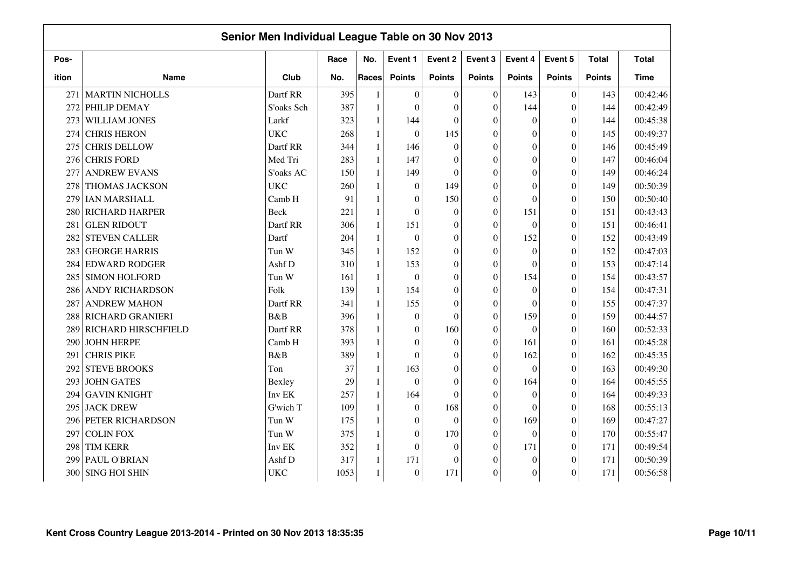|       |                         | Senior Men Individual League Table on 30 Nov 2013 |      |              |                  |                  |                  |                  |                  |               |              |
|-------|-------------------------|---------------------------------------------------|------|--------------|------------------|------------------|------------------|------------------|------------------|---------------|--------------|
| Pos-  |                         |                                                   | Race | No.          | Event 1          | Event 2          | Event 3          | Event 4          | Event 5          | <b>Total</b>  | <b>Total</b> |
| ition | <b>Name</b>             | Club                                              | No.  | <b>Races</b> | <b>Points</b>    | <b>Points</b>    | <b>Points</b>    | <b>Points</b>    | <b>Points</b>    | <b>Points</b> | <b>Time</b>  |
| 271   | <b>MARTIN NICHOLLS</b>  | Dartf RR                                          | 395  |              | $\boldsymbol{0}$ | $\boldsymbol{0}$ | $\Omega$         | 143              | $\mathbf{0}$     | 143           | 00:42:46     |
| 272   | PHILIP DEMAY            | S'oaks Sch                                        | 387  | 1            | $\mathbf{0}$     | $\boldsymbol{0}$ | $\Omega$         | 144              | $\boldsymbol{0}$ | 144           | 00:42:49     |
| 273   | WILLIAM JONES           | Larkf                                             | 323  | $\mathbf{1}$ | 144              | $\boldsymbol{0}$ | $\Omega$         | $\overline{0}$   | $\boldsymbol{0}$ | 144           | 00:45:38     |
| 274   | <b>CHRIS HERON</b>      | <b>UKC</b>                                        | 268  | 1            | $\mathbf{0}$     | 145              | $\mathbf{0}$     | $\overline{0}$   | $\boldsymbol{0}$ | 145           | 00:49:37     |
| 275   | <b>CHRIS DELLOW</b>     | Dartf RR                                          | 344  | 1            | 146              | $\boldsymbol{0}$ | $\Omega$         | $\overline{0}$   | $\overline{0}$   | 146           | 00:45:49     |
| 276   | <b>CHRIS FORD</b>       | Med Tri                                           | 283  | 1            | 147              | $\theta$         | $\Omega$         | $\boldsymbol{0}$ | $\overline{0}$   | 147           | 00:46:04     |
| 277   | <b>ANDREW EVANS</b>     | S'oaks AC                                         | 150  | 1            | 149              | $\theta$         | $\Omega$         | $\theta$         | $\theta$         | 149           | 00:46:24     |
| 278   | <b>THOMAS JACKSON</b>   | <b>UKC</b>                                        | 260  | 1            | $\mathbf{0}$     | 149              | $\Omega$         | $\theta$         | $\overline{0}$   | 149           | 00:50:39     |
| 279   | <b>IAN MARSHALL</b>     | Camb H                                            | 91   | 1            | $\mathbf{0}$     | 150              | $\Omega$         | $\theta$         | $\overline{0}$   | 150           | 00:50:40     |
| 280   | RICHARD HARPER          | Beck                                              | 221  | $\mathbf{1}$ | $\theta$         | $\boldsymbol{0}$ | $\theta$         | 151              | $\overline{0}$   | 151           | 00:43:43     |
| 281   | <b>GLEN RIDOUT</b>      | Dartf RR                                          | 306  | $\mathbf{1}$ | 151              | $\boldsymbol{0}$ | $\boldsymbol{0}$ | $\boldsymbol{0}$ | $\boldsymbol{0}$ | 151           | 00:46:41     |
| 282   | <b>STEVEN CALLER</b>    | Dartf                                             | 204  | 1            | $\mathbf{0}$     | $\overline{0}$   | $\Omega$         | 152              | $\mathbf{0}$     | 152           | 00:43:49     |
| 283   | <b>GEORGE HARRIS</b>    | Tun W                                             | 345  | $\mathbf{1}$ | 152              | $\boldsymbol{0}$ | $\Omega$         | $\boldsymbol{0}$ | $\overline{0}$   | 152           | 00:47:03     |
| 284   | <b>EDWARD RODGER</b>    | Ashf D                                            | 310  | $\mathbf{1}$ | 153              | $\theta$         | $\Omega$         | $\mathbf{0}$     | $\overline{0}$   | 153           | 00:47:14     |
| 285   | <b>SIMON HOLFORD</b>    | Tun W                                             | 161  |              | $\mathbf{0}$     | $\boldsymbol{0}$ | $\Omega$         | 154              | $\theta$         | 154           | 00:43:57     |
| 286   | <b>ANDY RICHARDSON</b>  | Folk                                              | 139  | $\mathbf{1}$ | 154              | $\overline{0}$   | $\Omega$         | $\theta$         | $\overline{0}$   | 154           | 00:47:31     |
| 287   | <b>ANDREW MAHON</b>     | Dartf RR                                          | 341  | 1            | 155              | $\overline{0}$   | $\Omega$         | $\theta$         | $\overline{0}$   | 155           | 00:47:37     |
| 288   | <b>RICHARD GRANIERI</b> | B&B                                               | 396  | $\mathbf{1}$ | $\mathbf{0}$     | $\theta$         | $\theta$         | 159              | $\theta$         | 159           | 00:44:57     |
| 289   | RICHARD HIRSCHFIELD     | Dartf RR                                          | 378  | 1            | $\mathbf{0}$     | 160              | $\theta$         | $\boldsymbol{0}$ | $\overline{0}$   | 160           | 00:52:33     |
| 290   | <b>JOHN HERPE</b>       | Camb H                                            | 393  | 1            | $\boldsymbol{0}$ | $\boldsymbol{0}$ | $\boldsymbol{0}$ | 161              | $\boldsymbol{0}$ | 161           | 00:45:28     |
| 291   | <b>CHRIS PIKE</b>       | <b>B</b> &B                                       | 389  | 1            | $\boldsymbol{0}$ | $\overline{0}$   | $\Omega$         | 162              | $\boldsymbol{0}$ | 162           | 00:45:35     |
| 292   | <b>STEVE BROOKS</b>     | Ton                                               | 37   | 1            | 163              | $\boldsymbol{0}$ | $\Omega$         | $\mathbf{0}$     | $\theta$         | 163           | 00:49:30     |
| 293   | <b>JOHN GATES</b>       | Bexley                                            | 29   | 1            | $\theta$         | $\theta$         | $\Omega$         | 164              | $\theta$         | 164           | 00:45:55     |
| 294   | <b>GAVIN KNIGHT</b>     | Inv EK                                            | 257  | 1            | 164              | $\theta$         | $\Omega$         | $\mathbf{0}$     | $\theta$         | 164           | 00:49:33     |
| 295   | <b>JACK DREW</b>        | G'wich T                                          | 109  | 1            | $\boldsymbol{0}$ | 168              | $\mathbf{0}$     | $\theta$         | $\overline{0}$   | 168           | 00:55:13     |
| 296   | <b>PETER RICHARDSON</b> | Tun W                                             | 175  | 1            | $\boldsymbol{0}$ | $\boldsymbol{0}$ | $\theta$         | 169              | $\boldsymbol{0}$ | 169           | 00:47:27     |
| 297   | <b>COLIN FOX</b>        | Tun W                                             | 375  | $\mathbf{1}$ | $\mathbf{0}$     | 170              | $\Omega$         | $\theta$         | $\overline{0}$   | 170           | 00:55:47     |
| 298   | <b>TIM KERR</b>         | Inv EK                                            | 352  | 1            | $\mathbf{0}$     | $\theta$         | $\theta$         | 171              | $\overline{0}$   | 171           | 00:49:54     |
| 299   | PAUL O'BRIAN            | Ashf D                                            | 317  | $\mathbf{1}$ | 171              | $\theta$         | $\Omega$         | $\theta$         | $\Omega$         | 171           | 00:50:39     |
| 300   | <b>SING HOI SHIN</b>    | <b>UKC</b>                                        | 1053 |              | $\boldsymbol{0}$ | 171              | $\boldsymbol{0}$ | $\boldsymbol{0}$ | $\overline{0}$   | 171           | 00:56:58     |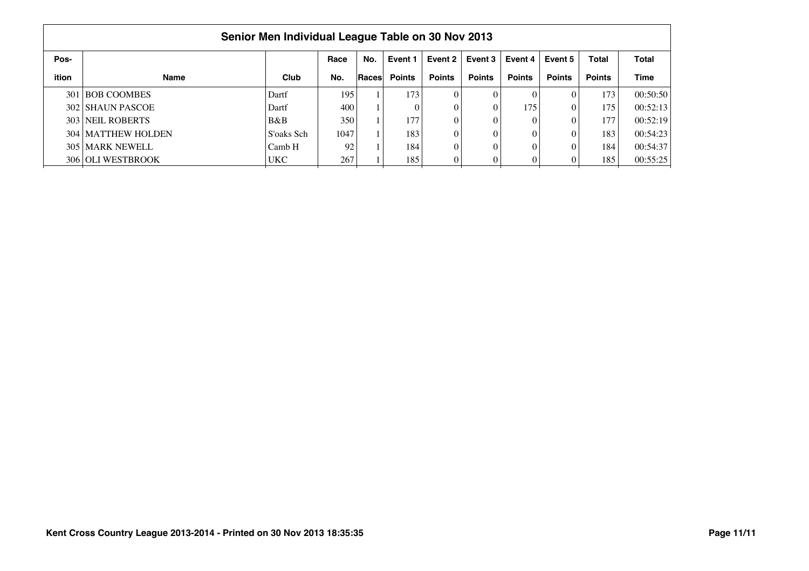|       |                             | Senior Men Individual League Table on 30 Nov 2013 |      |       |               |               |               |               |               |               |              |
|-------|-----------------------------|---------------------------------------------------|------|-------|---------------|---------------|---------------|---------------|---------------|---------------|--------------|
| Pos-  |                             |                                                   | Race | No.   | Event 1       | Event 2       | Event 3       | Event 4       | Event 5       | <b>Total</b>  | <b>Total</b> |
| ition | <b>Name</b>                 | Club                                              | No.  | Races | <b>Points</b> | <b>Points</b> | <b>Points</b> | <b>Points</b> | <b>Points</b> | <b>Points</b> | <b>Time</b>  |
|       | 301 BOB COOMBES             | Dartf                                             | 195  |       | 173           |               | 0             |               |               | 173           | 00:50:50     |
|       | 302 SHAUN PASCOE            | Dartf                                             | 400  |       |               |               | 0             | 175'          |               | 175           | 00:52:13     |
|       | 303 NEIL ROBERTS            | B&B                                               | 350  |       | 177           |               | 0             |               |               | 177           | 00:52:19     |
|       | <b>304   MATTHEW HOLDEN</b> | S'oaks Sch                                        | 1047 |       | 1831          |               | 0             |               |               | 183           | 00:54:23     |
|       | 305 MARK NEWELL             | Camb H                                            | 92   |       | 184           |               | 0             |               |               | 184           | 00:54:37     |
|       | 306 OLI WESTBROOK           | <b>UKC</b>                                        | 267  |       | 185           |               | 0             |               |               | 185           | 00:55:25     |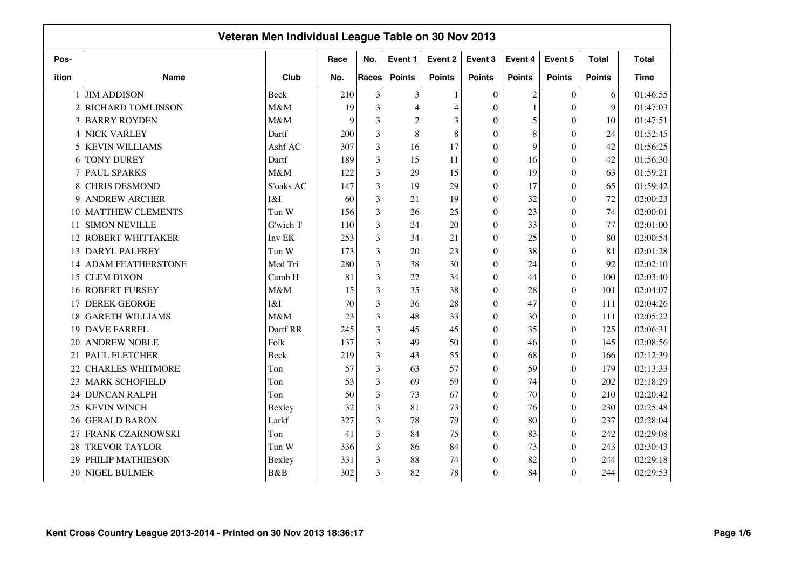|                |                          | Veteran Men Individual League Table on 30 Nov 2013 |      |                |                |                |               |                |                  |               |              |
|----------------|--------------------------|----------------------------------------------------|------|----------------|----------------|----------------|---------------|----------------|------------------|---------------|--------------|
| Pos-           |                          |                                                    | Race | No.            | Event 1        | Event 2        | Event 3       | Event 4        | Event 5          | <b>Total</b>  | <b>Total</b> |
| ition          | <b>Name</b>              | Club                                               | No.  | Races          | <b>Points</b>  | <b>Points</b>  | <b>Points</b> | <b>Points</b>  | <b>Points</b>    | <b>Points</b> | <b>Time</b>  |
|                | <b>JIM ADDISON</b>       | <b>Beck</b>                                        | 210  | 3              | $\mathfrak{Z}$ |                | $\Omega$      | $\mathfrak{2}$ | $\Omega$         | 6             | 01:46:55     |
| $\overline{2}$ | <b>RICHARD TOMLINSON</b> | M&M                                                | 19   | 3              | 4              | $\overline{4}$ | $\Omega$      | $\mathbf{1}$   | $\overline{0}$   | $\mathbf{Q}$  | 01:47:03     |
|                | 3 BARRY ROYDEN           | M&M                                                | 9    | 3              | $\overline{c}$ | 3              | $\mathbf{0}$  | 5              | $\boldsymbol{0}$ | 10            | 01:47:51     |
| 4              | <b>NICK VARLEY</b>       | Dartf                                              | 200  | 3              | 8              | 8              | $\Omega$      | $\,$ 8 $\,$    | $\mathbf{0}$     | 24            | 01:52:45     |
| 5              | <b>KEVIN WILLIAMS</b>    | Ashf AC                                            | 307  | 3              | 16             | 17             | $\Omega$      | 9              | $\overline{0}$   | 42            | 01:56:25     |
| 6              | <b>TONY DUREY</b>        | Dartf                                              | 189  | 3              | 15             | 11             | $\theta$      | 16             | $\theta$         | 42            | 01:56:30     |
|                | <b>PAUL SPARKS</b>       | M&M                                                | 122  | 3              | 29             | 15             | $\theta$      | 19             | $\boldsymbol{0}$ | 63            | 01:59:21     |
| 8              | <b>CHRIS DESMOND</b>     | S'oaks AC                                          | 147  | 3              | 19             | 29             | $\Omega$      | 17             | $\overline{0}$   | 65            | 01:59:42     |
| 9              | <b>ANDREW ARCHER</b>     | I&I                                                | 60   | 3              | 21             | 19             | $\theta$      | 32             | $\overline{0}$   | 72            | 02:00:23     |
| 10             | <b>MATTHEW CLEMENTS</b>  | Tun W                                              | 156  | 3              | 26             | 25             | $\Omega$      | 23             | $\overline{0}$   | 74            | 02:00:01     |
| 11             | <b>SIMON NEVILLE</b>     | G'wich T                                           | 110  | 3              | 24             | 20             | $\theta$      | 33             | $\boldsymbol{0}$ | 77            | 02:01:00     |
| 12             | <b>ROBERT WHITTAKER</b>  | Inv EK                                             | 253  | 3              | 34             | 21             | $\theta$      | 25             | $\overline{0}$   | 80            | 02:00:54     |
| 13             | <b>DARYL PALFREY</b>     | Tun W                                              | 173  | $\overline{3}$ | 20             | 23             | $\Omega$      | 38             | $\overline{0}$   | 81            | 02:01:28     |
| 14             | <b>ADAM FEATHERSTONE</b> | Med Tri                                            | 280  | 3              | 38             | 30             | $\Omega$      | 24             | $\overline{0}$   | 92            | 02:02:10     |
| 15             | <b>CLEM DIXON</b>        | Camb H                                             | 81   | 3              | 22             | 34             | $\Omega$      | 44             | $\boldsymbol{0}$ | 100           | 02:03:40     |
| 16             | <b>ROBERT FURSEY</b>     | M&M                                                | 15   | 3              | 35             | 38             | $\theta$      | 28             | $\boldsymbol{0}$ | 101           | 02:04:07     |
| 17             | <b>DEREK GEORGE</b>      | I&I                                                | 70   | 3              | 36             | 28             | $\mathbf{0}$  | 47             | $\boldsymbol{0}$ | 111           | 02:04:26     |
| 18             | <b>GARETH WILLIAMS</b>   | M&M                                                | 23   | 3              | 48             | 33             | $\mathbf{0}$  | 30             | $\boldsymbol{0}$ | 111           | 02:05:22     |
| 19             | <b>DAVE FARREL</b>       | Dartf RR                                           | 245  | 3              | 45             | 45             | $\mathbf{0}$  | 35             | $\boldsymbol{0}$ | 125           | 02:06:31     |
| 20             | <b>ANDREW NOBLE</b>      | Folk                                               | 137  | 3              | 49             | 50             | $\theta$      | 46             | $\theta$         | 145           | 02:08:56     |
| 21             | <b>PAUL FLETCHER</b>     | <b>Beck</b>                                        | 219  | 3              | 43             | 55             | $\Omega$      | 68             | $\theta$         | 166           | 02:12:39     |
| 22             | <b>CHARLES WHITMORE</b>  | Ton                                                | 57   | 3              | 63             | 57             | $\theta$      | 59             | $\theta$         | 179           | 02:13:33     |
| 23             | <b>MARK SCHOFIELD</b>    | Ton                                                | 53   | 3              | 69             | 59             | $\theta$      | 74             | $\overline{0}$   | 202           | 02:18:29     |
| 24             | <b>DUNCAN RALPH</b>      | Ton                                                | 50   | 3              | 73             | 67             | $\theta$      | 70             | $\overline{0}$   | 210           | 02:20:42     |
| 25             | <b>KEVIN WINCH</b>       | Bexley                                             | 32   | 3              | 81             | 73             | $\theta$      | 76             | $\boldsymbol{0}$ | 230           | 02:25:48     |
| 26             | <b>GERALD BARON</b>      | Larkf                                              | 327  | 3              | 78             | 79             | $\theta$      | 80             | $\overline{0}$   | 237           | 02:28:04     |
| 27             | FRANK CZARNOWSKI         | Ton                                                | 41   | 3              | 84             | 75             | $\Omega$      | 83             | $\theta$         | 242           | 02:29:08     |
| 28             | <b>TREVOR TAYLOR</b>     | Tun W                                              | 336  | 3              | 86             | 84             | $\theta$      | 73             | $\theta$         | 243           | 02:30:43     |
| 29             | PHILIP MATHIESON         | Bexley                                             | 331  | 3              | 88             | 74             | $\theta$      | 82             | $\theta$         | 244           | 02:29:18     |
| 30             | <b>NIGEL BULMER</b>      | B&B                                                | 302  | 3              | 82             | 78             | $\Omega$      | 84             | $\theta$         | 244           | 02:29:53     |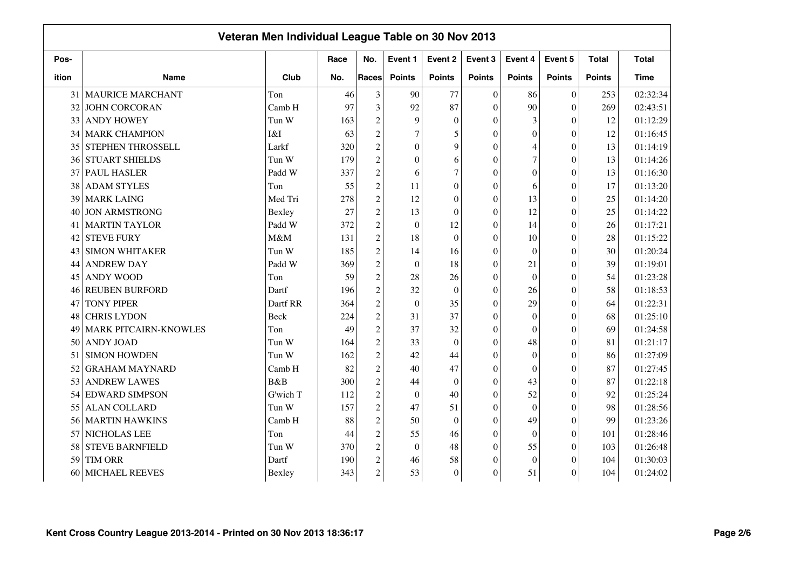|       |                              | Veteran Men Individual League Table on 30 Nov 2013 |      |                |                  |                  |                  |                  |                  |               |              |
|-------|------------------------------|----------------------------------------------------|------|----------------|------------------|------------------|------------------|------------------|------------------|---------------|--------------|
| Pos-  |                              |                                                    | Race | No.            | Event 1          | Event 2          | Event 3          | Event 4          | Event 5          | <b>Total</b>  | <b>Total</b> |
| ition | <b>Name</b>                  | Club                                               | No.  | <b>Races</b>   | <b>Points</b>    | <b>Points</b>    | <b>Points</b>    | <b>Points</b>    | <b>Points</b>    | <b>Points</b> | <b>Time</b>  |
|       | 31 MAURICE MARCHANT          | Ton                                                | 46   | 3              | 90               | 77               | $\overline{0}$   | 86               | $\boldsymbol{0}$ | 253           | 02:32:34     |
| 32    | <b>JOHN CORCORAN</b>         | Camb H                                             | 97   | 3              | 92               | 87               | $\theta$         | 90               | $\overline{0}$   | 269           | 02:43:51     |
| 33    | <b>ANDY HOWEY</b>            | Tun W                                              | 163  | $\overline{c}$ | 9                | $\overline{0}$   | $\theta$         | 3                | $\theta$         | 12            | 01:12:29     |
| 34    | <b>MARK CHAMPION</b>         | I&I                                                | 63   | $\overline{c}$ | $\overline{7}$   | 5                | $\Omega$         | $\overline{0}$   | $\overline{0}$   | 12            | 01:16:45     |
| 35    | <b>STEPHEN THROSSELL</b>     | Larkf                                              | 320  | $\overline{c}$ | $\theta$         | 9                | $\Omega$         | 4                | $\overline{0}$   | 13            | 01:14:19     |
| 36    | <b>STUART SHIELDS</b>        | Tun W                                              | 179  | $\overline{c}$ | $\theta$         | 6                | $\Omega$         | $\overline{7}$   | $\overline{0}$   | 13            | 01:14:26     |
|       | 37 PAUL HASLER               | Padd W                                             | 337  | $\overline{c}$ | 6                | $\overline{7}$   | $\Omega$         | $\boldsymbol{0}$ | $\overline{0}$   | 13            | 01:16:30     |
| 38    | <b>ADAM STYLES</b>           | Ton                                                | 55   | $\overline{c}$ | 11               | $\overline{0}$   | $\Omega$         | 6                | $\overline{0}$   | 17            | 01:13:20     |
| 39    | <b>MARK LAING</b>            | Med Tri                                            | 278  | $\overline{c}$ | 12               | $\boldsymbol{0}$ | $\mathbf{0}$     | 13               | $\theta$         | 25            | 01:14:20     |
| 40    | <b>JON ARMSTRONG</b>         | Bexley                                             | 27   | $\overline{c}$ | 13               | $\overline{0}$   | $\mathbf{0}$     | 12               | $\boldsymbol{0}$ | 25            | 01:14:22     |
| 41    | <b>MARTIN TAYLOR</b>         | Padd W                                             | 372  | $\sqrt{2}$     | $\boldsymbol{0}$ | 12               | $\mathbf{0}$     | 14               | $\boldsymbol{0}$ | 26            | 01:17:21     |
| 42    | <b>STEVE FURY</b>            | M&M                                                | 131  | $\overline{c}$ | 18               | $\overline{0}$   | $\Omega$         | 10               | $\overline{0}$   | 28            | 01:15:22     |
| 43    | <b>SIMON WHITAKER</b>        | Tun W                                              | 185  | $\overline{c}$ | 14               | 16               | $\theta$         | $\mathbf{0}$     | $\overline{0}$   | 30            | 01:20:24     |
| 44    | <b>ANDREW DAY</b>            | Padd W                                             | 369  | $\overline{c}$ | $\mathbf{0}$     | 18               | $\theta$         | 21               | $\theta$         | 39            | 01:19:01     |
| 45    | <b>ANDY WOOD</b>             | Ton                                                | 59   | $\overline{c}$ | 28               | 26               | $\theta$         | $\boldsymbol{0}$ | $\overline{0}$   | 54            | 01:23:28     |
| 46    | <b>REUBEN BURFORD</b>        | Dartf                                              | 196  | $\overline{c}$ | 32               | $\boldsymbol{0}$ | $\theta$         | 26               | $\overline{0}$   | 58            | 01:18:53     |
| 47    | <b>TONY PIPER</b>            | Dartf RR                                           | 364  | $\overline{c}$ | $\mathbf{0}$     | 35               | $\mathbf{0}$     | 29               | $\overline{0}$   | 64            | 01:22:31     |
| 48    | <b>CHRIS LYDON</b>           | Beck                                               | 224  | $\overline{c}$ | 31               | 37               | $\overline{0}$   | $\mathbf{0}$     | $\boldsymbol{0}$ | 68            | 01:25:10     |
| 49    | <b>MARK PITCAIRN-KNOWLES</b> | Ton                                                | 49   | $\overline{c}$ | 37               | 32               | $\overline{0}$   | $\mathbf{0}$     | $\overline{0}$   | 69            | 01:24:58     |
| 50    | <b>ANDY JOAD</b>             | Tun W                                              | 164  | $\overline{c}$ | 33               | $\overline{0}$   | $\theta$         | 48               | $\overline{0}$   | 81            | 01:21:17     |
| 51    | <b>SIMON HOWDEN</b>          | Tun W                                              | 162  | $\overline{c}$ | 42               | 44               | $\Omega$         | $\theta$         | $\theta$         | 86            | 01:27:09     |
| 52    | <b>GRAHAM MAYNARD</b>        | Camb H                                             | 82   | $\overline{c}$ | 40               | 47               | $\theta$         | $\theta$         | $\overline{0}$   | 87            | 01:27:45     |
| 53    | <b>ANDREW LAWES</b>          | B&B                                                | 300  | $\overline{c}$ | 44               | $\theta$         | $\theta$         | 43               | $\overline{0}$   | 87            | 01:22:18     |
|       | 54 EDWARD SIMPSON            | G'wich T                                           | 112  | $\overline{c}$ | $\theta$         | 40               | $\theta$         | 52               | $\overline{0}$   | 92            | 01:25:24     |
| 55    | <b>ALAN COLLARD</b>          | Tun W                                              | 157  | $\overline{c}$ | 47               | 51               | $\theta$         | $\theta$         | $\theta$         | 98            | 01:28:56     |
| 56    | <b>MARTIN HAWKINS</b>        | Camb H                                             | 88   | $\overline{c}$ | 50               | $\boldsymbol{0}$ | $\boldsymbol{0}$ | 49               | $\boldsymbol{0}$ | 99            | 01:23:26     |
| 57    | NICHOLAS LEE                 | Ton                                                | 44   | $\overline{c}$ | 55               | 46               | $\overline{0}$   | $\boldsymbol{0}$ | $\boldsymbol{0}$ | 101           | 01:28:46     |
| 58    | <b>STEVE BARNFIELD</b>       | Tun W                                              | 370  | $\overline{c}$ | $\boldsymbol{0}$ | 48               | $\theta$         | 55               | $\theta$         | 103           | 01:26:48     |
| 59    | TIM ORR                      | Dartf                                              | 190  | $\sqrt{2}$     | 46               | 58               | $\Omega$         | $\boldsymbol{0}$ | $\theta$         | 104           | 01:30:03     |
| 60    | MICHAEL REEVES               | Bexley                                             | 343  | $\overline{c}$ | 53               | $\boldsymbol{0}$ | $\Omega$         | 51               | $\theta$         | 104           | 01:24:02     |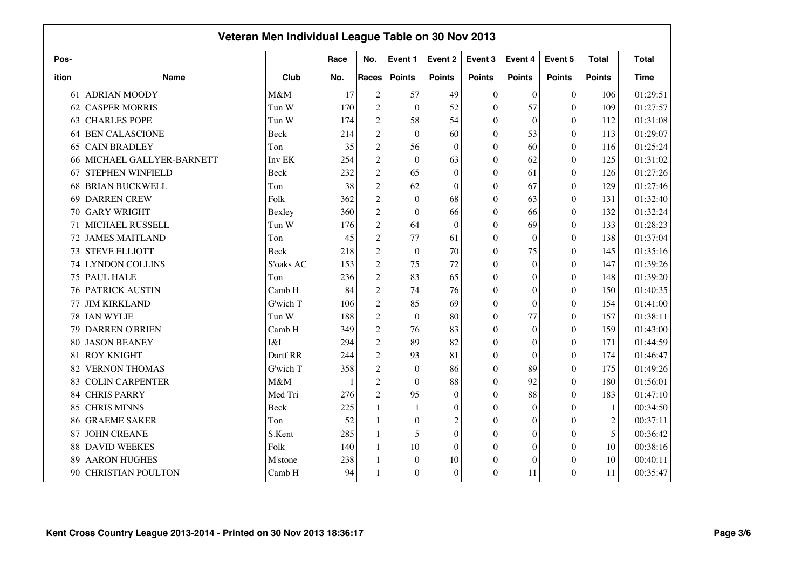|       |                          | Veteran Men Individual League Table on 30 Nov 2013 |      |                |                  |                  |                  |                  |                  |               |              |
|-------|--------------------------|----------------------------------------------------|------|----------------|------------------|------------------|------------------|------------------|------------------|---------------|--------------|
| Pos-  |                          |                                                    | Race | No.            | Event 1          | Event 2          | Event 3          | Event 4          | Event 5          | <b>Total</b>  | <b>Total</b> |
| ition | <b>Name</b>              | Club                                               | No.  | Races          | <b>Points</b>    | <b>Points</b>    | <b>Points</b>    | <b>Points</b>    | <b>Points</b>    | <b>Points</b> | <b>Time</b>  |
| 61    | <b>ADRIAN MOODY</b>      | M&M                                                | 17   | $\overline{2}$ | 57               | 49               | $\Omega$         | $\mathbf{0}$     | $\boldsymbol{0}$ | 106           | 01:29:51     |
| 62    | <b>CASPER MORRIS</b>     | Tun W                                              | 170  | $\overline{2}$ | $\mathbf{0}$     | 52               | $\theta$         | 57               | $\overline{0}$   | 109           | 01:27:57     |
| 63    | <b>CHARLES POPE</b>      | Tun W                                              | 174  | $\overline{c}$ | 58               | 54               | $\Omega$         | $\mathbf{0}$     | $\theta$         | 112           | 01:31:08     |
| 64    | <b>BEN CALASCIONE</b>    | <b>Beck</b>                                        | 214  | $\overline{c}$ | $\mathbf{0}$     | 60               | $\Omega$         | 53               | $\overline{0}$   | 113           | 01:29:07     |
| 65    | <b>CAIN BRADLEY</b>      | Ton                                                | 35   | $\overline{c}$ | 56               | $\overline{0}$   | $\Omega$         | 60               | $\overline{0}$   | 116           | 01:25:24     |
| 66    | MICHAEL GALLYER-BARNETT  | Inv EK                                             | 254  | $\overline{c}$ | $\mathbf{0}$     | 63               | $\theta$         | 62               | $\overline{0}$   | 125           | 01:31:02     |
| 67    | <b>STEPHEN WINFIELD</b>  | <b>Beck</b>                                        | 232  | $\overline{c}$ | 65               | $\boldsymbol{0}$ | $\Omega$         | 61               | $\theta$         | 126           | 01:27:26     |
| 68    | <b>BRIAN BUCKWELL</b>    | Ton                                                | 38   | $\overline{c}$ | 62               | $\theta$         | $\Omega$         | 67               | $\overline{0}$   | 129           | 01:27:46     |
| 69    | <b>DARREN CREW</b>       | Folk                                               | 362  | $\overline{c}$ | $\mathbf{0}$     | 68               | $\theta$         | 63               | $\overline{0}$   | 131           | 01:32:40     |
| 70    | <b>GARY WRIGHT</b>       | Bexley                                             | 360  | $\mathfrak 2$  | $\mathbf{0}$     | 66               | $\Omega$         | 66               | $\theta$         | 132           | 01:32:24     |
| 71    | MICHAEL RUSSELL          | Tun W                                              | 176  | $\overline{c}$ | 64               | $\boldsymbol{0}$ | $\theta$         | 69               | $\overline{0}$   | 133           | 01:28:23     |
| 72    | <b>JAMES MAITLAND</b>    | Ton                                                | 45   | $\overline{c}$ | 77               | 61               | $\theta$         | $\mathbf{0}$     | $\overline{0}$   | 138           | 01:37:04     |
| 73    | <b>STEVE ELLIOTT</b>     | Beck                                               | 218  | $\overline{c}$ | $\mathbf{0}$     | 70               | $\Omega$         | 75               | $\overline{0}$   | 145           | 01:35:16     |
| 74    | <b>LYNDON COLLINS</b>    | S'oaks AC                                          | 153  | $\sqrt{2}$     | 75               | 72               | $\Omega$         | $\theta$         | $\Omega$         | 147           | 01:39:26     |
| 75    | <b>PAUL HALE</b>         | Ton                                                | 236  | $\overline{c}$ | 83               | 65               | $\Omega$         | $\theta$         | $\theta$         | 148           | 01:39:20     |
| 76    | PATRICK AUSTIN           | Camb H                                             | 84   | $\overline{c}$ | 74               | 76               | $\theta$         | $\theta$         | $\theta$         | 150           | 01:40:35     |
| 77    | <b>JIM KIRKLAND</b>      | G'wich T                                           | 106  | $\overline{c}$ | 85               | 69               | $\theta$         | $\theta$         | $\theta$         | 154           | 01:41:00     |
| 78    | <b>IAN WYLIE</b>         | Tun W                                              | 188  | $\overline{c}$ | $\boldsymbol{0}$ | 80               | $\boldsymbol{0}$ | 77               | $\overline{0}$   | 157           | 01:38:11     |
| 79    | <b>DARREN O'BRIEN</b>    | Camb H                                             | 349  | $\overline{c}$ | 76               | 83               | $\theta$         | $\theta$         | $\overline{0}$   | 159           | 01:43:00     |
| 80    | <b>JASON BEANEY</b>      | I&I                                                | 294  | $\mathfrak 2$  | 89               | 82               | $\Omega$         | $\boldsymbol{0}$ | $\theta$         | 171           | 01:44:59     |
| 81    | <b>ROY KNIGHT</b>        | Dartf RR                                           | 244  | $\overline{c}$ | 93               | 81               | $\Omega$         | $\mathbf{0}$     | $\mathbf{0}$     | 174           | 01:46:47     |
| 82    | <b>VERNON THOMAS</b>     | G'wich T                                           | 358  | $\overline{c}$ | $\mathbf{0}$     | 86               | $\mathbf{0}$     | 89               | $\boldsymbol{0}$ | 175           | 01:49:26     |
| 83    | <b>COLIN CARPENTER</b>   | M&M                                                |      | $\overline{c}$ | $\boldsymbol{0}$ | 88               | $\theta$         | 92               | $\theta$         | 180           | 01:56:01     |
| 84    | <b>CHRIS PARRY</b>       | Med Tri                                            | 276  | $\mathfrak 2$  | 95               | $\boldsymbol{0}$ | $\Omega$         | 88               | $\theta$         | 183           | 01:47:10     |
| 85    | <b>CHRIS MINNS</b>       | Beck                                               | 225  |                | 1                | $\boldsymbol{0}$ | $\mathbf{0}$     | $\overline{0}$   | $\boldsymbol{0}$ | $\mathbf{1}$  | 00:34:50     |
| 86    | <b>GRAEME SAKER</b>      | Ton                                                | 52   |                | $\mathbf{0}$     | $\overline{c}$   | $\Omega$         | $\overline{0}$   | $\boldsymbol{0}$ | $\sqrt{2}$    | 00:37:11     |
| 87    | <b>JOHN CREANE</b>       | S.Kent                                             | 285  | 1              | 5                | $\overline{0}$   | $\Omega$         | $\overline{0}$   | $\theta$         | 5             | 00:36:42     |
| 88    | <b>DAVID WEEKES</b>      | Folk                                               | 140  |                | 10               | $\boldsymbol{0}$ | $\Omega$         | $\overline{0}$   | $\theta$         | 10            | 00:38:16     |
| 89    | <b>AARON HUGHES</b>      | M'stone                                            | 238  |                | $\mathbf{0}$     | 10               | $\mathbf{0}$     | $\overline{0}$   | $\theta$         | 10            | 00:40:11     |
| 90    | <b>CHRISTIAN POULTON</b> | Camb H                                             | 94   |                | $\mathbf{0}$     | $\theta$         | $\Omega$         | 11               | $\theta$         | 11            | 00:35:47     |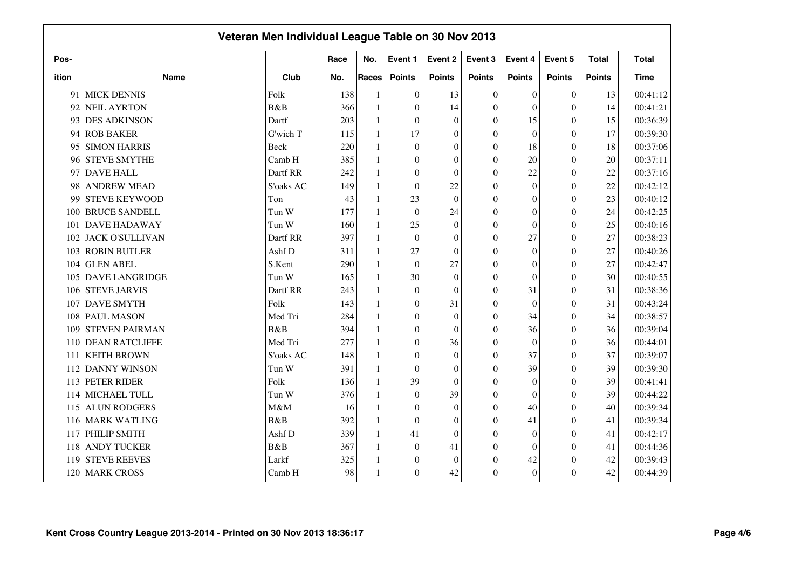|       |                        | Veteran Men Individual League Table on 30 Nov 2013 |      |              |                  |                  |                  |                  |                  |               |              |
|-------|------------------------|----------------------------------------------------|------|--------------|------------------|------------------|------------------|------------------|------------------|---------------|--------------|
| Pos-  |                        |                                                    | Race | No.          | Event 1          | Event 2          | Event 3          | Event 4          | Event 5          | <b>Total</b>  | <b>Total</b> |
| ition | <b>Name</b>            | Club                                               | No.  | Races        | <b>Points</b>    | <b>Points</b>    | <b>Points</b>    | <b>Points</b>    | <b>Points</b>    | <b>Points</b> | <b>Time</b>  |
| 91    | <b>MICK DENNIS</b>     | Folk                                               | 138  |              | $\theta$         | 13               | $\Omega$         | $\theta$         | $\overline{0}$   | 13            | 00:41:12     |
| 92    | <b>NEIL AYRTON</b>     | B&B                                                | 366  | $\mathbf{1}$ | $\theta$         | 14               | $\Omega$         | $\theta$         | $\overline{0}$   | 14            | 00:41:21     |
| 93    | <b>DES ADKINSON</b>    | Dartf                                              | 203  |              | $\theta$         | $\boldsymbol{0}$ | $\theta$         | 15               | $\theta$         | 15            | 00:36:39     |
| 94    | <b>ROB BAKER</b>       | G'wich T                                           | 115  |              | 17               | $\boldsymbol{0}$ | $\mathbf{0}$     | $\boldsymbol{0}$ | $\boldsymbol{0}$ | 17            | 00:39:30     |
| 95    | <b>SIMON HARRIS</b>    | <b>Beck</b>                                        | 220  |              | $\theta$         | $\theta$         | $\Omega$         | 18               | $\theta$         | 18            | 00:37:06     |
| 96    | <b>STEVE SMYTHE</b>    | Camb H                                             | 385  |              | $\mathbf{0}$     | $\theta$         | $\theta$         | 20               | $\theta$         | 20            | 00:37:11     |
| 97    | <b>DAVE HALL</b>       | Dartf RR                                           | 242  |              | $\theta$         | $\theta$         | $\Omega$         | 22               | $\boldsymbol{0}$ | 22            | 00:37:16     |
| 98    | <b>ANDREW MEAD</b>     | S'oaks AC                                          | 149  |              | $\mathbf{0}$     | 22               | $\theta$         | $\mathbf{0}$     | $\theta$         | 22            | 00:42:12     |
| 99    | <b>STEVE KEYWOOD</b>   | Ton                                                | 43   |              | 23               | $\theta$         | $\theta$         | $\mathbf{0}$     | $\theta$         | 23            | 00:40:12     |
| 100   | <b>BRUCE SANDELL</b>   | Tun W                                              | 177  |              | $\overline{0}$   | 24               | $\theta$         | $\mathbf{0}$     | $\theta$         | 24            | 00:42:25     |
| 101   | <b>DAVE HADAWAY</b>    | Tun W                                              | 160  | 1            | 25               | $\boldsymbol{0}$ | $\Omega$         | $\mathbf{0}$     | $\theta$         | 25            | 00:40:16     |
| 102   | <b>JACK O'SULLIVAN</b> | Dartf RR                                           | 397  |              | $\overline{0}$   | $\theta$         | $\theta$         | 27               | $\overline{0}$   | 27            | 00:38:23     |
| 103   | <b>ROBIN BUTLER</b>    | Ashf D                                             | 311  |              | 27               | $\theta$         | $\Omega$         | $\theta$         | $\theta$         | 27            | 00:40:26     |
| 104   | <b>GLEN ABEL</b>       | S.Kent                                             | 290  |              | $\theta$         | 27               | $\Omega$         | $\theta$         | $\theta$         | 27            | 00:42:47     |
| 105   | <b>DAVE LANGRIDGE</b>  | Tun W                                              | 165  |              | 30               | $\theta$         | $\theta$         | $\theta$         | $\overline{0}$   | 30            | 00:40:55     |
| 106   | <b>STEVE JARVIS</b>    | Dartf RR                                           | 243  |              | $\boldsymbol{0}$ | $\theta$         | $\theta$         | 31               | $\overline{0}$   | 31            | 00:38:36     |
| 107   | <b>DAVE SMYTH</b>      | Folk                                               | 143  |              | $\boldsymbol{0}$ | 31               | $\boldsymbol{0}$ | $\boldsymbol{0}$ | $\overline{0}$   | 31            | 00:43:24     |
| 108   | <b>PAUL MASON</b>      | Med Tri                                            | 284  |              | $\boldsymbol{0}$ | $\boldsymbol{0}$ | $\mathbf{0}$     | 34               | $\boldsymbol{0}$ | 34            | 00:38:57     |
| 109   | <b>STEVEN PAIRMAN</b>  | B&B                                                | 394  |              | $\overline{0}$   | $\boldsymbol{0}$ | $\mathbf{0}$     | 36               | $\boldsymbol{0}$ | 36            | 00:39:04     |
| 110   | <b>DEAN RATCLIFFE</b>  | Med Tri                                            | 277  |              | $\overline{0}$   | 36               | $\Omega$         | $\mathbf{0}$     | $\theta$         | 36            | 00:44:01     |
| 111   | <b>KEITH BROWN</b>     | S'oaks AC                                          | 148  |              | $\mathbf{0}$     | $\theta$         | $\theta$         | 37               | $\theta$         | 37            | 00:39:07     |
| 112   | <b>DANNY WINSON</b>    | Tun W                                              | 391  |              | $\mathbf{0}$     | $\boldsymbol{0}$ | $\Omega$         | 39               | $\theta$         | 39            | 00:39:30     |
| 113   | <b>PETER RIDER</b>     | Folk                                               | 136  |              | 39               | $\theta$         | $\Omega$         | $\theta$         | $\theta$         | 39            | 00:41:41     |
|       | 114 MICHAEL TULL       | Tun W                                              | 376  |              | $\boldsymbol{0}$ | 39               | $\theta$         | $\theta$         | $\theta$         | 39            | 00:44:22     |
| 115   | <b>ALUN RODGERS</b>    | M&M                                                | 16   |              | $\overline{0}$   | $\boldsymbol{0}$ | $\Omega$         | 40               | $\theta$         | 40            | 00:39:34     |
|       | 116 MARK WATLING       | B&B                                                | 392  |              | $\mathbf{0}$     | $\theta$         | $\theta$         | 41               | $\theta$         | 41            | 00:39:34     |
| 117   | PHILIP SMITH           | Ashf D                                             | 339  |              | 41               | $\theta$         | $\Omega$         | $\boldsymbol{0}$ | $\overline{0}$   | 41            | 00:42:17     |
| 118   | <b>ANDY TUCKER</b>     | <b>B</b> &B                                        | 367  |              | $\mathbf{0}$     | 41               | $\Omega$         | $\mathbf{0}$     | $\theta$         | 41            | 00:44:36     |
| 119   | <b>STEVE REEVES</b>    | Larkf                                              | 325  |              | $\overline{0}$   | $\boldsymbol{0}$ | $\Omega$         | 42               | $\theta$         | 42            | 00:39:43     |
| 120   | <b>MARK CROSS</b>      | Camb H                                             | 98   |              | $\overline{0}$   | 42               | $\mathbf{0}$     | $\mathbf{0}$     | $\overline{0}$   | 42            | 00:44:39     |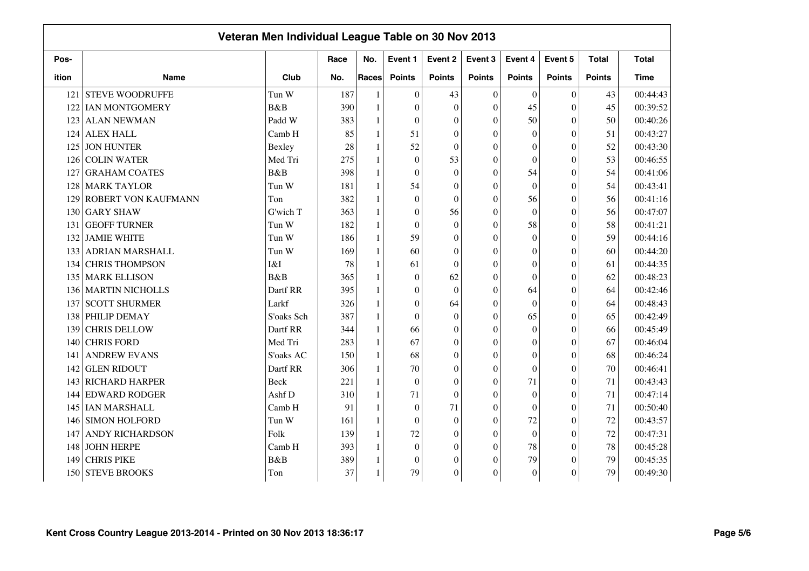|       |                            | Veteran Men Individual League Table on 30 Nov 2013 |      |              |                  |                  |                  |                  |                  |               |              |
|-------|----------------------------|----------------------------------------------------|------|--------------|------------------|------------------|------------------|------------------|------------------|---------------|--------------|
| Pos-  |                            |                                                    | Race | No.          | Event 1          | Event 2          | Event 3          | Event 4          | Event 5          | <b>Total</b>  | <b>Total</b> |
| ition | <b>Name</b>                | Club                                               | No.  | <b>Races</b> | <b>Points</b>    | <b>Points</b>    | <b>Points</b>    | <b>Points</b>    | <b>Points</b>    | <b>Points</b> | <b>Time</b>  |
|       | 121 STEVE WOODRUFFE        | Tun W                                              | 187  |              | $\theta$         | 43               | $\overline{0}$   | $\theta$         | $\overline{0}$   | 43            | 00:44:43     |
|       | 122 IAN MONTGOMERY         | B&B                                                | 390  | 1            | $\theta$         | $\overline{0}$   | $\theta$         | 45               | $\overline{0}$   | 45            | 00:39:52     |
|       | 123 ALAN NEWMAN            | Padd W                                             | 383  | $\mathbf{1}$ | $\mathbf{0}$     | $\overline{0}$   | $\theta$         | 50               | $\overline{0}$   | 50            | 00:40:26     |
|       | 124 ALEX HALL              | Camb H                                             | 85   | 1            | 51               | $\overline{0}$   | $\Omega$         | $\theta$         | $\overline{0}$   | 51            | 00:43:27     |
| 125   | <b>JON HUNTER</b>          | Bexley                                             | 28   | $\mathbf{1}$ | 52               | $\theta$         | $\Omega$         | $\Omega$         | $\overline{0}$   | 52            | 00:43:30     |
| 126   | COLIN WATER                | Med Tri                                            | 275  | $\mathbf{1}$ | $\boldsymbol{0}$ | 53               | $\theta$         | $\theta$         | $\overline{0}$   | 53            | 00:46:55     |
| 127   | <b>GRAHAM COATES</b>       | B&B                                                | 398  | 1            | $\mathbf{0}$     | $\overline{0}$   | $\Omega$         | 54               | $\mathbf{0}$     | 54            | 00:41:06     |
| 128   | <b>MARK TAYLOR</b>         | Tun W                                              | 181  | 1            | 54               | $\overline{0}$   | $\Omega$         | $\mathbf{0}$     | $\overline{0}$   | 54            | 00:43:41     |
| 129   | <b>ROBERT VON KAUFMANN</b> | Ton                                                | 382  | 1            | $\mathbf{0}$     | $\boldsymbol{0}$ | $\mathbf{0}$     | 56               | $\theta$         | 56            | 00:41:16     |
| 130   | <b>GARY SHAW</b>           | G'wich T                                           | 363  | 1            | $\mathbf{0}$     | 56               | $\mathbf{0}$     | $\mathbf{0}$     | $\boldsymbol{0}$ | 56            | 00:47:07     |
| 131   | <b>GEOFF TURNER</b>        | Tun W                                              | 182  | 1            | $\mathbf{0}$     | $\boldsymbol{0}$ | $\mathbf{0}$     | 58               | $\boldsymbol{0}$ | 58            | 00:41:21     |
| 132   | <b>JAMIE WHITE</b>         | Tun W                                              | 186  | $\mathbf{1}$ | 59               | $\boldsymbol{0}$ | $\overline{0}$   | $\mathbf{0}$     | $\overline{0}$   | 59            | 00:44:16     |
| 133   | <b>ADRIAN MARSHALL</b>     | Tun W                                              | 169  | 1            | 60               | $\boldsymbol{0}$ | $\theta$         | $\mathbf{0}$     | $\overline{0}$   | 60            | 00:44:20     |
|       | 134 CHRIS THOMPSON         | I&I                                                | 78   | 1            | 61               | $\theta$         | $\theta$         | $\theta$         | $\theta$         | 61            | 00:44:35     |
|       | 135 MARK ELLISON           | B&B                                                | 365  |              | $\mathbf{0}$     | 62               | $\mathbf{0}$     | $\theta$         | $\theta$         | 62            | 00:48:23     |
|       | 136 MARTIN NICHOLLS        | Dartf RR                                           | 395  | 1            | $\mathbf{0}$     | $\overline{0}$   | $\theta$         | 64               | $\overline{0}$   | 64            | 00:42:46     |
| 137   | <b>SCOTT SHURMER</b>       | Larkf                                              | 326  | $\mathbf{1}$ | $\mathbf{0}$     | 64               | $\mathbf{0}$     | $\mathbf{0}$     | $\overline{0}$   | 64            | 00:48:43     |
|       | 138 PHILIP DEMAY           | S'oaks Sch                                         | 387  | 1            | $\mathbf{0}$     | $\boldsymbol{0}$ | $\mathbf{0}$     | 65               | $\boldsymbol{0}$ | 65            | 00:42:49     |
| 139   | <b>CHRIS DELLOW</b>        | Dartf RR                                           | 344  | 1            | 66               | $\overline{0}$   | $\overline{0}$   | $\mathbf{0}$     | $\boldsymbol{0}$ | 66            | 00:45:49     |
| 140   | <b>CHRIS FORD</b>          | Med Tri                                            | 283  | 1            | 67               | $\theta$         | $\theta$         | $\theta$         | $\overline{0}$   | 67            | 00:46:04     |
| 141   | <b>ANDREW EVANS</b>        | S'oaks AC                                          | 150  | 1            | 68               | $\overline{0}$   | $\Omega$         | $\theta$         | $\theta$         | 68            | 00:46:24     |
|       | 142 GLEN RIDOUT            | Dartf RR                                           | 306  |              | 70               | $\overline{0}$   | $\theta$         | $\boldsymbol{0}$ | $\overline{0}$   | 70            | 00:46:41     |
|       | 143 RICHARD HARPER         | Beck                                               | 221  | 1            | $\mathbf{0}$     | $\overline{0}$   | $\theta$         | 71               | $\overline{0}$   | 71            | 00:43:43     |
|       | 144 EDWARD RODGER          | Ashf D                                             | 310  | $\mathbf{1}$ | 71               | $\overline{0}$   | $\theta$         | $\theta$         | $\overline{0}$   | 71            | 00:47:14     |
|       | 145 IAN MARSHALL           | Camb H                                             | 91   | $\mathbf{1}$ | $\boldsymbol{0}$ | 71               | $\theta$         | $\theta$         | $\theta$         | $71\,$        | 00:50:40     |
| 146   | <b>SIMON HOLFORD</b>       | Tun W                                              | 161  | 1            | $\boldsymbol{0}$ | $\overline{0}$   | $\boldsymbol{0}$ | 72               | $\boldsymbol{0}$ | $72\,$        | 00:43:57     |
| 147   | <b>ANDY RICHARDSON</b>     | Folk                                               | 139  | $\mathbf{1}$ | 72               | $\mathbf{0}$     | $\mathbf{0}$     | $\mathbf{0}$     | $\boldsymbol{0}$ | 72            | 00:47:31     |
| 148   | <b>JOHN HERPE</b>          | Camb H                                             | 393  | $\mathbf{1}$ | $\mathbf{0}$     | $\theta$         | $\Omega$         | 78               | $\theta$         | 78            | 00:45:28     |
| 149   | <b>CHRIS PIKE</b>          | <b>B</b> &B                                        | 389  |              | $\boldsymbol{0}$ | $\theta$         | $\Omega$         | 79               | $\theta$         | 79            | 00:45:35     |
|       | 150 STEVE BROOKS           | Ton                                                | 37   |              | 79               | $\theta$         | $\Omega$         | $\mathbf{0}$     | $\theta$         | 79            | 00:49:30     |